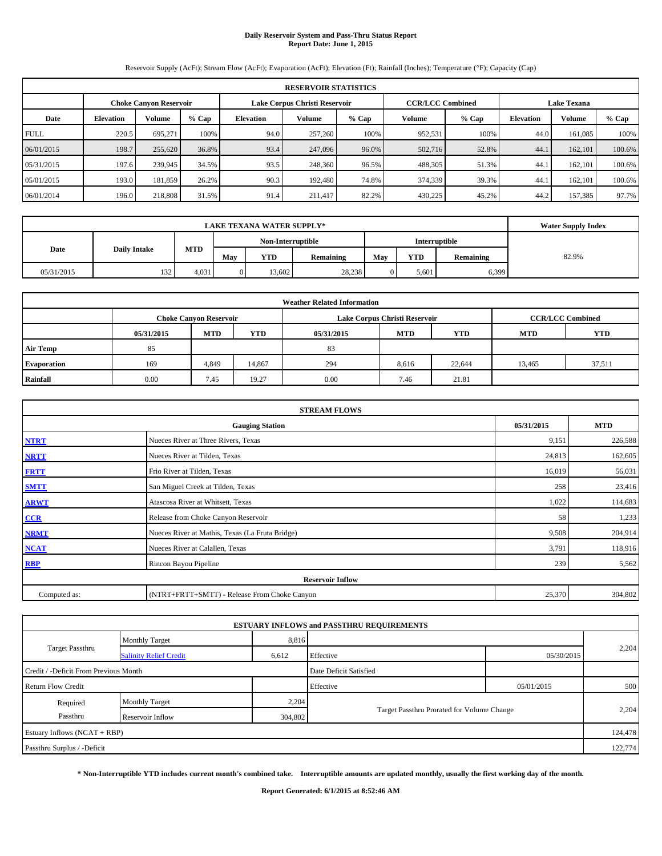# **Daily Reservoir System and Pass-Thru Status Report Report Date: June 1, 2015**

Reservoir Supply (AcFt); Stream Flow (AcFt); Evaporation (AcFt); Elevation (Ft); Rainfall (Inches); Temperature (°F); Capacity (Cap)

| <b>RESERVOIR STATISTICS</b> |                                                                                                                 |               |         |                  |         |         |         |                  |               |         |        |  |  |
|-----------------------------|-----------------------------------------------------------------------------------------------------------------|---------------|---------|------------------|---------|---------|---------|------------------|---------------|---------|--------|--|--|
|                             | <b>CCR/LCC Combined</b><br><b>Lake Texana</b><br>Lake Corpus Christi Reservoir<br><b>Choke Canvon Reservoir</b> |               |         |                  |         |         |         |                  |               |         |        |  |  |
| Date                        | <b>Elevation</b>                                                                                                | <b>Volume</b> | $%$ Cap | <b>Elevation</b> | Volume  | $%$ Cap | $%$ Cap | <b>Elevation</b> | <b>Volume</b> | $%$ Cap |        |  |  |
| <b>FULL</b>                 | 220.5                                                                                                           | 695.271       | 100%    | 94.0             | 257,260 | 100%    | 952,531 | 100%             | 44.0          | 161.085 | 100%   |  |  |
| 06/01/2015                  | 198.7                                                                                                           | 255,620       | 36.8%   | 93.4             | 247,096 | 96.0%   | 502,716 | 52.8%            | 44.1          | 162,101 | 100.6% |  |  |
| 05/31/2015                  | 197.6                                                                                                           | 239,945       | 34.5%   | 93.5             | 248,360 | 96.5%   | 488,305 | 51.3%            | 44.1          | 162.101 | 100.6% |  |  |
| 05/01/2015                  | 193.0                                                                                                           | 181.859       | 26.2%   | 90.3             | 192,480 | 74.8%   | 374,339 | 39.3%            | 44.1          | 162.101 | 100.6% |  |  |
| 06/01/2014                  | 196.0                                                                                                           | 218,808       | 31.5%   | 91.4             | 211,417 | 82.2%   | 430,225 | 45.2%            | 44.2          | 157,385 | 97.7%  |  |  |

|            |                     | <b>Water Supply Index</b> |                                                      |            |                  |     |            |           |       |
|------------|---------------------|---------------------------|------------------------------------------------------|------------|------------------|-----|------------|-----------|-------|
|            |                     |                           | Non-Interruptible<br>Interruptible                   |            |                  |     |            |           |       |
| Date       | <b>Daily Intake</b> | <b>MTD</b>                | May                                                  | <b>YTD</b> | <b>Remaining</b> | May | <b>YTD</b> | Remaining | 82.9% |
| 05/31/2015 | 132                 | 4,031                     | 28,238<br>6,399<br>5,601<br>13.602<br>$\overline{0}$ |            |                  |     |            |           |       |

| <b>Weather Related Information</b> |                                                                                  |                               |        |      |                               |                         |        |            |  |  |  |
|------------------------------------|----------------------------------------------------------------------------------|-------------------------------|--------|------|-------------------------------|-------------------------|--------|------------|--|--|--|
|                                    |                                                                                  | <b>Choke Canyon Reservoir</b> |        |      | Lake Corpus Christi Reservoir | <b>CCR/LCC Combined</b> |        |            |  |  |  |
|                                    | <b>MTD</b><br><b>YTD</b><br><b>MTD</b><br><b>YTD</b><br>05/31/2015<br>05/31/2015 |                               |        |      |                               |                         |        | <b>YTD</b> |  |  |  |
| <b>Air Temp</b>                    | 85                                                                               |                               |        | 83   |                               |                         |        |            |  |  |  |
| <b>Evaporation</b>                 | 169                                                                              | 4,849                         | 14,867 | 294  | 8,616                         | 22,644                  | 13,465 | 37,511     |  |  |  |
| Rainfall                           | 0.00                                                                             | 7.45                          | 19.27  | 0.00 | 7.46                          | 21.81                   |        |            |  |  |  |

|              | <b>STREAM FLOWS</b>                                |        |               |  |  |  |  |  |  |
|--------------|----------------------------------------------------|--------|---------------|--|--|--|--|--|--|
|              | 05/31/2015<br><b>MTD</b><br><b>Gauging Station</b> |        |               |  |  |  |  |  |  |
| <b>NTRT</b>  | Nueces River at Three Rivers, Texas                | 9,151  | 226,588       |  |  |  |  |  |  |
| <b>NRTT</b>  | Nueces River at Tilden, Texas                      | 24,813 | 162,605       |  |  |  |  |  |  |
| <b>FRTT</b>  | Frio River at Tilden, Texas                        | 16,019 | 56,031        |  |  |  |  |  |  |
| <b>SMTT</b>  | San Miguel Creek at Tilden, Texas                  |        | 23,416<br>258 |  |  |  |  |  |  |
| <b>ARWT</b>  | Atascosa River at Whitsett, Texas                  | 1,022  | 114,683       |  |  |  |  |  |  |
| CCR          | Release from Choke Canyon Reservoir                |        | 1,233<br>58   |  |  |  |  |  |  |
| <b>NRMT</b>  | Nueces River at Mathis, Texas (La Fruta Bridge)    | 9,508  | 204,914       |  |  |  |  |  |  |
| <b>NCAT</b>  | Nueces River at Calallen, Texas                    | 3,791  | 118,916       |  |  |  |  |  |  |
| <b>RBP</b>   | Rincon Bayou Pipeline                              |        | 239<br>5,562  |  |  |  |  |  |  |
|              | <b>Reservoir Inflow</b>                            |        |               |  |  |  |  |  |  |
| Computed as: | (NTRT+FRTT+SMTT) - Release From Choke Canyon       |        |               |  |  |  |  |  |  |

|                                       |                                                                           |       | <b>ESTUARY INFLOWS and PASSTHRU REQUIREMENTS</b> |            |         |  |  |
|---------------------------------------|---------------------------------------------------------------------------|-------|--------------------------------------------------|------------|---------|--|--|
|                                       | <b>Monthly Target</b>                                                     | 8,816 |                                                  |            |         |  |  |
| <b>Target Passthru</b>                | <b>Salinity Relief Credit</b>                                             | 6,612 | Effective                                        | 05/30/2015 | 2,204   |  |  |
| Credit / -Deficit From Previous Month |                                                                           |       | Date Deficit Satisfied                           |            |         |  |  |
| <b>Return Flow Credit</b>             |                                                                           |       | Effective                                        | 05/01/2015 | 500     |  |  |
| Required                              | <b>Monthly Target</b>                                                     | 2,204 |                                                  |            |         |  |  |
| Passthru                              | Target Passthru Prorated for Volume Change<br>304,802<br>Reservoir Inflow |       |                                                  |            |         |  |  |
| Estuary Inflows (NCAT + RBP)          |                                                                           |       |                                                  |            | 124,478 |  |  |
| Passthru Surplus / -Deficit           |                                                                           |       |                                                  |            | 122,774 |  |  |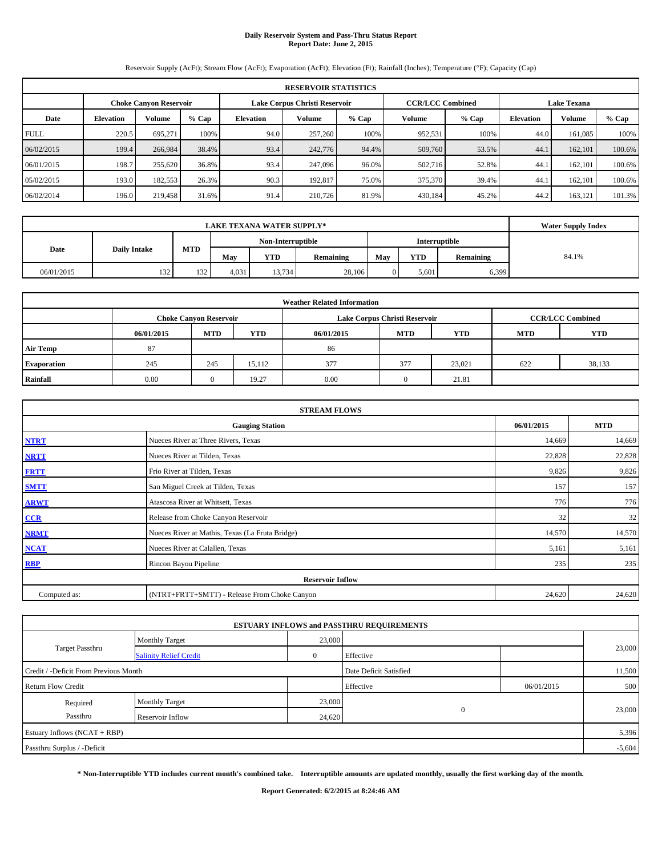# **Daily Reservoir System and Pass-Thru Status Report Report Date: June 2, 2015**

Reservoir Supply (AcFt); Stream Flow (AcFt); Evaporation (AcFt); Elevation (Ft); Rainfall (Inches); Temperature (°F); Capacity (Cap)

| <b>RESERVOIR STATISTICS</b> |                                                                                                                 |         |         |                  |         |       |         |       |                  |               |        |  |  |
|-----------------------------|-----------------------------------------------------------------------------------------------------------------|---------|---------|------------------|---------|-------|---------|-------|------------------|---------------|--------|--|--|
|                             | <b>CCR/LCC Combined</b><br>Lake Corpus Christi Reservoir<br><b>Lake Texana</b><br><b>Choke Canvon Reservoir</b> |         |         |                  |         |       |         |       |                  |               |        |  |  |
| Date                        | <b>Elevation</b>                                                                                                | Volume  | $%$ Cap | <b>Elevation</b> | Volume  | % Cap | Volume  | % Cap | <b>Elevation</b> | <b>Volume</b> | % Cap  |  |  |
| <b>FULL</b>                 | 220.5                                                                                                           | 695.271 | 100%    | 94.0             | 257,260 | 100%  | 952,531 | 100%  | 44.0             | 161.085       | 100%   |  |  |
| 06/02/2015                  | 199.4                                                                                                           | 266,984 | 38.4%   | 93.4             | 242,776 | 94.4% | 509,760 | 53.5% | 44.1             | 162,101       | 100.6% |  |  |
| 06/01/2015                  | 198.7                                                                                                           | 255,620 | 36.8%   | 93.4             | 247,096 | 96.0% | 502,716 | 52.8% | 44.1             | 162.101       | 100.6% |  |  |
| 05/02/2015                  | 193.0                                                                                                           | 182,553 | 26.3%   | 90.3             | 192.817 | 75.0% | 375,370 | 39.4% | 44.1             | 162,101       | 100.6% |  |  |
| 06/02/2014                  | 196.0                                                                                                           | 219,458 | 31.6%   | 91.4             | 210,726 | 81.9% | 430,184 | 45.2% | 44.2             | 163,121       | 101.3% |  |  |

|            | <b>Water Supply Index</b> |            |       |                   |           |     |            |           |       |
|------------|---------------------------|------------|-------|-------------------|-----------|-----|------------|-----------|-------|
|            |                           |            |       | Non-Interruptible |           |     |            |           |       |
| Date       | <b>Daily Intake</b>       | MTD        | May   | <b>YTD</b>        | Remaining | May | <b>YTD</b> | Remaining | 84.1% |
| 06/01/2015 | 132                       | 132<br>194 | 4.031 | 13.734            | 6,399     |     |            |           |       |

| <b>Weather Related Information</b> |            |                               |            |            |                               |                         |     |        |  |  |  |
|------------------------------------|------------|-------------------------------|------------|------------|-------------------------------|-------------------------|-----|--------|--|--|--|
|                                    |            | <b>Choke Canyon Reservoir</b> |            |            | Lake Corpus Christi Reservoir | <b>CCR/LCC Combined</b> |     |        |  |  |  |
|                                    | 06/01/2015 | <b>MTD</b>                    | <b>YTD</b> | 06/01/2015 | <b>MTD</b>                    | <b>YTD</b>              |     |        |  |  |  |
| <b>Air Temp</b>                    | 87         |                               |            | 86         |                               |                         |     |        |  |  |  |
| <b>Evaporation</b>                 | 245        | 245                           | 15.112     | 377        | 377                           | 23,021                  | 622 | 38,133 |  |  |  |
| Rainfall                           | 0.00       | $\Omega$                      | 19.27      | 0.00       | $\Omega$                      | 21.81                   |     |        |  |  |  |

| <b>STREAM FLOWS</b> |                                                    |        |        |  |  |  |  |  |  |  |
|---------------------|----------------------------------------------------|--------|--------|--|--|--|--|--|--|--|
|                     | 06/01/2015<br><b>MTD</b><br><b>Gauging Station</b> |        |        |  |  |  |  |  |  |  |
| <b>NTRT</b>         | Nueces River at Three Rivers, Texas                | 14,669 | 14,669 |  |  |  |  |  |  |  |
| <b>NRTT</b>         | Nueces River at Tilden, Texas                      | 22,828 | 22,828 |  |  |  |  |  |  |  |
| <b>FRTT</b>         | Frio River at Tilden, Texas                        | 9,826  | 9,826  |  |  |  |  |  |  |  |
| <b>SMTT</b>         | San Miguel Creek at Tilden, Texas                  | 157    | 157    |  |  |  |  |  |  |  |
| <b>ARWT</b>         | Atascosa River at Whitsett, Texas                  | 776    | 776    |  |  |  |  |  |  |  |
| CCR                 | Release from Choke Canyon Reservoir                | 32     | 32     |  |  |  |  |  |  |  |
| <b>NRMT</b>         | Nueces River at Mathis, Texas (La Fruta Bridge)    | 14,570 | 14,570 |  |  |  |  |  |  |  |
| <b>NCAT</b>         | Nueces River at Calallen, Texas                    | 5,161  | 5,161  |  |  |  |  |  |  |  |
| <b>RBP</b>          | Rincon Bayou Pipeline                              | 235    | 235    |  |  |  |  |  |  |  |
|                     | <b>Reservoir Inflow</b>                            |        |        |  |  |  |  |  |  |  |
| Computed as:        | (NTRT+FRTT+SMTT) - Release From Choke Canyon       |        |        |  |  |  |  |  |  |  |

|                                       |                               |          | <b>ESTUARY INFLOWS and PASSTHRU REQUIREMENTS</b> |            |          |  |
|---------------------------------------|-------------------------------|----------|--------------------------------------------------|------------|----------|--|
|                                       | <b>Monthly Target</b>         | 23,000   |                                                  |            |          |  |
| <b>Target Passthru</b>                | <b>Salinity Relief Credit</b> | $\theta$ | Effective                                        |            | 23,000   |  |
| Credit / -Deficit From Previous Month |                               |          | Date Deficit Satisfied                           |            | 11,500   |  |
| <b>Return Flow Credit</b>             |                               |          | Effective                                        | 06/01/2015 | 500      |  |
| Required                              | <b>Monthly Target</b>         | 23,000   |                                                  |            |          |  |
| Passthru                              | Reservoir Inflow              | 24,620   | $\mathbf{0}$                                     |            | 23,000   |  |
| Estuary Inflows (NCAT + RBP)          |                               |          |                                                  |            | 5,396    |  |
| Passthru Surplus / -Deficit           |                               |          |                                                  |            | $-5,604$ |  |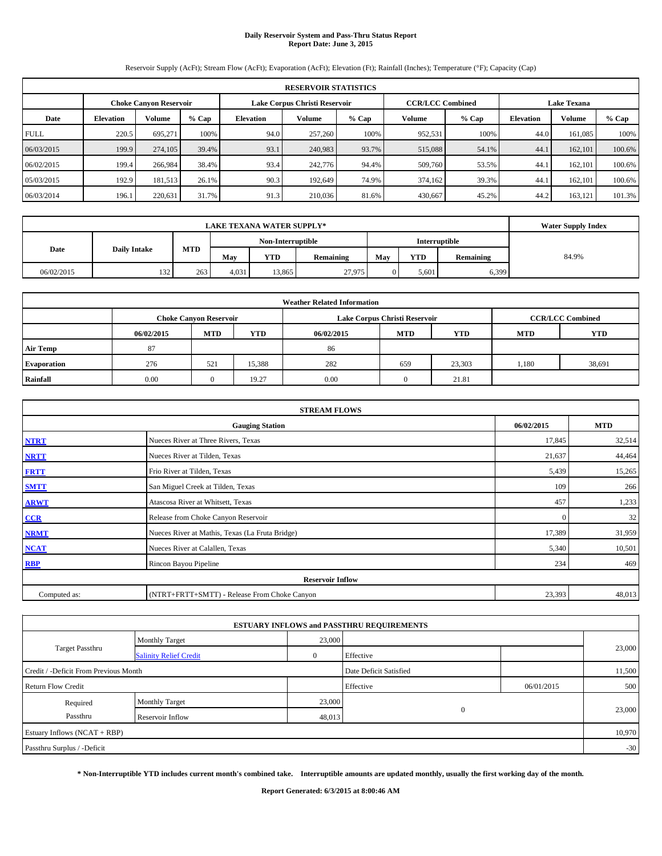# **Daily Reservoir System and Pass-Thru Status Report Report Date: June 3, 2015**

Reservoir Supply (AcFt); Stream Flow (AcFt); Evaporation (AcFt); Elevation (Ft); Rainfall (Inches); Temperature (°F); Capacity (Cap)

| <b>RESERVOIR STATISTICS</b> |                                                                                                                 |               |         |                  |         |         |         |         |                  |         |         |  |  |
|-----------------------------|-----------------------------------------------------------------------------------------------------------------|---------------|---------|------------------|---------|---------|---------|---------|------------------|---------|---------|--|--|
|                             | <b>CCR/LCC Combined</b><br><b>Lake Texana</b><br>Lake Corpus Christi Reservoir<br><b>Choke Canvon Reservoir</b> |               |         |                  |         |         |         |         |                  |         |         |  |  |
| Date                        | <b>Elevation</b>                                                                                                | <b>Volume</b> | $%$ Cap | <b>Elevation</b> | Volume  | $%$ Cap | Volume  | $%$ Cap | <b>Elevation</b> | Volume  | $%$ Cap |  |  |
| <b>FULL</b>                 | 220.5                                                                                                           | 695.271       | 100%    | 94.0             | 257,260 | 100%    | 952,531 | 100%    | 44.0             | 161.085 | 100%    |  |  |
| 06/03/2015                  | 199.9                                                                                                           | 274,105       | 39.4%   | 93.1             | 240,983 | 93.7%   | 515,088 | 54.1%   | 44.1             | 162,101 | 100.6%  |  |  |
| 06/02/2015                  | 199.4                                                                                                           | 266,984       | 38.4%   | 93.4             | 242,776 | 94.4%   | 509,760 | 53.5%   | 44.1             | 162,101 | 100.6%  |  |  |
| 05/03/2015                  | 192.9                                                                                                           | 181,513       | 26.1%   | 90.3             | 192.649 | 74.9%   | 374,162 | 39.3%   | 44.1             | 162,101 | 100.6%  |  |  |
| 06/03/2014                  | 196.1                                                                                                           | 220,631       | 31.7%   | 91.3             | 210,036 | 81.6%   | 430.667 | 45.2%   | 44.2             | 163,121 | 101.3%  |  |  |

|            | <b>Water Supply Index</b> |     |                                             |                   |           |     |            |           |       |
|------------|---------------------------|-----|---------------------------------------------|-------------------|-----------|-----|------------|-----------|-------|
|            |                           |     |                                             | Non-Interruptible |           |     |            |           |       |
| Date       | <b>Daily Intake</b>       | MTD | May                                         | <b>YTD</b>        | Remaining | May | <b>YTD</b> | Remaining | 84.9% |
| 06/02/2015 | 132                       | 263 | 27,975<br>13,865<br>6,399<br>4.031<br>5.601 |                   |           |     |            |           |       |

| <b>Weather Related Information</b> |            |                               |            |            |                               |                         |            |            |  |  |
|------------------------------------|------------|-------------------------------|------------|------------|-------------------------------|-------------------------|------------|------------|--|--|
|                                    |            | <b>Choke Canyon Reservoir</b> |            |            | Lake Corpus Christi Reservoir | <b>CCR/LCC Combined</b> |            |            |  |  |
|                                    | 06/02/2015 | <b>MTD</b>                    | <b>YTD</b> | 06/02/2015 | <b>MTD</b>                    | <b>YTD</b>              | <b>MTD</b> | <b>YTD</b> |  |  |
| <b>Air Temp</b>                    | 87         |                               |            | 86         |                               |                         |            |            |  |  |
| <b>Evaporation</b>                 | 276        | 521                           | 15,388     | 282        | 659                           | 23,303                  | 1,180      | 38,691     |  |  |
| Rainfall                           | 0.00       | 0                             | 19.27      | 0.00       | $\Omega$                      | 21.81                   |            |            |  |  |

| <b>STREAM FLOWS</b> |                                                 |              |        |  |  |  |  |  |  |
|---------------------|-------------------------------------------------|--------------|--------|--|--|--|--|--|--|
|                     | <b>Gauging Station</b>                          |              |        |  |  |  |  |  |  |
| <b>NTRT</b>         | Nueces River at Three Rivers, Texas             | 17,845       | 32,514 |  |  |  |  |  |  |
| <b>NRTT</b>         | Nueces River at Tilden, Texas                   | 21,637       | 44,464 |  |  |  |  |  |  |
| <b>FRTT</b>         | Frio River at Tilden, Texas                     | 5,439        | 15,265 |  |  |  |  |  |  |
| <b>SMTT</b>         | San Miguel Creek at Tilden, Texas               | 109          | 266    |  |  |  |  |  |  |
| <b>ARWT</b>         | Atascosa River at Whitsett, Texas               | 457          | 1,233  |  |  |  |  |  |  |
| $CCR$               | Release from Choke Canyon Reservoir             | $\mathbf{0}$ | 32     |  |  |  |  |  |  |
| <b>NRMT</b>         | Nueces River at Mathis, Texas (La Fruta Bridge) | 17,389       | 31,959 |  |  |  |  |  |  |
| <b>NCAT</b>         | Nueces River at Calallen, Texas                 | 5,340        | 10,501 |  |  |  |  |  |  |
| <b>RBP</b>          | Rincon Bayou Pipeline                           | 234          | 469    |  |  |  |  |  |  |
|                     | <b>Reservoir Inflow</b>                         |              |        |  |  |  |  |  |  |
| Computed as:        | (NTRT+FRTT+SMTT) - Release From Choke Canyon    | 23,393       | 48,013 |  |  |  |  |  |  |

|                                       |                               |              | <b>ESTUARY INFLOWS and PASSTHRU REQUIREMENTS</b> |            |        |
|---------------------------------------|-------------------------------|--------------|--------------------------------------------------|------------|--------|
|                                       | <b>Monthly Target</b>         | 23,000       |                                                  |            |        |
| Target Passthru                       | <b>Salinity Relief Credit</b> | $\mathbf{0}$ | Effective                                        |            | 23,000 |
| Credit / -Deficit From Previous Month |                               |              | Date Deficit Satisfied                           |            | 11,500 |
| <b>Return Flow Credit</b>             |                               |              | Effective                                        | 06/01/2015 | 500    |
| Required                              | <b>Monthly Target</b>         | 23,000       |                                                  |            |        |
| Passthru                              | Reservoir Inflow              | 48,013       | $\mathbf{0}$                                     |            | 23,000 |
| Estuary Inflows (NCAT + RBP)          |                               |              |                                                  |            | 10,970 |
| Passthru Surplus / -Deficit           |                               |              |                                                  |            | $-30$  |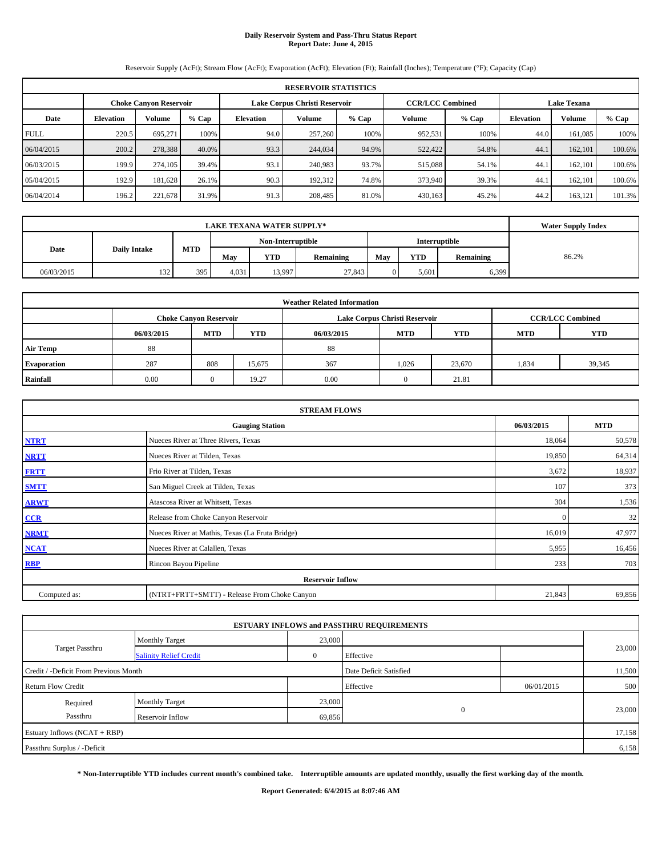# **Daily Reservoir System and Pass-Thru Status Report Report Date: June 4, 2015**

Reservoir Supply (AcFt); Stream Flow (AcFt); Evaporation (AcFt); Elevation (Ft); Rainfall (Inches); Temperature (°F); Capacity (Cap)

| <b>RESERVOIR STATISTICS</b> |                  |                               |         |                  |                               |         |                                               |         |                  |         |         |  |
|-----------------------------|------------------|-------------------------------|---------|------------------|-------------------------------|---------|-----------------------------------------------|---------|------------------|---------|---------|--|
|                             |                  | <b>Choke Canvon Reservoir</b> |         |                  | Lake Corpus Christi Reservoir |         | <b>CCR/LCC Combined</b><br><b>Lake Texana</b> |         |                  |         |         |  |
| Date                        | <b>Elevation</b> | <b>Volume</b>                 | $%$ Cap | <b>Elevation</b> | Volume                        | $%$ Cap | Volume                                        | $%$ Cap | <b>Elevation</b> | Volume  | $%$ Cap |  |
| <b>FULL</b>                 | 220.5            | 695.271                       | 100%    | 94.0             | 257,260                       | 100%    | 952,531                                       | 100%    | 44.0             | 161.085 | 100%    |  |
| 06/04/2015                  | 200.2            | 278,388                       | 40.0%   | 93.3             | 244,034                       | 94.9%   | 522,422                                       | 54.8%   | 44.1             | 162,101 | 100.6%  |  |
| 06/03/2015                  | 199.9            | 274,105                       | 39.4%   | 93.1             | 240,983                       | 93.7%   | 515,088                                       | 54.1%   | 44.1             | 162,101 | 100.6%  |  |
| 05/04/2015                  | 192.9            | 181,628                       | 26.1%   | 90.3             | 192,312                       | 74.8%   | 373,940                                       | 39.3%   | 44.1             | 162,101 | 100.6%  |  |
| 06/04/2014                  | 196.2            | 221,678                       | 31.9%   | 91.3             | 208,485                       | 81.0%   | 430,163                                       | 45.2%   | 44.2             | 163,121 | 101.3%  |  |

|            | <b>Water Supply Index</b> |     |       |                   |           |     |            |               |       |
|------------|---------------------------|-----|-------|-------------------|-----------|-----|------------|---------------|-------|
|            |                           |     |       | Non-Interruptible |           |     |            | Interruptible |       |
| Date       | <b>Daily Intake</b>       | MTD | Mav   | YTD               | Remaining | May | <b>YTD</b> | Remaining     | 86.2% |
| 06/03/2015 | 132                       | 395 | 4,031 | 13,997            | 27,843    |     | 5,601      | 6,399         |       |

| <b>Weather Related Information</b> |            |                               |            |            |                               |                         |            |            |  |  |
|------------------------------------|------------|-------------------------------|------------|------------|-------------------------------|-------------------------|------------|------------|--|--|
|                                    |            | <b>Choke Canyon Reservoir</b> |            |            | Lake Corpus Christi Reservoir | <b>CCR/LCC Combined</b> |            |            |  |  |
|                                    | 06/03/2015 | <b>MTD</b>                    | <b>YTD</b> | 06/03/2015 | <b>MTD</b>                    | <b>YTD</b>              | <b>MTD</b> | <b>YTD</b> |  |  |
| <b>Air Temp</b>                    | 88         |                               |            | 88         |                               |                         |            |            |  |  |
| <b>Evaporation</b>                 | 287        | 808                           | 15,675     | 367        | 1,026                         | 23,670                  | 1,834      | 39,345     |  |  |
| Rainfall                           | 0.00       | 0                             | 19.27      | 0.00       | $\Omega$                      | 21.81                   |            |            |  |  |

| <b>STREAM FLOWS</b> |                                                 |              |        |  |  |  |  |  |  |
|---------------------|-------------------------------------------------|--------------|--------|--|--|--|--|--|--|
|                     | <b>Gauging Station</b>                          |              |        |  |  |  |  |  |  |
| <b>NTRT</b>         | Nueces River at Three Rivers, Texas             | 18,064       | 50,578 |  |  |  |  |  |  |
| <b>NRTT</b>         | Nueces River at Tilden, Texas                   | 19,850       | 64,314 |  |  |  |  |  |  |
| <b>FRTT</b>         | Frio River at Tilden, Texas                     | 3,672        | 18,937 |  |  |  |  |  |  |
| <b>SMTT</b>         | San Miguel Creek at Tilden, Texas               | 107          | 373    |  |  |  |  |  |  |
| <b>ARWT</b>         | Atascosa River at Whitsett, Texas               | 304          | 1,536  |  |  |  |  |  |  |
| $CCR$               | Release from Choke Canyon Reservoir             | $\mathbf{0}$ | 32     |  |  |  |  |  |  |
| <b>NRMT</b>         | Nueces River at Mathis, Texas (La Fruta Bridge) | 16,019       | 47,977 |  |  |  |  |  |  |
| <b>NCAT</b>         | Nueces River at Calallen, Texas                 | 5,955        | 16,456 |  |  |  |  |  |  |
| <b>RBP</b>          | Rincon Bayou Pipeline                           | 233          | 703    |  |  |  |  |  |  |
|                     | <b>Reservoir Inflow</b>                         |              |        |  |  |  |  |  |  |
| Computed as:        | (NTRT+FRTT+SMTT) - Release From Choke Canyon    | 21,843       | 69,856 |  |  |  |  |  |  |

|                                       |                               |          | <b>ESTUARY INFLOWS and PASSTHRU REQUIREMENTS</b> |            |        |
|---------------------------------------|-------------------------------|----------|--------------------------------------------------|------------|--------|
|                                       | <b>Monthly Target</b>         | 23,000   |                                                  |            |        |
| Target Passthru                       | <b>Salinity Relief Credit</b> | $\theta$ | Effective                                        |            | 23,000 |
| Credit / -Deficit From Previous Month |                               |          | Date Deficit Satisfied                           |            | 11,500 |
| <b>Return Flow Credit</b>             |                               |          | Effective                                        | 06/01/2015 | 500    |
| Required                              | <b>Monthly Target</b>         | 23,000   |                                                  |            |        |
| Passthru                              | Reservoir Inflow              | 69,856   | $\mathbf{0}$                                     |            | 23,000 |
| Estuary Inflows (NCAT + RBP)          |                               |          |                                                  |            | 17,158 |
| Passthru Surplus / -Deficit           |                               |          |                                                  |            | 6,158  |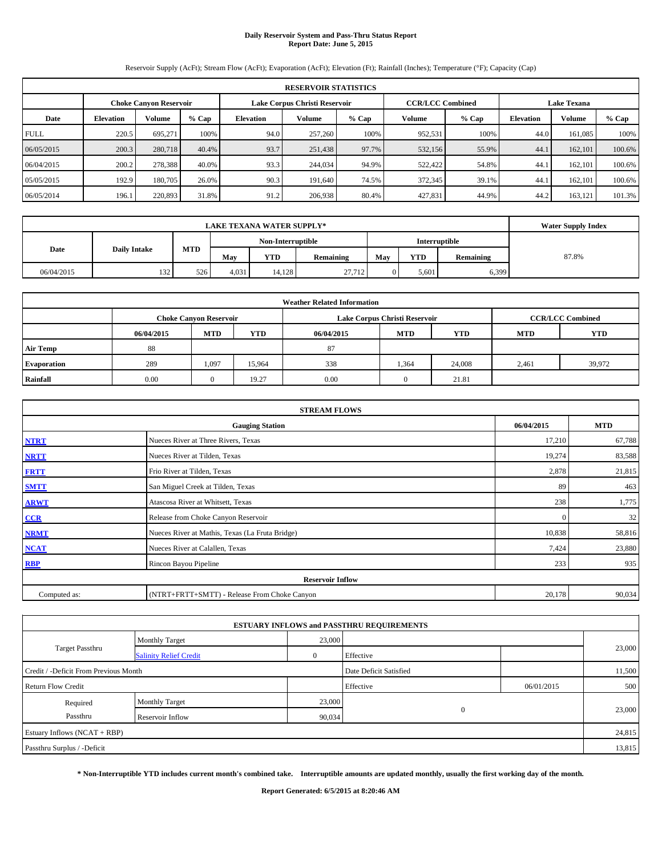# **Daily Reservoir System and Pass-Thru Status Report Report Date: June 5, 2015**

Reservoir Supply (AcFt); Stream Flow (AcFt); Evaporation (AcFt); Elevation (Ft); Rainfall (Inches); Temperature (°F); Capacity (Cap)

|             | <b>RESERVOIR STATISTICS</b>                                    |               |         |                  |         |         |         |                                               |                  |         |         |  |  |
|-------------|----------------------------------------------------------------|---------------|---------|------------------|---------|---------|---------|-----------------------------------------------|------------------|---------|---------|--|--|
|             | Lake Corpus Christi Reservoir<br><b>Choke Canvon Reservoir</b> |               |         |                  |         |         |         | <b>CCR/LCC Combined</b><br><b>Lake Texana</b> |                  |         |         |  |  |
| Date        | <b>Elevation</b>                                               | <b>Volume</b> | $%$ Cap | <b>Elevation</b> | Volume  | $%$ Cap | Volume  | $%$ Cap                                       | <b>Elevation</b> | Volume  | $%$ Cap |  |  |
| <b>FULL</b> | 220.5                                                          | 695.271       | 100%    | 94.0             | 257,260 | 100%    | 952,531 | 100%                                          | 44.0             | 161.085 | 100%    |  |  |
| 06/05/2015  | 200.3                                                          | 280,718       | 40.4%   | 93.7             | 251,438 | 97.7%   | 532,156 | 55.9%                                         | 44.1             | 162,101 | 100.6%  |  |  |
| 06/04/2015  | 200.2                                                          | 278,388       | 40.0%   | 93.3             | 244,034 | 94.9%   | 522,422 | 54.8%                                         | 44.1             | 162,101 | 100.6%  |  |  |
| 05/05/2015  | 192.9                                                          | 180,705       | 26.0%   | 90.3             | 191,640 | 74.5%   | 372,345 | 39.1%                                         | 44.1             | 162,101 | 100.6%  |  |  |
| 06/05/2014  | 196.1                                                          | 220,893       | 31.8%   | 91.2             | 206,938 | 80.4%   | 427,831 | 44.9%                                         | 44.2             | 163,121 | 101.3%  |  |  |

|            | <b>Water Supply Index</b> |            |       |                   |           |     |            |               |       |
|------------|---------------------------|------------|-------|-------------------|-----------|-----|------------|---------------|-------|
|            |                           |            |       | Non-Interruptible |           |     |            | Interruptible |       |
| Date       | <b>Daily Intake</b>       | <b>MTD</b> | Mav   | <b>YTD</b>        | Remaining | May | <b>YTD</b> | Remaining     | 87.8% |
| 06/04/2015 | 132                       | 526        | 4.031 | 14.128            | 27,712    |     | 5.601      | 6,399         |       |

| <b>Weather Related Information</b> |            |                               |            |            |                               |                         |            |            |  |  |
|------------------------------------|------------|-------------------------------|------------|------------|-------------------------------|-------------------------|------------|------------|--|--|
|                                    |            | <b>Choke Canyon Reservoir</b> |            |            | Lake Corpus Christi Reservoir | <b>CCR/LCC Combined</b> |            |            |  |  |
|                                    | 06/04/2015 | <b>MTD</b>                    | <b>YTD</b> | 06/04/2015 | <b>MTD</b>                    | <b>YTD</b>              | <b>MTD</b> | <b>YTD</b> |  |  |
| <b>Air Temp</b>                    | 88         |                               |            | 87         |                               |                         |            |            |  |  |
| <b>Evaporation</b>                 | 289        | 1,097                         | 15.964     | 338        | 1,364                         | 24,008                  | 2,461      | 39,972     |  |  |
| Rainfall                           | 0.00       | $\Omega$                      | 19.27      | 0.00       | $\Omega$                      | 21.81                   |            |            |  |  |

| <b>STREAM FLOWS</b> |                                                 |              |        |  |  |  |  |  |  |
|---------------------|-------------------------------------------------|--------------|--------|--|--|--|--|--|--|
|                     | <b>Gauging Station</b>                          |              |        |  |  |  |  |  |  |
| <b>NTRT</b>         | Nueces River at Three Rivers, Texas             |              |        |  |  |  |  |  |  |
| <b>NRTT</b>         | Nueces River at Tilden, Texas                   | 19,274       | 83,588 |  |  |  |  |  |  |
| <b>FRTT</b>         | Frio River at Tilden, Texas                     | 2,878        | 21,815 |  |  |  |  |  |  |
| <b>SMTT</b>         | San Miguel Creek at Tilden, Texas               | 89           | 463    |  |  |  |  |  |  |
| <b>ARWT</b>         | Atascosa River at Whitsett, Texas               | 238          | 1,775  |  |  |  |  |  |  |
| CCR                 | Release from Choke Canyon Reservoir             | $\mathbf{0}$ | 32     |  |  |  |  |  |  |
| <b>NRMT</b>         | Nueces River at Mathis, Texas (La Fruta Bridge) | 10,838       | 58,816 |  |  |  |  |  |  |
| <b>NCAT</b>         | Nueces River at Calallen, Texas                 | 7,424        | 23,880 |  |  |  |  |  |  |
| <b>RBP</b>          | Rincon Bayou Pipeline                           | 233          | 935    |  |  |  |  |  |  |
|                     | <b>Reservoir Inflow</b>                         |              |        |  |  |  |  |  |  |
| Computed as:        | (NTRT+FRTT+SMTT) - Release From Choke Canyon    | 20,178       | 90,034 |  |  |  |  |  |  |

|                                                  |                         |          | <b>ESTUARY INFLOWS and PASSTHRU REQUIREMENTS</b> |            |        |
|--------------------------------------------------|-------------------------|----------|--------------------------------------------------|------------|--------|
|                                                  | <b>Monthly Target</b>   | 23,000   |                                                  |            |        |
| Target Passthru<br><b>Salinity Relief Credit</b> |                         | $\Omega$ | Effective                                        |            | 23,000 |
| Credit / -Deficit From Previous Month            |                         |          | Date Deficit Satisfied                           |            | 11,500 |
| <b>Return Flow Credit</b>                        |                         |          | Effective                                        | 06/01/2015 | 500    |
| Required                                         | <b>Monthly Target</b>   | 23,000   |                                                  |            |        |
| Passthru                                         | <b>Reservoir Inflow</b> | 90,034   | $\mathbf{0}$                                     |            | 23,000 |
| Estuary Inflows (NCAT + RBP)                     |                         |          |                                                  |            | 24,815 |
| Passthru Surplus / -Deficit                      |                         |          |                                                  |            | 13,815 |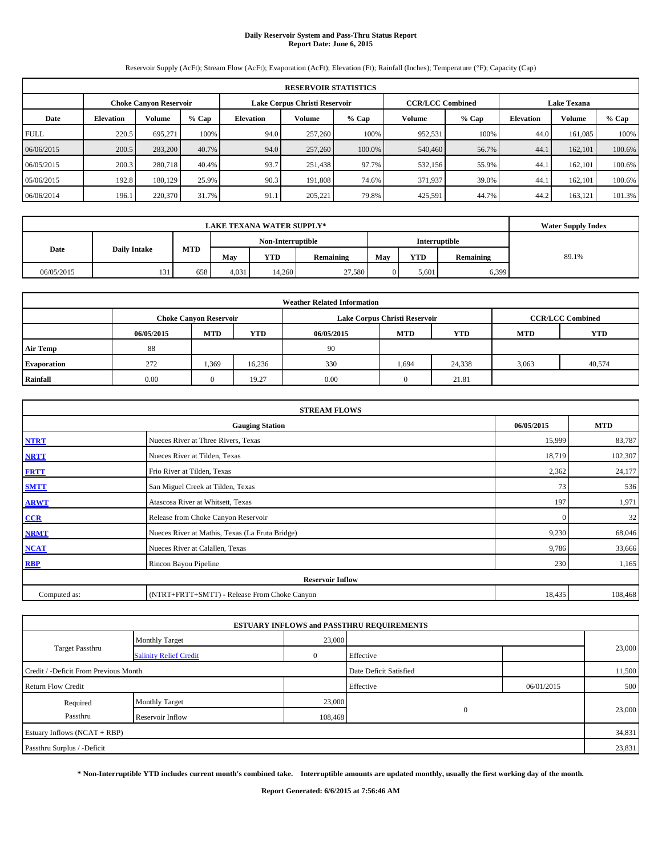# **Daily Reservoir System and Pass-Thru Status Report Report Date: June 6, 2015**

Reservoir Supply (AcFt); Stream Flow (AcFt); Evaporation (AcFt); Elevation (Ft); Rainfall (Inches); Temperature (°F); Capacity (Cap)

|             | <b>RESERVOIR STATISTICS</b> |                               |         |                               |               |         |                         |         |                    |               |         |  |  |
|-------------|-----------------------------|-------------------------------|---------|-------------------------------|---------------|---------|-------------------------|---------|--------------------|---------------|---------|--|--|
|             |                             | <b>Choke Canvon Reservoir</b> |         | Lake Corpus Christi Reservoir |               |         | <b>CCR/LCC Combined</b> |         | <b>Lake Texana</b> |               |         |  |  |
| Date        | <b>Elevation</b>            | Volume                        | $%$ Cap | Elevation                     | <b>Volume</b> | $%$ Cap | Volume                  | $%$ Cap | <b>Elevation</b>   | <b>Volume</b> | $%$ Cap |  |  |
| <b>FULL</b> | 220.5                       | 695.271                       | 100%    | 94.0                          | 257,260       | 100%    | 952,531                 | 100%    | 44.0               | 161.085       | 100%    |  |  |
| 06/06/2015  | 200.5                       | 283,200                       | 40.7%   | 94.0                          | 257,260       | 100.0%  | 540,460                 | 56.7%   | 44.1               | 162,101       | 100.6%  |  |  |
| 06/05/2015  | 200.3                       | 280,718                       | 40.4%   | 93.7                          | 251,438       | 97.7%   | 532,156                 | 55.9%   | 44.1               | 162,101       | 100.6%  |  |  |
| 05/06/2015  | 192.8                       | 180.129                       | 25.9%   | 90.3                          | 191.808       | 74.6%   | 371,937                 | 39.0%   | 44.1               | 162.101       | 100.6%  |  |  |
| 06/06/2014  | 196.1                       | 220,370                       | 31.7%   | 91.1                          | 205,221       | 79.8%   | 425,591                 | 44.7%   | 44.2               | 163,121       | 101.3%  |  |  |

|            | <b>Water Supply Index</b> |     |       |                   |           |     |            |               |       |
|------------|---------------------------|-----|-------|-------------------|-----------|-----|------------|---------------|-------|
|            |                           |     |       | Non-Interruptible |           |     |            | Interruptible |       |
| Date       | <b>Daily Intake</b>       | MTD | May   | <b>YTD</b>        | Remaining | May | <b>YTD</b> | Remaining     | 89.1% |
| 06/05/2015 | 131                       | 658 | 4,031 | 14.260            | 27,580    |     | 5.601      | 6,399         |       |

| <b>Weather Related Information</b> |            |                                                                                  |        |      |                               |                         |       |        |  |  |  |
|------------------------------------|------------|----------------------------------------------------------------------------------|--------|------|-------------------------------|-------------------------|-------|--------|--|--|--|
|                                    |            | <b>Choke Canyon Reservoir</b>                                                    |        |      | Lake Corpus Christi Reservoir | <b>CCR/LCC Combined</b> |       |        |  |  |  |
|                                    | 06/05/2015 | <b>YTD</b><br><b>MTD</b><br><b>MTD</b><br>06/05/2015<br><b>YTD</b><br><b>MTD</b> |        |      |                               |                         |       |        |  |  |  |
| <b>Air Temp</b>                    | 88         |                                                                                  |        | 90   |                               |                         |       |        |  |  |  |
| <b>Evaporation</b>                 | 272        | 1,369                                                                            | 16,236 | 330  | 1,694                         | 24,338                  | 3,063 | 40,574 |  |  |  |
| Rainfall                           | 0.00       | 0                                                                                | 19.27  | 0.00 | $\Omega$                      | 21.81                   |       |        |  |  |  |

|              | <b>STREAM FLOWS</b>                             |              |         |  |  |  |  |
|--------------|-------------------------------------------------|--------------|---------|--|--|--|--|
|              | <b>Gauging Station</b>                          |              |         |  |  |  |  |
| <b>NTRT</b>  | Nueces River at Three Rivers, Texas             |              |         |  |  |  |  |
| <b>NRTT</b>  | Nueces River at Tilden, Texas                   | 18,719       | 102,307 |  |  |  |  |
| <b>FRTT</b>  | Frio River at Tilden, Texas                     | 2,362        | 24,177  |  |  |  |  |
| <b>SMTT</b>  | San Miguel Creek at Tilden, Texas               | 73           | 536     |  |  |  |  |
| <b>ARWT</b>  | Atascosa River at Whitsett, Texas               | 197          | 1,971   |  |  |  |  |
| CCR          | Release from Choke Canyon Reservoir             | $\mathbf{0}$ | 32      |  |  |  |  |
| <b>NRMT</b>  | Nueces River at Mathis, Texas (La Fruta Bridge) | 9,230        | 68,046  |  |  |  |  |
| <b>NCAT</b>  | Nueces River at Calallen, Texas                 | 9,786        | 33,666  |  |  |  |  |
| <b>RBP</b>   | Rincon Bayou Pipeline                           | 230          | 1,165   |  |  |  |  |
|              | <b>Reservoir Inflow</b>                         |              |         |  |  |  |  |
| Computed as: | (NTRT+FRTT+SMTT) - Release From Choke Canyon    | 18,435       | 108,468 |  |  |  |  |

|                                       |                               |         | <b>ESTUARY INFLOWS and PASSTHRU REQUIREMENTS</b> |            |        |
|---------------------------------------|-------------------------------|---------|--------------------------------------------------|------------|--------|
|                                       | <b>Monthly Target</b>         | 23,000  |                                                  |            |        |
| Target Passthru                       | <b>Salinity Relief Credit</b> |         | Effective                                        |            | 23,000 |
| Credit / -Deficit From Previous Month |                               |         | Date Deficit Satisfied                           |            | 11,500 |
| <b>Return Flow Credit</b>             |                               |         | Effective                                        | 06/01/2015 | 500    |
| Required                              | <b>Monthly Target</b>         | 23,000  |                                                  |            |        |
| Passthru                              | Reservoir Inflow              | 108,468 | $\Omega$                                         |            | 23,000 |
| Estuary Inflows (NCAT + RBP)          |                               |         |                                                  |            | 34,831 |
| Passthru Surplus / -Deficit           |                               |         |                                                  |            | 23,831 |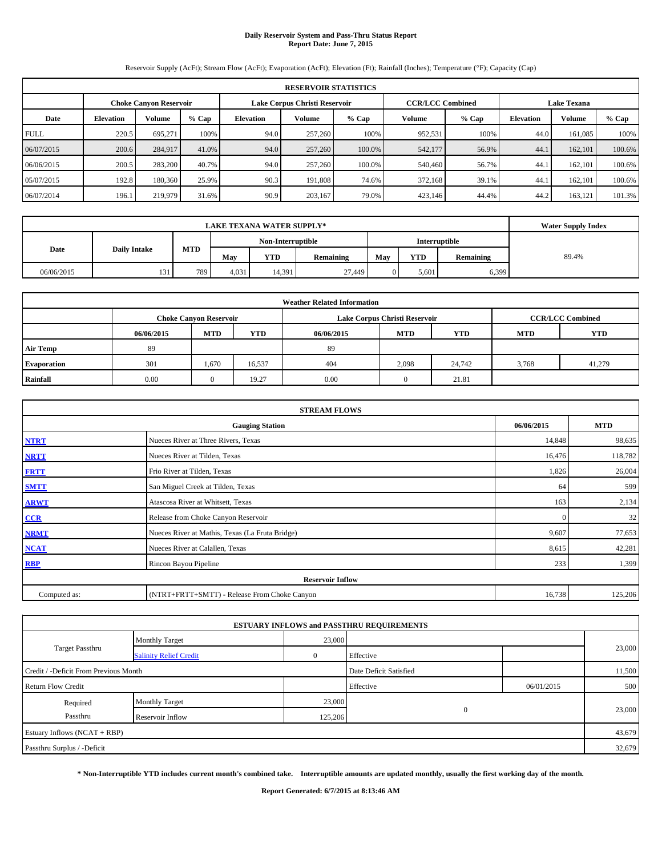# **Daily Reservoir System and Pass-Thru Status Report Report Date: June 7, 2015**

Reservoir Supply (AcFt); Stream Flow (AcFt); Evaporation (AcFt); Elevation (Ft); Rainfall (Inches); Temperature (°F); Capacity (Cap)

|             | <b>RESERVOIR STATISTICS</b> |                               |         |           |                               |        |                         |         |                  |                    |         |  |  |
|-------------|-----------------------------|-------------------------------|---------|-----------|-------------------------------|--------|-------------------------|---------|------------------|--------------------|---------|--|--|
|             |                             | <b>Choke Canvon Reservoir</b> |         |           | Lake Corpus Christi Reservoir |        | <b>CCR/LCC Combined</b> |         |                  | <b>Lake Texana</b> |         |  |  |
| Date        | <b>Elevation</b>            | <b>Volume</b>                 | $%$ Cap | Elevation | <b>Volume</b><br>$%$ Cap      |        |                         | $%$ Cap | <b>Elevation</b> | Volume             | $%$ Cap |  |  |
| <b>FULL</b> | 220.5                       | 695.271                       | 100%    | 94.0      | 257,260                       | 100%   | 952,531                 | 100%    | 44.0             | 161.085            | 100%    |  |  |
| 06/07/2015  | 200.6                       | 284,917                       | 41.0%   | 94.0      | 257,260                       | 100.0% | 542,177                 | 56.9%   | 44.1             | 162,101            | 100.6%  |  |  |
| 06/06/2015  | 200.5                       | 283,200                       | 40.7%   | 94.0      | 257,260                       | 100.0% | 540,460                 | 56.7%   | 44.1             | 162,101            | 100.6%  |  |  |
| 05/07/2015  | 192.8                       | 180,360                       | 25.9%   | 90.3      | 191,808                       | 74.6%  | 372,168                 | 39.1%   | 44.1             | 162,101            | 100.6%  |  |  |
| 06/07/2014  | 196.1                       | 219,979                       | 31.6%   | 90.9      | 203,167                       | 79.0%  | 423,146                 | 44.4%   | 44.2             | 163,121            | 101.3%  |  |  |

|            | <b>Water Supply Index</b> |     |       |                   |           |     |            |               |       |
|------------|---------------------------|-----|-------|-------------------|-----------|-----|------------|---------------|-------|
|            |                           |     |       | Non-Interruptible |           |     |            | Interruptible |       |
| Date       | <b>Daily Intake</b>       | MTD | May   | <b>YTD</b>        | Remaining | May | <b>YTD</b> | Remaining     | 89.4% |
| 06/06/2015 | 131                       | 789 | 4,031 | 14,391            | 27,449    |     | 5.601      | 6,399         |       |

| <b>Weather Related Information</b> |            |                               |            |            |                               |                         |       |        |  |  |
|------------------------------------|------------|-------------------------------|------------|------------|-------------------------------|-------------------------|-------|--------|--|--|
|                                    |            | <b>Choke Canyon Reservoir</b> |            |            | Lake Corpus Christi Reservoir | <b>CCR/LCC Combined</b> |       |        |  |  |
|                                    | 06/06/2015 | <b>MTD</b>                    | <b>YTD</b> | 06/06/2015 | <b>MTD</b>                    | <b>YTD</b>              |       |        |  |  |
| <b>Air Temp</b>                    | 89         |                               |            | 89         |                               |                         |       |        |  |  |
| <b>Evaporation</b>                 | 301        | 1,670                         | 16,537     | 404        | 2,098                         | 24,742                  | 3,768 | 41,279 |  |  |
| Rainfall                           | 0.00       | 0                             | 19.27      | 0.00       | $\Omega$                      | 21.81                   |       |        |  |  |

|              | <b>STREAM FLOWS</b>                             |              |         |  |  |  |  |
|--------------|-------------------------------------------------|--------------|---------|--|--|--|--|
|              | 06/06/2015                                      | <b>MTD</b>   |         |  |  |  |  |
| <b>NTRT</b>  | Nueces River at Three Rivers, Texas             |              |         |  |  |  |  |
| <b>NRTT</b>  | Nueces River at Tilden, Texas                   | 16,476       | 118,782 |  |  |  |  |
| <b>FRTT</b>  | Frio River at Tilden, Texas                     | 1,826        | 26,004  |  |  |  |  |
| <b>SMTT</b>  | San Miguel Creek at Tilden, Texas               | 64           | 599     |  |  |  |  |
| <b>ARWT</b>  | Atascosa River at Whitsett, Texas               | 163          | 2,134   |  |  |  |  |
| CCR          | Release from Choke Canyon Reservoir             | $\mathbf{0}$ | 32      |  |  |  |  |
| <b>NRMT</b>  | Nueces River at Mathis, Texas (La Fruta Bridge) | 9,607        | 77,653  |  |  |  |  |
| <b>NCAT</b>  | Nueces River at Calallen, Texas                 | 8,615        | 42,281  |  |  |  |  |
| <b>RBP</b>   | Rincon Bayou Pipeline                           | 233          | 1,399   |  |  |  |  |
|              | <b>Reservoir Inflow</b>                         |              |         |  |  |  |  |
| Computed as: | (NTRT+FRTT+SMTT) - Release From Choke Canyon    | 16,738       | 125,206 |  |  |  |  |

|                                       |                               |         | <b>ESTUARY INFLOWS and PASSTHRU REQUIREMENTS</b> |            |        |
|---------------------------------------|-------------------------------|---------|--------------------------------------------------|------------|--------|
|                                       | <b>Monthly Target</b>         | 23,000  |                                                  |            |        |
| Target Passthru                       | <b>Salinity Relief Credit</b> |         | Effective                                        |            | 23,000 |
| Credit / -Deficit From Previous Month |                               |         | Date Deficit Satisfied                           |            | 11,500 |
| <b>Return Flow Credit</b>             |                               |         | Effective                                        | 06/01/2015 | 500    |
| Required                              | <b>Monthly Target</b>         | 23,000  |                                                  |            |        |
| Passthru                              | Reservoir Inflow              | 125,206 | $\Omega$                                         |            | 23,000 |
| Estuary Inflows (NCAT + RBP)          |                               |         |                                                  |            | 43,679 |
| Passthru Surplus / -Deficit           |                               |         |                                                  |            | 32,679 |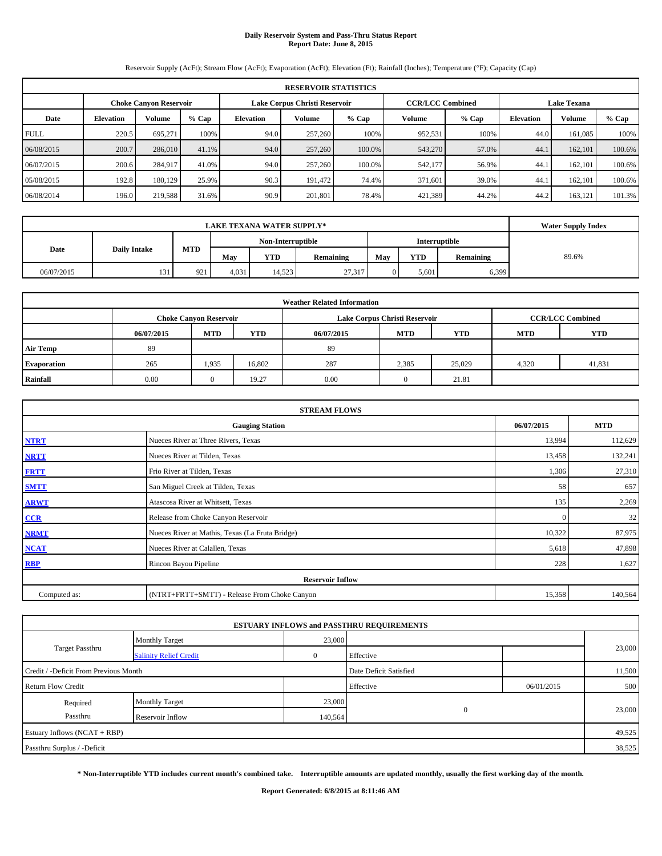# **Daily Reservoir System and Pass-Thru Status Report Report Date: June 8, 2015**

Reservoir Supply (AcFt); Stream Flow (AcFt); Evaporation (AcFt); Elevation (Ft); Rainfall (Inches); Temperature (°F); Capacity (Cap)

|             | <b>RESERVOIR STATISTICS</b> |                               |         |                  |                          |                                                          |         |         |                    |               |         |  |  |
|-------------|-----------------------------|-------------------------------|---------|------------------|--------------------------|----------------------------------------------------------|---------|---------|--------------------|---------------|---------|--|--|
|             |                             | <b>Choke Canvon Reservoir</b> |         |                  |                          | <b>CCR/LCC Combined</b><br>Lake Corpus Christi Reservoir |         |         | <b>Lake Texana</b> |               |         |  |  |
| Date        | <b>Elevation</b>            | <b>Volume</b>                 | $%$ Cap | <b>Elevation</b> | <b>Volume</b><br>$%$ Cap |                                                          |         | $%$ Cap | <b>Elevation</b>   | <b>Volume</b> | $%$ Cap |  |  |
| <b>FULL</b> | 220.5                       | 695.271                       | 100%    | 94.0             | 257,260                  | 100%                                                     | 952,531 | 100%    | 44.0               | 161.085       | 100%    |  |  |
| 06/08/2015  | 200.7                       | 286,010                       | 41.1%   | 94.0             | 257,260                  | 100.0%                                                   | 543,270 | 57.0%   | 44.1               | 162,101       | 100.6%  |  |  |
| 06/07/2015  | 200.6                       | 284,917                       | 41.0%   | 94.0             | 257,260                  | 100.0%                                                   | 542,177 | 56.9%   | 44.1               | 162.101       | 100.6%  |  |  |
| 05/08/2015  | 192.8                       | 180.129                       | 25.9%   | 90.3             | 191.472                  | 74.4%                                                    | 371,601 | 39.0%   | 44.1               | 162,101       | 100.6%  |  |  |
| 06/08/2014  | 196.0                       | 219,588                       | 31.6%   | 90.9             | 201,801                  | 78.4%                                                    | 421,389 | 44.2%   | 44.2               | 163,121       | 101.3%  |  |  |

|                                    | <b>Water Supply Index</b> |              |       |            |           |     |            |           |       |
|------------------------------------|---------------------------|--------------|-------|------------|-----------|-----|------------|-----------|-------|
| Non-Interruptible<br>Interruptible |                           |              |       |            |           |     |            |           |       |
| <b>Daily Intake</b><br>Date        |                           | <b>MTD</b>   | Mav   | <b>YTD</b> | Remaining | May | <b>YTD</b> | Remaining | 89.6% |
| 06/07/2015                         | 131                       | 021<br>1 L I | 4.031 | 14.523     | 27,317    |     | 5.601      | 6,399     |       |

| <b>Weather Related Information</b> |            |                                                                                           |            |            |            |            |            |            |  |  |  |  |  |  |
|------------------------------------|------------|-------------------------------------------------------------------------------------------|------------|------------|------------|------------|------------|------------|--|--|--|--|--|--|
|                                    |            | <b>CCR/LCC Combined</b><br>Lake Corpus Christi Reservoir<br><b>Choke Canyon Reservoir</b> |            |            |            |            |            |            |  |  |  |  |  |  |
|                                    | 06/07/2015 | <b>MTD</b>                                                                                | <b>YTD</b> | 06/07/2015 | <b>MTD</b> | <b>YTD</b> | <b>MTD</b> | <b>YTD</b> |  |  |  |  |  |  |
| <b>Air Temp</b>                    | 89         |                                                                                           |            | 89         |            |            |            |            |  |  |  |  |  |  |
| <b>Evaporation</b>                 | 265        | 1,935                                                                                     | 16,802     | 287        | 2,385      | 25,029     | 4,320      | 41,831     |  |  |  |  |  |  |
| Rainfall                           | 0.00       | 0                                                                                         | 19.27      | 0.00       | $\Omega$   | 21.81      |            |            |  |  |  |  |  |  |

|                                                    | <b>STREAM FLOWS</b>                             |              |         |  |  |  |  |  |
|----------------------------------------------------|-------------------------------------------------|--------------|---------|--|--|--|--|--|
| <b>MTD</b><br>06/07/2015<br><b>Gauging Station</b> |                                                 |              |         |  |  |  |  |  |
| <b>NTRT</b>                                        | Nueces River at Three Rivers, Texas             | 13,994       | 112,629 |  |  |  |  |  |
| <b>NRTT</b>                                        | Nueces River at Tilden, Texas                   | 13,458       | 132,241 |  |  |  |  |  |
| <b>FRTT</b>                                        | Frio River at Tilden, Texas                     | 1,306        | 27,310  |  |  |  |  |  |
| <b>SMTT</b>                                        | San Miguel Creek at Tilden, Texas               | 58           | 657     |  |  |  |  |  |
| <b>ARWT</b>                                        | Atascosa River at Whitsett, Texas               | 135          | 2,269   |  |  |  |  |  |
| CCR                                                | Release from Choke Canyon Reservoir             | $\mathbf{0}$ | 32      |  |  |  |  |  |
| <b>NRMT</b>                                        | Nueces River at Mathis, Texas (La Fruta Bridge) | 10,322       | 87,975  |  |  |  |  |  |
| NCAT                                               | Nueces River at Calallen, Texas                 | 5,618        | 47,898  |  |  |  |  |  |
| <b>RBP</b>                                         | Rincon Bayou Pipeline                           | 228          | 1,627   |  |  |  |  |  |
|                                                    | <b>Reservoir Inflow</b>                         |              |         |  |  |  |  |  |
| Computed as:                                       | (NTRT+FRTT+SMTT) - Release From Choke Canyon    | 15,358       | 140,564 |  |  |  |  |  |

|                                       |                               |         | <b>ESTUARY INFLOWS and PASSTHRU REQUIREMENTS</b> |            |        |
|---------------------------------------|-------------------------------|---------|--------------------------------------------------|------------|--------|
|                                       | <b>Monthly Target</b>         | 23,000  |                                                  |            |        |
| <b>Target Passthru</b>                | <b>Salinity Relief Credit</b> |         | Effective                                        |            | 23,000 |
| Credit / -Deficit From Previous Month |                               |         | Date Deficit Satisfied                           |            | 11,500 |
| <b>Return Flow Credit</b>             |                               |         | Effective                                        | 06/01/2015 | 500    |
| Required                              | <b>Monthly Target</b>         | 23,000  |                                                  |            |        |
| Passthru                              | Reservoir Inflow              | 140,564 | $\Omega$                                         |            | 23,000 |
| Estuary Inflows (NCAT + RBP)          |                               |         |                                                  |            | 49,525 |
| Passthru Surplus / -Deficit           |                               |         |                                                  |            | 38,525 |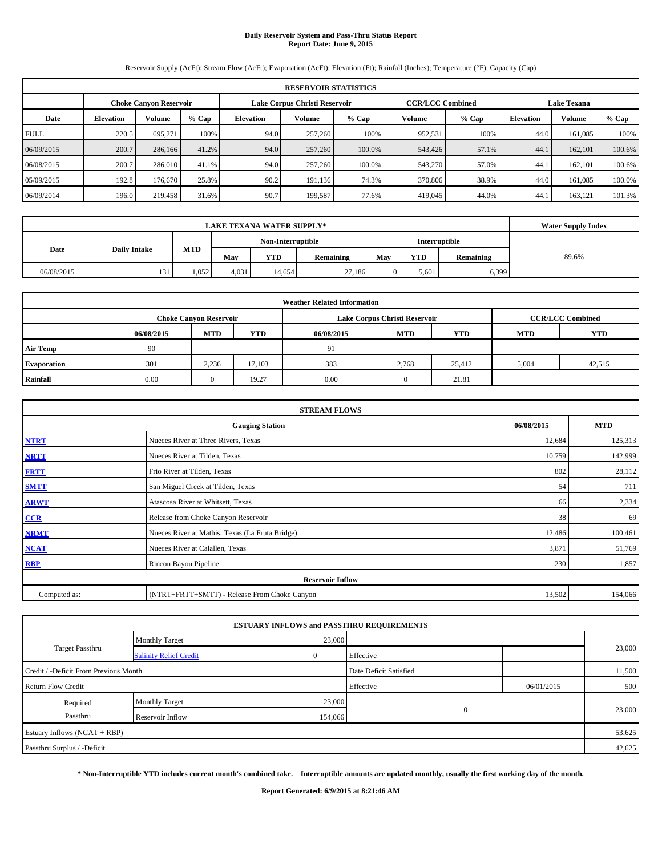# **Daily Reservoir System and Pass-Thru Status Report Report Date: June 9, 2015**

Reservoir Supply (AcFt); Stream Flow (AcFt); Evaporation (AcFt); Elevation (Ft); Rainfall (Inches); Temperature (°F); Capacity (Cap)

|             | <b>RESERVOIR STATISTICS</b>                                                                                     |               |         |           |               |         |         |         |                  |         |         |  |  |  |  |
|-------------|-----------------------------------------------------------------------------------------------------------------|---------------|---------|-----------|---------------|---------|---------|---------|------------------|---------|---------|--|--|--|--|
|             | <b>CCR/LCC Combined</b><br><b>Lake Texana</b><br>Lake Corpus Christi Reservoir<br><b>Choke Canvon Reservoir</b> |               |         |           |               |         |         |         |                  |         |         |  |  |  |  |
| Date        | <b>Elevation</b>                                                                                                | <b>Volume</b> | $%$ Cap | Elevation | <b>Volume</b> | $%$ Cap | Volume  | $%$ Cap | <b>Elevation</b> | Volume  | $%$ Cap |  |  |  |  |
| <b>FULL</b> | 220.5                                                                                                           | 695.271       | 100%    | 94.0      | 257,260       | 100%    | 952,531 | 100%    | 44.0             | 161.085 | 100%    |  |  |  |  |
| 06/09/2015  | 200.7                                                                                                           | 286,166       | 41.2%   | 94.0      | 257,260       | 100.0%  | 543,426 | 57.1%   | 44.1             | 162,101 | 100.6%  |  |  |  |  |
| 06/08/2015  | 200.7                                                                                                           | 286,010       | 41.1%   | 94.0      | 257,260       | 100.0%  | 543,270 | 57.0%   | 44.1             | 162,101 | 100.6%  |  |  |  |  |
| 05/09/2015  | 192.8                                                                                                           | 176,670       | 25.8%   | 90.2      | 191,136       | 74.3%   | 370,806 | 38.9%   | 44.0             | 161.085 | 100.0%  |  |  |  |  |
| 06/09/2014  | 196.0                                                                                                           | 219,458       | 31.6%   | 90.7      | 199.587       | 77.6%   | 419,045 | 44.0%   | 44.              | 163,121 | 101.3%  |  |  |  |  |

|                                    | <b>Water Supply Index</b> |            |       |            |           |     |            |                  |       |
|------------------------------------|---------------------------|------------|-------|------------|-----------|-----|------------|------------------|-------|
| Non-Interruptible<br>Interruptible |                           |            |       |            |           |     |            |                  |       |
| <b>Daily Intake</b><br>Date        |                           | <b>MTD</b> | May   | <b>YTD</b> | Remaining | May | <b>YTD</b> | <b>Remaining</b> | 89.6% |
| 06/08/2015                         | 131                       | 1.052      | 4,031 | 14.654     | 27.186    |     | 5,601      | 6,399            |       |

|                    |            |                                                                                           |            | <b>Weather Related Information</b> |            |            |            |            |  |  |  |  |  |
|--------------------|------------|-------------------------------------------------------------------------------------------|------------|------------------------------------|------------|------------|------------|------------|--|--|--|--|--|
|                    |            | <b>CCR/LCC Combined</b><br>Lake Corpus Christi Reservoir<br><b>Choke Canyon Reservoir</b> |            |                                    |            |            |            |            |  |  |  |  |  |
|                    | 06/08/2015 | <b>MTD</b>                                                                                | <b>YTD</b> | 06/08/2015                         | <b>MTD</b> | <b>YTD</b> | <b>MTD</b> | <b>YTD</b> |  |  |  |  |  |
| <b>Air Temp</b>    | -90        |                                                                                           |            | 91                                 |            |            |            |            |  |  |  |  |  |
| <b>Evaporation</b> | 301        | 2,236                                                                                     | 17.103     | 383                                | 2,768      | 25,412     | 5,004      | 42,515     |  |  |  |  |  |
| Rainfall           | 0.00       | $_{0}$                                                                                    | 19.27      | 0.00                               | $\Omega$   | 21.81      |            |            |  |  |  |  |  |

|              | <b>STREAM FLOWS</b>                                |        |         |  |  |  |  |  |  |  |
|--------------|----------------------------------------------------|--------|---------|--|--|--|--|--|--|--|
|              | 06/08/2015<br><b>MTD</b><br><b>Gauging Station</b> |        |         |  |  |  |  |  |  |  |
| <b>NTRT</b>  | Nueces River at Three Rivers, Texas                | 12,684 | 125,313 |  |  |  |  |  |  |  |
| <b>NRTT</b>  | Nueces River at Tilden, Texas                      | 10,759 | 142,999 |  |  |  |  |  |  |  |
| <b>FRTT</b>  | Frio River at Tilden, Texas                        | 802    | 28,112  |  |  |  |  |  |  |  |
| <b>SMTT</b>  | San Miguel Creek at Tilden, Texas                  | 54     | 711     |  |  |  |  |  |  |  |
| <b>ARWT</b>  | Atascosa River at Whitsett, Texas                  | 66     | 2,334   |  |  |  |  |  |  |  |
| CCR          | Release from Choke Canyon Reservoir                | 38     | 69      |  |  |  |  |  |  |  |
| <b>NRMT</b>  | Nueces River at Mathis, Texas (La Fruta Bridge)    | 12,486 | 100,461 |  |  |  |  |  |  |  |
| <b>NCAT</b>  | Nueces River at Calallen, Texas                    | 3,871  | 51,769  |  |  |  |  |  |  |  |
| <b>RBP</b>   | Rincon Bayou Pipeline                              | 230    | 1,857   |  |  |  |  |  |  |  |
|              | <b>Reservoir Inflow</b>                            |        |         |  |  |  |  |  |  |  |
| Computed as: | (NTRT+FRTT+SMTT) - Release From Choke Canyon       | 13,502 | 154,066 |  |  |  |  |  |  |  |

|                                       |                               |         | <b>ESTUARY INFLOWS and PASSTHRU REQUIREMENTS</b> |            |        |
|---------------------------------------|-------------------------------|---------|--------------------------------------------------|------------|--------|
|                                       | <b>Monthly Target</b>         | 23,000  |                                                  |            |        |
| <b>Target Passthru</b>                | <b>Salinity Relief Credit</b> |         | Effective                                        |            | 23,000 |
| Credit / -Deficit From Previous Month |                               |         | Date Deficit Satisfied                           |            | 11,500 |
| <b>Return Flow Credit</b>             |                               |         | Effective                                        | 06/01/2015 | 500    |
| Required                              | <b>Monthly Target</b>         | 23,000  |                                                  |            |        |
| Passthru                              | Reservoir Inflow              | 154,066 | $\mathbf{0}$                                     |            | 23,000 |
| Estuary Inflows (NCAT + RBP)          |                               |         |                                                  |            | 53,625 |
| Passthru Surplus / -Deficit           |                               |         |                                                  |            | 42,625 |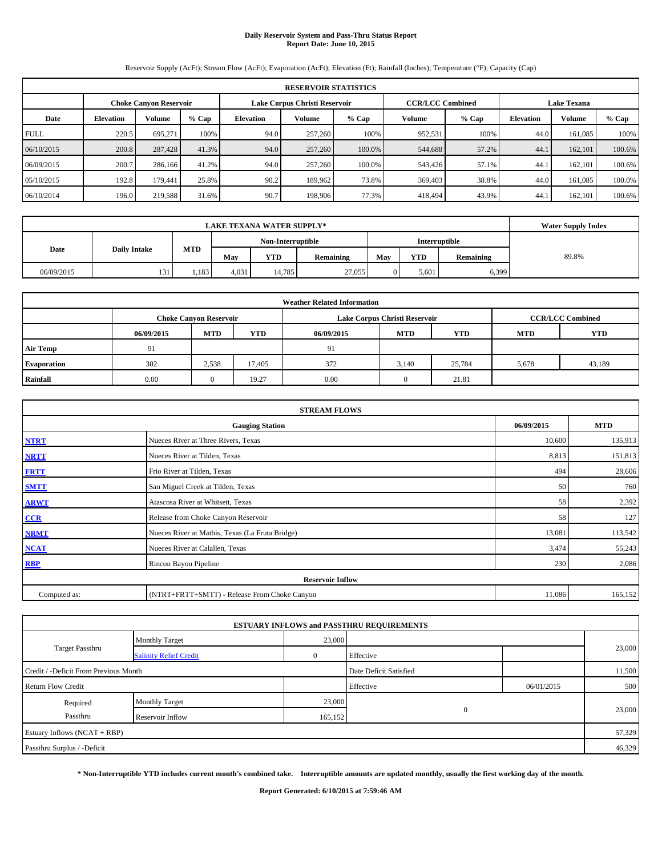# **Daily Reservoir System and Pass-Thru Status Report Report Date: June 10, 2015**

Reservoir Supply (AcFt); Stream Flow (AcFt); Evaporation (AcFt); Elevation (Ft); Rainfall (Inches); Temperature (°F); Capacity (Cap)

|             | <b>RESERVOIR STATISTICS</b>                                                                                     |         |         |                  |               |         |         |         |                  |         |        |  |  |  |  |
|-------------|-----------------------------------------------------------------------------------------------------------------|---------|---------|------------------|---------------|---------|---------|---------|------------------|---------|--------|--|--|--|--|
|             | <b>CCR/LCC Combined</b><br>Lake Corpus Christi Reservoir<br><b>Lake Texana</b><br><b>Choke Canvon Reservoir</b> |         |         |                  |               |         |         |         |                  |         |        |  |  |  |  |
| Date        | <b>Elevation</b>                                                                                                | Volume  | $%$ Cap | <b>Elevation</b> | <b>Volume</b> | $%$ Cap | Volume  | $%$ Cap | <b>Elevation</b> | Volume  | % Cap  |  |  |  |  |
| <b>FULL</b> | 220.5                                                                                                           | 695.271 | 100%    | 94.0             | 257,260       | 100%    | 952,531 | 100%    | 44.0             | 161.085 | 100%   |  |  |  |  |
| 06/10/2015  | 200.8                                                                                                           | 287,428 | 41.3%   | 94.0             | 257,260       | 100.0%  | 544,688 | 57.2%   | 44.1             | 162,101 | 100.6% |  |  |  |  |
| 06/09/2015  | 200.7                                                                                                           | 286,166 | 41.2%   | 94.0             | 257,260       | 100.0%  | 543,426 | 57.1%   | 44.1             | 162.101 | 100.6% |  |  |  |  |
| 05/10/2015  | 192.8                                                                                                           | 179.441 | 25.8%   | 90.2             | 189.962       | 73.8%   | 369,403 | 38.8%   | 44.0             | 161.085 | 100.0% |  |  |  |  |
| 06/10/2014  | 196.0                                                                                                           | 219,588 | 31.6%   | 90.7             | 198,906       | 77.3%   | 418,494 | 43.9%   | 44.              | 162,101 | 100.6% |  |  |  |  |

|                                                  | <b>Water Supply Index</b> |       |       |            |           |     |            |                  |       |
|--------------------------------------------------|---------------------------|-------|-------|------------|-----------|-----|------------|------------------|-------|
| Non-Interruptible<br>Interruptible<br><b>MTD</b> |                           |       |       |            |           |     |            |                  |       |
| <b>Daily Intake</b><br>Date                      |                           |       | May   | <b>YTD</b> | Remaining | May | <b>YTD</b> | <b>Remaining</b> | 89.8% |
| 06/09/2015                                       | 131                       | 1,183 | 4,031 | 14.785     | 27,055    |     | 5,601      | 6,399            |       |

|                    |            |                                                                                           |            | <b>Weather Related Information</b> |            |            |            |            |  |  |  |  |  |
|--------------------|------------|-------------------------------------------------------------------------------------------|------------|------------------------------------|------------|------------|------------|------------|--|--|--|--|--|
|                    |            | <b>CCR/LCC Combined</b><br>Lake Corpus Christi Reservoir<br><b>Choke Canyon Reservoir</b> |            |                                    |            |            |            |            |  |  |  |  |  |
|                    | 06/09/2015 | <b>MTD</b>                                                                                | <b>YTD</b> | 06/09/2015                         | <b>MTD</b> | <b>YTD</b> | <b>MTD</b> | <b>YTD</b> |  |  |  |  |  |
| <b>Air Temp</b>    | 91         |                                                                                           |            | 91                                 |            |            |            |            |  |  |  |  |  |
| <b>Evaporation</b> | 302        | 2,538                                                                                     | 17.405     | 372                                | 3,140      | 25,784     | 5,678      | 43,189     |  |  |  |  |  |
| Rainfall           | 0.00       | $_{0}$                                                                                    | 19.27      | 0.00                               | $\Omega$   | 21.81      |            |            |  |  |  |  |  |

|              | <b>STREAM FLOWS</b>                             |            |            |  |  |  |  |  |  |  |
|--------------|-------------------------------------------------|------------|------------|--|--|--|--|--|--|--|
|              | <b>Gauging Station</b>                          | 06/09/2015 | <b>MTD</b> |  |  |  |  |  |  |  |
| <b>NTRT</b>  | Nueces River at Three Rivers, Texas             | 10,600     | 135,913    |  |  |  |  |  |  |  |
| <b>NRTT</b>  | Nueces River at Tilden, Texas                   | 8,813      | 151,813    |  |  |  |  |  |  |  |
| <b>FRTT</b>  | Frio River at Tilden, Texas                     | 494        | 28,606     |  |  |  |  |  |  |  |
| <b>SMTT</b>  | San Miguel Creek at Tilden, Texas               | 50         | 760        |  |  |  |  |  |  |  |
| <b>ARWT</b>  | Atascosa River at Whitsett, Texas               | 58         | 2,392      |  |  |  |  |  |  |  |
| CCR          | Release from Choke Canyon Reservoir             | 58         | 127        |  |  |  |  |  |  |  |
| <b>NRMT</b>  | Nueces River at Mathis, Texas (La Fruta Bridge) | 13,081     | 113,542    |  |  |  |  |  |  |  |
| NCAT         | Nueces River at Calallen, Texas                 | 3,474      | 55,243     |  |  |  |  |  |  |  |
| <b>RBP</b>   | Rincon Bayou Pipeline                           | 230        | 2,086      |  |  |  |  |  |  |  |
|              | <b>Reservoir Inflow</b>                         |            |            |  |  |  |  |  |  |  |
| Computed as: | (NTRT+FRTT+SMTT) - Release From Choke Canyon    | 11,086     | 165,152    |  |  |  |  |  |  |  |

|                                       |                               |         | <b>ESTUARY INFLOWS and PASSTHRU REQUIREMENTS</b> |            |        |  |
|---------------------------------------|-------------------------------|---------|--------------------------------------------------|------------|--------|--|
|                                       | <b>Monthly Target</b>         | 23,000  |                                                  |            |        |  |
| <b>Target Passthru</b>                | <b>Salinity Relief Credit</b> |         | Effective                                        |            | 23,000 |  |
| Credit / -Deficit From Previous Month |                               |         | Date Deficit Satisfied                           |            | 11,500 |  |
| <b>Return Flow Credit</b>             |                               |         | Effective                                        | 06/01/2015 | 500    |  |
| Required                              | <b>Monthly Target</b>         | 23,000  |                                                  |            |        |  |
| Passthru                              | Reservoir Inflow              | 165,152 | $\mathbf{0}$                                     |            | 23,000 |  |
| Estuary Inflows (NCAT + RBP)          |                               |         |                                                  |            | 57,329 |  |
| Passthru Surplus / -Deficit           |                               |         |                                                  |            | 46,329 |  |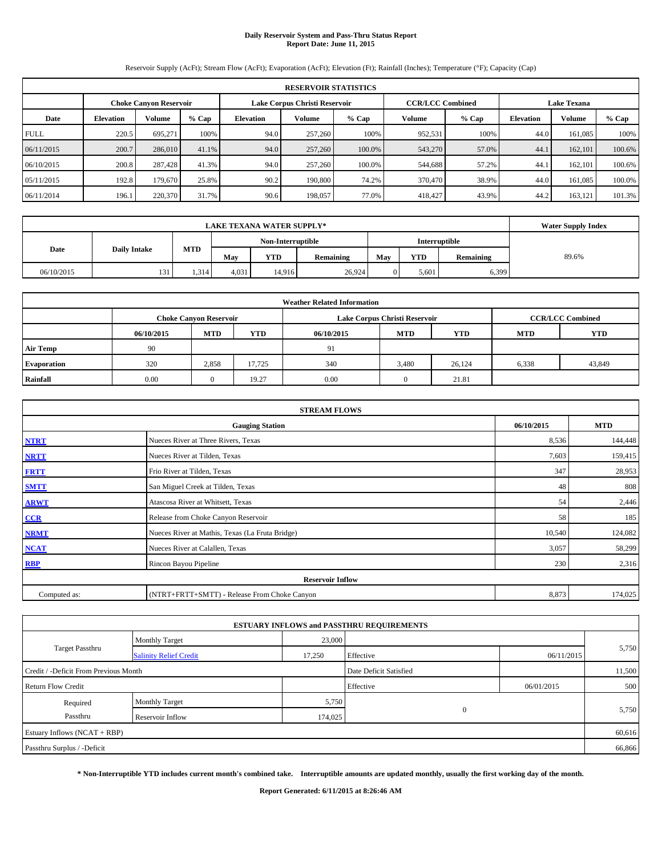# **Daily Reservoir System and Pass-Thru Status Report Report Date: June 11, 2015**

Reservoir Supply (AcFt); Stream Flow (AcFt); Evaporation (AcFt); Elevation (Ft); Rainfall (Inches); Temperature (°F); Capacity (Cap)

|             | <b>RESERVOIR STATISTICS</b>                                    |               |         |                  |               |                         |         |                    |                  |               |         |  |  |
|-------------|----------------------------------------------------------------|---------------|---------|------------------|---------------|-------------------------|---------|--------------------|------------------|---------------|---------|--|--|
|             | Lake Corpus Christi Reservoir<br><b>Choke Canvon Reservoir</b> |               |         |                  |               | <b>CCR/LCC Combined</b> |         | <b>Lake Texana</b> |                  |               |         |  |  |
| Date        | <b>Elevation</b>                                               | <b>Volume</b> | $%$ Cap | <b>Elevation</b> | <b>Volume</b> | $%$ Cap                 | Volume  | $%$ Cap            | <b>Elevation</b> | <b>Volume</b> | $%$ Cap |  |  |
| <b>FULL</b> | 220.5                                                          | 695.271       | 100%    | 94.0             | 257,260       | 100%                    | 952,531 | 100%               | 44.0             | 161.085       | 100%    |  |  |
| 06/11/2015  | 200.7                                                          | 286,010       | 41.1%   | 94.0             | 257,260       | 100.0%                  | 543,270 | 57.0%              | 44.1             | 162,101       | 100.6%  |  |  |
| 06/10/2015  | 200.8                                                          | 287,428       | 41.3%   | 94.0             | 257,260       | 100.0%                  | 544,688 | 57.2%              | 44.1             | 162.101       | 100.6%  |  |  |
| 05/11/2015  | 192.8                                                          | 179,670       | 25.8%   | 90.2             | 190,800       | 74.2%                   | 370,470 | 38.9%              | 44.0             | 161.085       | 100.0%  |  |  |
| 06/11/2014  | 196.1                                                          | 220,370       | 31.7%   | 90.6             | 198,057       | 77.0%                   | 418,427 | 43.9%              | 44.2             | 163,121       | 101.3%  |  |  |

| <b>LAKE TEXANA WATER SUPPLY*</b> |                     |            |                   |            |           |                      |            |           | <b>Water Supply Index</b> |
|----------------------------------|---------------------|------------|-------------------|------------|-----------|----------------------|------------|-----------|---------------------------|
|                                  |                     |            | Non-Interruptible |            |           | <b>Interruptible</b> |            |           |                           |
| Date                             | <b>Daily Intake</b> | <b>MTD</b> | May               | <b>YTD</b> | Remaining | May                  | <b>YTD</b> | Remaining | 89.6%                     |
| 06/10/2015                       | 131                 | 1.314      | 4,031             | 14.916     | 26,924    |                      | 5,601      | 6,399     |                           |

|                    | <b>Weather Related Information</b> |                               |            |            |                               |                         |            |            |  |  |  |  |
|--------------------|------------------------------------|-------------------------------|------------|------------|-------------------------------|-------------------------|------------|------------|--|--|--|--|
|                    |                                    | <b>Choke Canyon Reservoir</b> |            |            | Lake Corpus Christi Reservoir | <b>CCR/LCC Combined</b> |            |            |  |  |  |  |
|                    | 06/10/2015                         | <b>MTD</b>                    | <b>YTD</b> | 06/10/2015 | <b>MTD</b>                    | <b>YTD</b>              | <b>MTD</b> | <b>YTD</b> |  |  |  |  |
| <b>Air Temp</b>    | 90                                 |                               |            | 91         |                               |                         |            |            |  |  |  |  |
| <b>Evaporation</b> | 320                                | 2,858                         | 17,725     | 340        | 3,480                         | 26,124                  | 6,338      | 43,849     |  |  |  |  |
| Rainfall           | 0.00                               | 0                             | 19.27      | 0.00       | $\Omega$                      | 21.81                   |            |            |  |  |  |  |

|              | <b>STREAM FLOWS</b>                             |            |            |  |  |  |  |  |  |  |
|--------------|-------------------------------------------------|------------|------------|--|--|--|--|--|--|--|
|              | <b>Gauging Station</b>                          | 06/10/2015 | <b>MTD</b> |  |  |  |  |  |  |  |
| <b>NTRT</b>  | Nueces River at Three Rivers, Texas             | 8,536      | 144,448    |  |  |  |  |  |  |  |
| <b>NRTT</b>  | Nueces River at Tilden, Texas                   | 7,603      | 159,415    |  |  |  |  |  |  |  |
| <b>FRTT</b>  | Frio River at Tilden, Texas                     | 347        | 28,953     |  |  |  |  |  |  |  |
| <b>SMTT</b>  | San Miguel Creek at Tilden, Texas               | 48         | 808        |  |  |  |  |  |  |  |
| <b>ARWT</b>  | Atascosa River at Whitsett, Texas               | 54         | 2,446      |  |  |  |  |  |  |  |
| CCR          | Release from Choke Canyon Reservoir             | 58         | 185        |  |  |  |  |  |  |  |
| <b>NRMT</b>  | Nueces River at Mathis, Texas (La Fruta Bridge) | 10,540     | 124,082    |  |  |  |  |  |  |  |
| <b>NCAT</b>  | Nueces River at Calallen, Texas                 | 3,057      | 58,299     |  |  |  |  |  |  |  |
| <b>RBP</b>   | Rincon Bayou Pipeline                           | 230        | 2,316      |  |  |  |  |  |  |  |
|              | <b>Reservoir Inflow</b>                         |            |            |  |  |  |  |  |  |  |
| Computed as: | (NTRT+FRTT+SMTT) - Release From Choke Canyon    | 8,873      | 174,025    |  |  |  |  |  |  |  |

| <b>ESTUARY INFLOWS and PASSTHRU REQUIREMENTS</b> |                               |         |                        |            |        |  |  |  |  |  |  |
|--------------------------------------------------|-------------------------------|---------|------------------------|------------|--------|--|--|--|--|--|--|
|                                                  | <b>Monthly Target</b>         | 23,000  |                        |            |        |  |  |  |  |  |  |
| Target Passthru                                  | <b>Salinity Relief Credit</b> | 17,250  | Effective              | 06/11/2015 | 5,750  |  |  |  |  |  |  |
| Credit / -Deficit From Previous Month            |                               |         | Date Deficit Satisfied |            | 11,500 |  |  |  |  |  |  |
| <b>Return Flow Credit</b>                        |                               |         | Effective              | 06/01/2015 | 500    |  |  |  |  |  |  |
| Required                                         | <b>Monthly Target</b>         | 5,750   |                        |            |        |  |  |  |  |  |  |
| Passthru                                         | Reservoir Inflow              | 174,025 | $\overline{0}$         |            | 5,750  |  |  |  |  |  |  |
| Estuary Inflows (NCAT + RBP)                     |                               |         |                        |            | 60,616 |  |  |  |  |  |  |
| Passthru Surplus / -Deficit                      |                               |         |                        |            | 66,866 |  |  |  |  |  |  |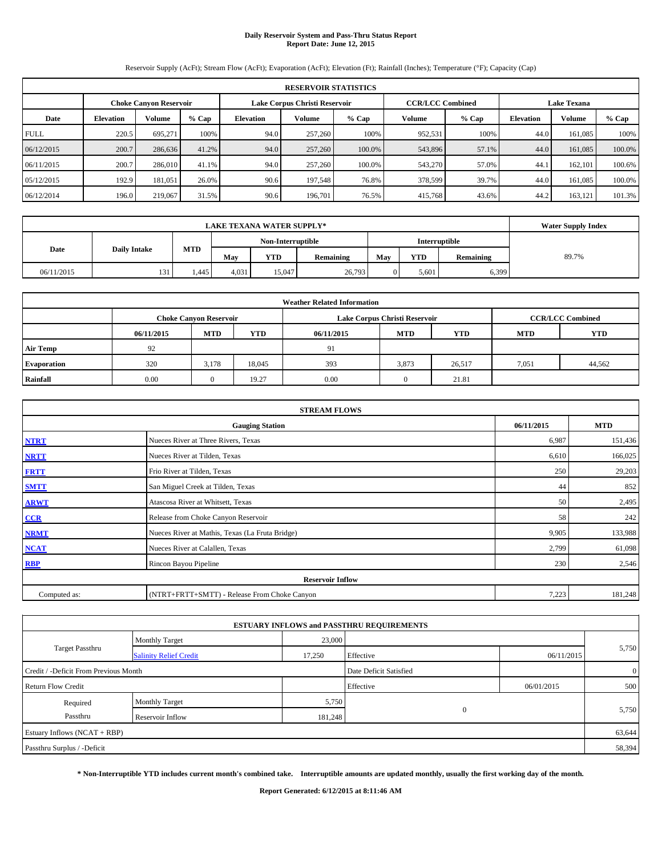# **Daily Reservoir System and Pass-Thru Status Report Report Date: June 12, 2015**

Reservoir Supply (AcFt); Stream Flow (AcFt); Evaporation (AcFt); Elevation (Ft); Rainfall (Inches); Temperature (°F); Capacity (Cap)

|             | <b>RESERVOIR STATISTICS</b>                                    |               |         |                  |               |                         |         |                    |                  |         |         |  |  |
|-------------|----------------------------------------------------------------|---------------|---------|------------------|---------------|-------------------------|---------|--------------------|------------------|---------|---------|--|--|
|             | Lake Corpus Christi Reservoir<br><b>Choke Canvon Reservoir</b> |               |         |                  |               | <b>CCR/LCC Combined</b> |         | <b>Lake Texana</b> |                  |         |         |  |  |
| Date        | <b>Elevation</b>                                               | <b>Volume</b> | $%$ Cap | <b>Elevation</b> | <b>Volume</b> | $%$ Cap                 | Volume  | $%$ Cap            | <b>Elevation</b> | Volume  | $%$ Cap |  |  |
| <b>FULL</b> | 220.5                                                          | 695.271       | 100%    | 94.0             | 257,260       | 100%                    | 952,531 | 100%               | 44.0             | 161.085 | 100%    |  |  |
| 06/12/2015  | 200.7                                                          | 286,636       | 41.2%   | 94.0             | 257,260       | 100.0%                  | 543,896 | 57.1%              | 44.0             | 161,085 | 100.0%  |  |  |
| 06/11/2015  | 200.7                                                          | 286,010       | 41.1%   | 94.0             | 257,260       | 100.0%                  | 543,270 | 57.0%              | 44.1             | 162,101 | 100.6%  |  |  |
| 05/12/2015  | 192.9                                                          | 181.051       | 26.0%   | 90.6             | 197.548       | 76.8%                   | 378,599 | 39.7%              | 44.0             | 161.085 | 100.0%  |  |  |
| 06/12/2014  | 196.0                                                          | 219,067       | 31.5%   | 90.6             | 196,701       | 76.5%                   | 415,768 | 43.6%              | 44.2             | 163,121 | 101.3%  |  |  |

| <b>LAKE TEXANA WATER SUPPLY*</b> |                     |            |       |                   |                      |     |            |           | <b>Water Supply Index</b> |
|----------------------------------|---------------------|------------|-------|-------------------|----------------------|-----|------------|-----------|---------------------------|
|                                  |                     |            |       | Non-Interruptible | <b>Interruptible</b> |     |            |           |                           |
| Date                             | <b>Daily Intake</b> | <b>MTD</b> | May   | <b>YTD</b>        | Remaining            | May | <b>YTD</b> | Remaining | 89.7%                     |
| 06/11/2015                       | 131                 | 4.445      | 4,031 | 15.047            | 26,793               |     | 5,601      | 6,399     |                           |

|                    | <b>Weather Related Information</b> |                               |            |            |                               |                         |            |            |  |  |  |  |
|--------------------|------------------------------------|-------------------------------|------------|------------|-------------------------------|-------------------------|------------|------------|--|--|--|--|
|                    |                                    | <b>Choke Canyon Reservoir</b> |            |            | Lake Corpus Christi Reservoir | <b>CCR/LCC Combined</b> |            |            |  |  |  |  |
|                    | 06/11/2015                         | <b>MTD</b>                    | <b>YTD</b> | 06/11/2015 | <b>MTD</b>                    | <b>YTD</b>              | <b>MTD</b> | <b>YTD</b> |  |  |  |  |
| <b>Air Temp</b>    | 92                                 |                               |            | 91         |                               |                         |            |            |  |  |  |  |
| <b>Evaporation</b> | 320                                | 3,178                         | 18,045     | 393        | 3,873                         | 26,517                  | 7,051      | 44,562     |  |  |  |  |
| Rainfall           | 0.00                               | 0                             | 19.27      | 0.00       | $\Omega$                      | 21.81                   |            |            |  |  |  |  |

|              | <b>STREAM FLOWS</b>                             |            |            |  |  |  |  |  |  |  |
|--------------|-------------------------------------------------|------------|------------|--|--|--|--|--|--|--|
|              | <b>Gauging Station</b>                          | 06/11/2015 | <b>MTD</b> |  |  |  |  |  |  |  |
| <b>NTRT</b>  | Nueces River at Three Rivers, Texas             | 6,987      | 151,436    |  |  |  |  |  |  |  |
| <b>NRTT</b>  | Nueces River at Tilden, Texas                   | 6,610      | 166,025    |  |  |  |  |  |  |  |
| <b>FRTT</b>  | Frio River at Tilden, Texas                     | 250        | 29,203     |  |  |  |  |  |  |  |
| <b>SMTT</b>  | San Miguel Creek at Tilden, Texas               | 44         | 852        |  |  |  |  |  |  |  |
| <b>ARWT</b>  | Atascosa River at Whitsett, Texas               | 50         | 2,495      |  |  |  |  |  |  |  |
| CCR          | Release from Choke Canyon Reservoir             | 58         | 242        |  |  |  |  |  |  |  |
| <b>NRMT</b>  | Nueces River at Mathis, Texas (La Fruta Bridge) | 9,905      | 133,988    |  |  |  |  |  |  |  |
| <b>NCAT</b>  | Nueces River at Calallen, Texas                 | 2,799      | 61,098     |  |  |  |  |  |  |  |
| <b>RBP</b>   | Rincon Bayou Pipeline                           | 230        | 2,546      |  |  |  |  |  |  |  |
|              | <b>Reservoir Inflow</b>                         |            |            |  |  |  |  |  |  |  |
| Computed as: | (NTRT+FRTT+SMTT) - Release From Choke Canyon    | 7,223      | 181,248    |  |  |  |  |  |  |  |

| <b>ESTUARY INFLOWS and PASSTHRU REQUIREMENTS</b> |                               |         |                        |            |                |  |  |  |  |  |  |  |
|--------------------------------------------------|-------------------------------|---------|------------------------|------------|----------------|--|--|--|--|--|--|--|
|                                                  | <b>Monthly Target</b>         | 23,000  |                        |            |                |  |  |  |  |  |  |  |
| Target Passthru                                  | <b>Salinity Relief Credit</b> | 17,250  | Effective              | 06/11/2015 | 5,750          |  |  |  |  |  |  |  |
| Credit / -Deficit From Previous Month            |                               |         | Date Deficit Satisfied |            | $\overline{0}$ |  |  |  |  |  |  |  |
| <b>Return Flow Credit</b>                        |                               |         | Effective              | 06/01/2015 | 500            |  |  |  |  |  |  |  |
| Required                                         | <b>Monthly Target</b>         | 5,750   |                        |            |                |  |  |  |  |  |  |  |
| Passthru                                         | Reservoir Inflow              | 181,248 | $\Omega$               |            | 5,750          |  |  |  |  |  |  |  |
| Estuary Inflows (NCAT + RBP)                     |                               |         |                        |            | 63,644         |  |  |  |  |  |  |  |
| Passthru Surplus / -Deficit                      |                               |         |                        |            | 58,394         |  |  |  |  |  |  |  |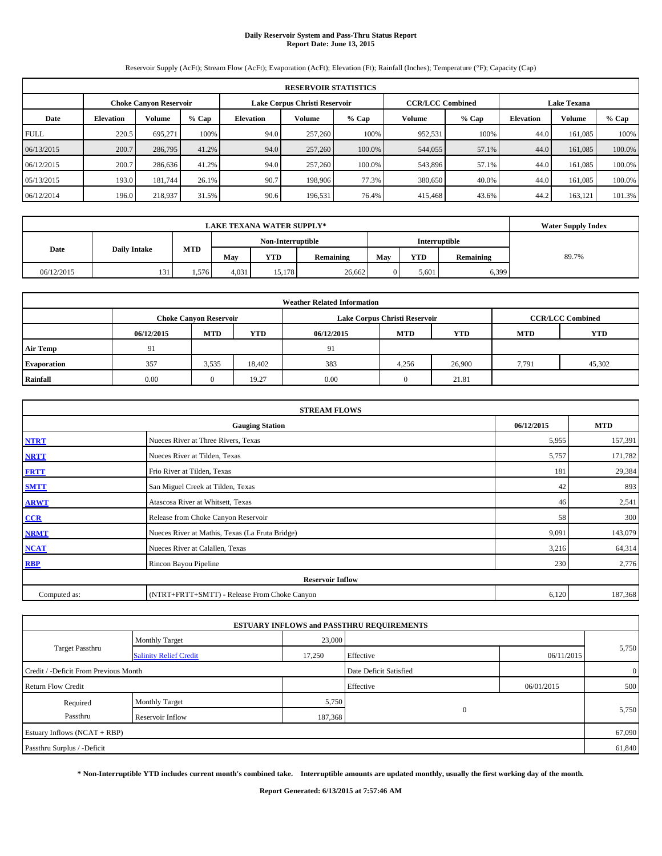# **Daily Reservoir System and Pass-Thru Status Report Report Date: June 13, 2015**

Reservoir Supply (AcFt); Stream Flow (AcFt); Evaporation (AcFt); Elevation (Ft); Rainfall (Inches); Temperature (°F); Capacity (Cap)

|             | <b>RESERVOIR STATISTICS</b>                                                                                     |               |         |                  |               |         |                  |               |         |         |        |  |
|-------------|-----------------------------------------------------------------------------------------------------------------|---------------|---------|------------------|---------------|---------|------------------|---------------|---------|---------|--------|--|
|             | <b>CCR/LCC Combined</b><br><b>Lake Texana</b><br>Lake Corpus Christi Reservoir<br><b>Choke Canvon Reservoir</b> |               |         |                  |               |         |                  |               |         |         |        |  |
| Date        | <b>Elevation</b>                                                                                                | <b>Volume</b> | $%$ Cap | <b>Elevation</b> | <b>Volume</b> | $%$ Cap | <b>Elevation</b> | <b>Volume</b> | $%$ Cap |         |        |  |
| <b>FULL</b> | 220.5                                                                                                           | 695.271       | 100%    | 94.0             | 257,260       | 100%    | 952,531          | 100%          | 44.0    | 161.085 | 100%   |  |
| 06/13/2015  | 200.7                                                                                                           | 286,795       | 41.2%   | 94.0             | 257,260       | 100.0%  | 544,055          | 57.1%         | 44.0    | 161,085 | 100.0% |  |
| 06/12/2015  | 200.7                                                                                                           | 286,636       | 41.2%   | 94.0             | 257,260       | 100.0%  | 543,896          | 57.1%         | 44.0    | 161.085 | 100.0% |  |
| 05/13/2015  | 193.0                                                                                                           | 181.744       | 26.1%   | 90.7             | 198,906       | 77.3%   | 380,650          | 40.0%         | 44.0    | 161.085 | 100.0% |  |
| 06/12/2014  | 196.0                                                                                                           | 218,937       | 31.5%   | 90.6             | 196,531       | 76.4%   | 415,468          | 43.6%         | 44.2    | 163,121 | 101.3% |  |

|                             | <b>Water Supply Index</b> |            |                   |            |           |     |               |           |       |
|-----------------------------|---------------------------|------------|-------------------|------------|-----------|-----|---------------|-----------|-------|
|                             |                           |            | Non-Interruptible |            |           |     | Interruptible |           |       |
| <b>Daily Intake</b><br>Date |                           | <b>MTD</b> | May               | <b>YTD</b> | Remaining | May | <b>YTD</b>    | Remaining | 89.7% |
| 06/12/2015                  | 131                       | 1,576      | 4,031             | 15.178     | 26,662    |     | 5,601         | 6,399     |       |

| <b>Weather Related Information</b> |            |                               |            |            |                               |                         |       |        |  |  |  |
|------------------------------------|------------|-------------------------------|------------|------------|-------------------------------|-------------------------|-------|--------|--|--|--|
|                                    |            | <b>Choke Canyon Reservoir</b> |            |            | Lake Corpus Christi Reservoir | <b>CCR/LCC Combined</b> |       |        |  |  |  |
|                                    | 06/12/2015 | <b>MTD</b>                    | <b>YTD</b> | 06/12/2015 | <b>MTD</b>                    | <b>YTD</b>              |       |        |  |  |  |
| <b>Air Temp</b>                    | 91         |                               |            | 91         |                               |                         |       |        |  |  |  |
| <b>Evaporation</b>                 | 357        | 3,535                         | 18,402     | 383        | 4,256                         | 26,900                  | 7,791 | 45,302 |  |  |  |
| Rainfall                           | 0.00       | 0                             | 19.27      | 0.00       | $\Omega$                      | 21.81                   |       |        |  |  |  |

| <b>STREAM FLOWS</b> |                                                 |            |            |  |  |  |  |  |
|---------------------|-------------------------------------------------|------------|------------|--|--|--|--|--|
|                     | <b>Gauging Station</b>                          | 06/12/2015 | <b>MTD</b> |  |  |  |  |  |
| <b>NTRT</b>         | Nueces River at Three Rivers, Texas             | 5,955      | 157,391    |  |  |  |  |  |
| <b>NRTT</b>         | Nueces River at Tilden, Texas                   | 5,757      | 171,782    |  |  |  |  |  |
| <b>FRTT</b>         | Frio River at Tilden, Texas                     | 181        | 29,384     |  |  |  |  |  |
| <b>SMTT</b>         | San Miguel Creek at Tilden, Texas               | 42         | 893        |  |  |  |  |  |
| <b>ARWT</b>         | Atascosa River at Whitsett, Texas               | 46         | 2,541      |  |  |  |  |  |
| CCR                 | Release from Choke Canyon Reservoir             | 58         | 300        |  |  |  |  |  |
| <b>NRMT</b>         | Nueces River at Mathis, Texas (La Fruta Bridge) | 9,091      | 143,079    |  |  |  |  |  |
| <b>NCAT</b>         | Nueces River at Calallen, Texas                 | 3,216      | 64,314     |  |  |  |  |  |
| <b>RBP</b>          | Rincon Bayou Pipeline                           | 230        | 2,776      |  |  |  |  |  |
|                     | <b>Reservoir Inflow</b>                         |            |            |  |  |  |  |  |
| Computed as:        | (NTRT+FRTT+SMTT) - Release From Choke Canyon    | 6,120      | 187,368    |  |  |  |  |  |

|                                       |                               |         | <b>ESTUARY INFLOWS and PASSTHRU REQUIREMENTS</b> |            |                |  |
|---------------------------------------|-------------------------------|---------|--------------------------------------------------|------------|----------------|--|
|                                       | <b>Monthly Target</b>         | 23,000  |                                                  |            |                |  |
| Target Passthru                       | <b>Salinity Relief Credit</b> | 17,250  | Effective                                        | 06/11/2015 | 5,750          |  |
| Credit / -Deficit From Previous Month |                               |         | Date Deficit Satisfied                           |            | $\overline{0}$ |  |
| <b>Return Flow Credit</b>             |                               |         | Effective                                        | 06/01/2015 | 500            |  |
| Required                              | <b>Monthly Target</b>         | 5,750   |                                                  |            |                |  |
| Passthru                              | Reservoir Inflow              | 187,368 | $\Omega$                                         |            | 5,750          |  |
| Estuary Inflows (NCAT + RBP)          |                               |         |                                                  |            | 67,090         |  |
| Passthru Surplus / -Deficit           |                               |         |                                                  |            | 61,840         |  |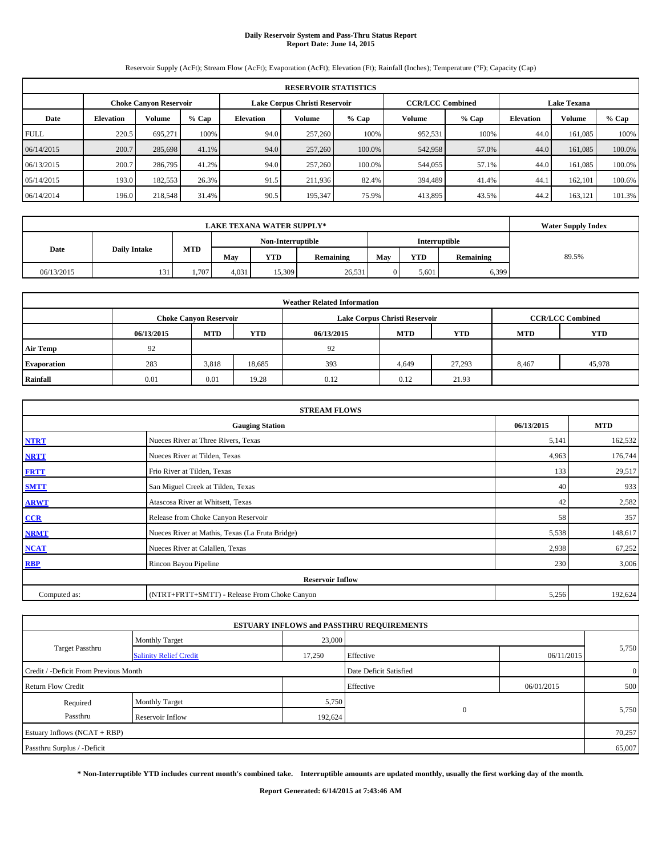# **Daily Reservoir System and Pass-Thru Status Report Report Date: June 14, 2015**

Reservoir Supply (AcFt); Stream Flow (AcFt); Evaporation (AcFt); Elevation (Ft); Rainfall (Inches); Temperature (°F); Capacity (Cap)

|             | <b>RESERVOIR STATISTICS</b>                                                                                     |         |         |           |         |         |         |       |                  |               |         |  |
|-------------|-----------------------------------------------------------------------------------------------------------------|---------|---------|-----------|---------|---------|---------|-------|------------------|---------------|---------|--|
|             | <b>CCR/LCC Combined</b><br><b>Choke Canvon Reservoir</b><br>Lake Corpus Christi Reservoir<br><b>Lake Texana</b> |         |         |           |         |         |         |       |                  |               |         |  |
| Date        | <b>Elevation</b>                                                                                                | Volume  | $%$ Cap | Elevation | Volume  | $%$ Cap | Volume  | % Cap | <b>Elevation</b> | <b>Volume</b> | $%$ Cap |  |
| <b>FULL</b> | 220.5                                                                                                           | 695.271 | 100%    | 94.0      | 257,260 | 100%    | 952,531 | 100%  | 44.0             | 161.085       | 100%    |  |
| 06/14/2015  | 200.7                                                                                                           | 285,698 | 41.1%   | 94.0      | 257,260 | 100.0%  | 542,958 | 57.0% | 44.0             | 161,085       | 100.0%  |  |
| 06/13/2015  | 200.7                                                                                                           | 286,795 | 41.2%   | 94.0      | 257,260 | 100.0%  | 544,055 | 57.1% | 44.0             | 161.085       | 100.0%  |  |
| 05/14/2015  | 193.0                                                                                                           | 182.553 | 26.3%   | 91.5      | 211.936 | 82.4%   | 394,489 | 41.4% | 44.1             | 162.101       | 100.6%  |  |
| 06/14/2014  | 196.0                                                                                                           | 218,548 | 31.4%   | 90.5      | 195,347 | 75.9%   | 413,895 | 43.5% | 44.2             | 163,121       | 101.3%  |  |

|                             | <b>Water Supply Index</b> |                   |       |            |           |     |                      |           |       |
|-----------------------------|---------------------------|-------------------|-------|------------|-----------|-----|----------------------|-----------|-------|
|                             |                           | Non-Interruptible |       |            |           |     | <b>Interruptible</b> |           |       |
| <b>Daily Intake</b><br>Date |                           | <b>MTD</b>        | May   | <b>YTD</b> | Remaining | May | <b>YTD</b>           | Remaining | 89.5% |
| 06/13/2015                  | 131                       | 1.707             | 4,031 | 15,309     | 26,531    |     | 5,601                | 6,399     |       |

| <b>Weather Related Information</b> |            |                               |            |            |                               |                         |       |        |  |  |  |
|------------------------------------|------------|-------------------------------|------------|------------|-------------------------------|-------------------------|-------|--------|--|--|--|
|                                    |            | <b>Choke Canyon Reservoir</b> |            |            | Lake Corpus Christi Reservoir | <b>CCR/LCC Combined</b> |       |        |  |  |  |
|                                    | 06/13/2015 | <b>MTD</b>                    | <b>YTD</b> | 06/13/2015 | <b>MTD</b>                    | <b>YTD</b>              |       |        |  |  |  |
| <b>Air Temp</b>                    | 92         |                               |            | 92         |                               |                         |       |        |  |  |  |
| <b>Evaporation</b>                 | 283        | 3,818                         | 18,685     | 393        | 4,649                         | 27,293                  | 8,467 | 45,978 |  |  |  |
| Rainfall                           | 0.01       | 0.01                          | 19.28      | 0.12       | 0.12                          | 21.93                   |       |        |  |  |  |

| <b>STREAM FLOWS</b> |                                                 |            |            |  |  |  |  |  |
|---------------------|-------------------------------------------------|------------|------------|--|--|--|--|--|
|                     | <b>Gauging Station</b>                          | 06/13/2015 | <b>MTD</b> |  |  |  |  |  |
| <b>NTRT</b>         | Nueces River at Three Rivers, Texas             | 5,141      | 162,532    |  |  |  |  |  |
| <b>NRTT</b>         | Nueces River at Tilden, Texas                   | 4,963      | 176,744    |  |  |  |  |  |
| <b>FRTT</b>         | Frio River at Tilden, Texas                     | 133        | 29,517     |  |  |  |  |  |
| <b>SMTT</b>         | San Miguel Creek at Tilden, Texas               | 40         | 933        |  |  |  |  |  |
| <b>ARWT</b>         | Atascosa River at Whitsett, Texas               | 42         | 2,582      |  |  |  |  |  |
| CCR                 | Release from Choke Canyon Reservoir             | 58         | 357        |  |  |  |  |  |
| <b>NRMT</b>         | Nueces River at Mathis, Texas (La Fruta Bridge) | 5,538      | 148,617    |  |  |  |  |  |
| <b>NCAT</b>         | Nueces River at Calallen, Texas                 | 2,938      | 67,252     |  |  |  |  |  |
| <b>RBP</b>          | Rincon Bayou Pipeline                           | 230        | 3,006      |  |  |  |  |  |
|                     | <b>Reservoir Inflow</b>                         |            |            |  |  |  |  |  |
| Computed as:        | (NTRT+FRTT+SMTT) - Release From Choke Canyon    | 5,256      | 192,624    |  |  |  |  |  |

|                                       |                               |         | <b>ESTUARY INFLOWS and PASSTHRU REQUIREMENTS</b> |            |                |  |
|---------------------------------------|-------------------------------|---------|--------------------------------------------------|------------|----------------|--|
|                                       | <b>Monthly Target</b>         | 23,000  |                                                  |            |                |  |
| Target Passthru                       | <b>Salinity Relief Credit</b> | 17,250  | Effective                                        | 06/11/2015 | 5,750          |  |
| Credit / -Deficit From Previous Month |                               |         | Date Deficit Satisfied                           |            | $\overline{0}$ |  |
| <b>Return Flow Credit</b>             |                               |         | Effective                                        | 06/01/2015 | 500            |  |
| Required                              | <b>Monthly Target</b>         | 5,750   |                                                  |            |                |  |
| Passthru                              | Reservoir Inflow              | 192,624 | $\overline{0}$                                   |            | 5,750          |  |
| Estuary Inflows (NCAT + RBP)          |                               |         |                                                  |            | 70,257         |  |
| Passthru Surplus / -Deficit           |                               |         |                                                  |            | 65,007         |  |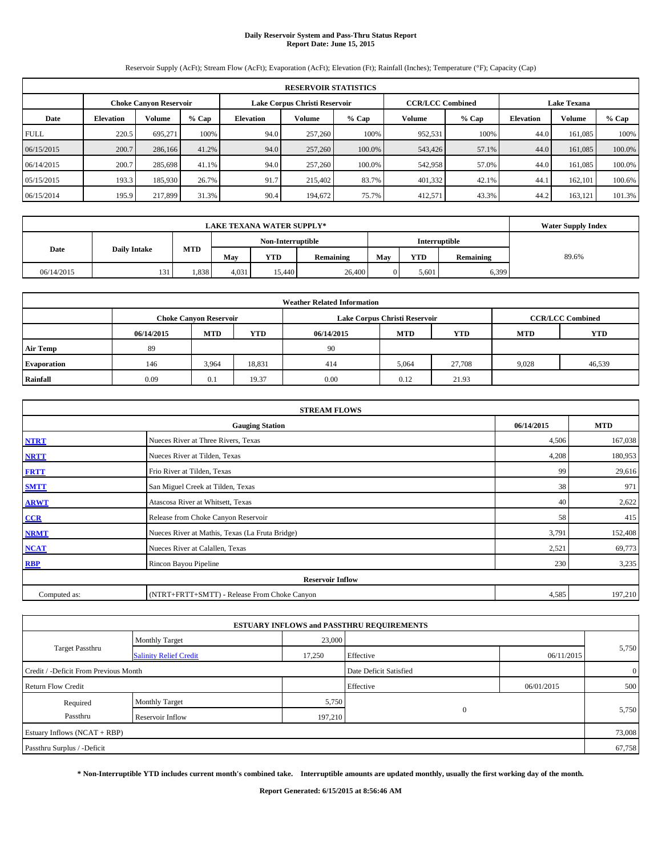# **Daily Reservoir System and Pass-Thru Status Report Report Date: June 15, 2015**

Reservoir Supply (AcFt); Stream Flow (AcFt); Evaporation (AcFt); Elevation (Ft); Rainfall (Inches); Temperature (°F); Capacity (Cap)

|             | <b>RESERVOIR STATISTICS</b>                                                                                     |               |         |           |               |         |         |         |                  |         |         |  |
|-------------|-----------------------------------------------------------------------------------------------------------------|---------------|---------|-----------|---------------|---------|---------|---------|------------------|---------|---------|--|
|             | <b>CCR/LCC Combined</b><br><b>Lake Texana</b><br>Lake Corpus Christi Reservoir<br><b>Choke Canvon Reservoir</b> |               |         |           |               |         |         |         |                  |         |         |  |
| Date        | <b>Elevation</b>                                                                                                | <b>Volume</b> | $%$ Cap | Elevation | <b>Volume</b> | $%$ Cap | Volume  | $%$ Cap | <b>Elevation</b> | Volume  | $%$ Cap |  |
| <b>FULL</b> | 220.5                                                                                                           | 695.271       | 100%    | 94.0      | 257,260       | 100%    | 952,531 | 100%    | 44.0             | 161.085 | 100%    |  |
| 06/15/2015  | 200.7                                                                                                           | 286,166       | 41.2%   | 94.0      | 257,260       | 100.0%  | 543,426 | 57.1%   | 44.0             | 161,085 | 100.0%  |  |
| 06/14/2015  | 200.7                                                                                                           | 285,698       | 41.1%   | 94.0      | 257,260       | 100.0%  | 542,958 | 57.0%   | 44.0             | 161.085 | 100.0%  |  |
| 05/15/2015  | 193.3                                                                                                           | 185,930       | 26.7%   | 91.7      | 215,402       | 83.7%   | 401,332 | 42.1%   | 44.1             | 162,101 | 100.6%  |  |
| 06/15/2014  | 195.9                                                                                                           | 217,899       | 31.3%   | 90.4      | 194,672       | 75.7%   | 412,571 | 43.3%   | 44.2             | 163,121 | 101.3%  |  |

|                             | <b>Water Supply Index</b> |            |                   |            |           |     |                      |           |       |
|-----------------------------|---------------------------|------------|-------------------|------------|-----------|-----|----------------------|-----------|-------|
|                             |                           |            | Non-Interruptible |            |           |     | <b>Interruptible</b> |           |       |
| <b>Daily Intake</b><br>Date |                           | <b>MTD</b> | May               | <b>YTD</b> | Remaining | May | <b>YTD</b>           | Remaining | 89.6% |
| 06/14/2015                  | 131                       | .338       | 4,031             | 15.440     | 26,400    |     | 5,601                | 6,399     |       |

| <b>Weather Related Information</b> |            |                               |            |            |                               |                         |            |            |  |  |
|------------------------------------|------------|-------------------------------|------------|------------|-------------------------------|-------------------------|------------|------------|--|--|
|                                    |            | <b>Choke Canyon Reservoir</b> |            |            | Lake Corpus Christi Reservoir | <b>CCR/LCC Combined</b> |            |            |  |  |
|                                    | 06/14/2015 | <b>MTD</b>                    | <b>YTD</b> | 06/14/2015 | <b>MTD</b>                    | <b>YTD</b>              | <b>MTD</b> | <b>YTD</b> |  |  |
| <b>Air Temp</b>                    | 89         |                               |            | 90         |                               |                         |            |            |  |  |
| <b>Evaporation</b>                 | 146        | 3,964                         | 18,831     | 414        | 5,064                         | 27,708                  | 9,028      | 46,539     |  |  |
| Rainfall                           | 0.09       | 0.1                           | 19.37      | 0.00       | 0.12                          | 21.93                   |            |            |  |  |

| <b>STREAM FLOWS</b> |                                                 |       |         |  |  |  |  |  |  |
|---------------------|-------------------------------------------------|-------|---------|--|--|--|--|--|--|
|                     | <b>Gauging Station</b>                          |       |         |  |  |  |  |  |  |
| <b>NTRT</b>         | Nueces River at Three Rivers, Texas             |       |         |  |  |  |  |  |  |
| <b>NRTT</b>         | Nueces River at Tilden, Texas                   | 4,208 | 180,953 |  |  |  |  |  |  |
| <b>FRTT</b>         | Frio River at Tilden, Texas                     | 99    | 29,616  |  |  |  |  |  |  |
| <b>SMTT</b>         | San Miguel Creek at Tilden, Texas               | 38    | 971     |  |  |  |  |  |  |
| <b>ARWT</b>         | Atascosa River at Whitsett, Texas               | 40    | 2,622   |  |  |  |  |  |  |
| CCR                 | Release from Choke Canyon Reservoir             | 58    | 415     |  |  |  |  |  |  |
| <b>NRMT</b>         | Nueces River at Mathis, Texas (La Fruta Bridge) | 3,791 | 152,408 |  |  |  |  |  |  |
| <b>NCAT</b>         | Nueces River at Calallen, Texas                 | 2,521 | 69,773  |  |  |  |  |  |  |
| <b>RBP</b>          | Rincon Bayou Pipeline                           | 230   | 3,235   |  |  |  |  |  |  |
|                     | <b>Reservoir Inflow</b>                         |       |         |  |  |  |  |  |  |
| Computed as:        | (NTRT+FRTT+SMTT) - Release From Choke Canyon    | 4,585 | 197,210 |  |  |  |  |  |  |

|                                       |                               |         | <b>ESTUARY INFLOWS and PASSTHRU REQUIREMENTS</b> |            |                |  |
|---------------------------------------|-------------------------------|---------|--------------------------------------------------|------------|----------------|--|
|                                       | <b>Monthly Target</b>         | 23,000  |                                                  |            |                |  |
| Target Passthru                       | <b>Salinity Relief Credit</b> | 17,250  | Effective                                        | 06/11/2015 | 5,750          |  |
| Credit / -Deficit From Previous Month |                               |         | Date Deficit Satisfied                           |            | $\overline{0}$ |  |
| <b>Return Flow Credit</b>             |                               |         | Effective                                        | 06/01/2015 | 500            |  |
| Required                              | <b>Monthly Target</b>         | 5,750   |                                                  |            |                |  |
| Passthru                              | Reservoir Inflow              | 197,210 | $\overline{0}$                                   |            | 5,750          |  |
| Estuary Inflows (NCAT + RBP)          |                               |         |                                                  |            | 73,008         |  |
| Passthru Surplus / -Deficit           |                               |         |                                                  |            | 67,758         |  |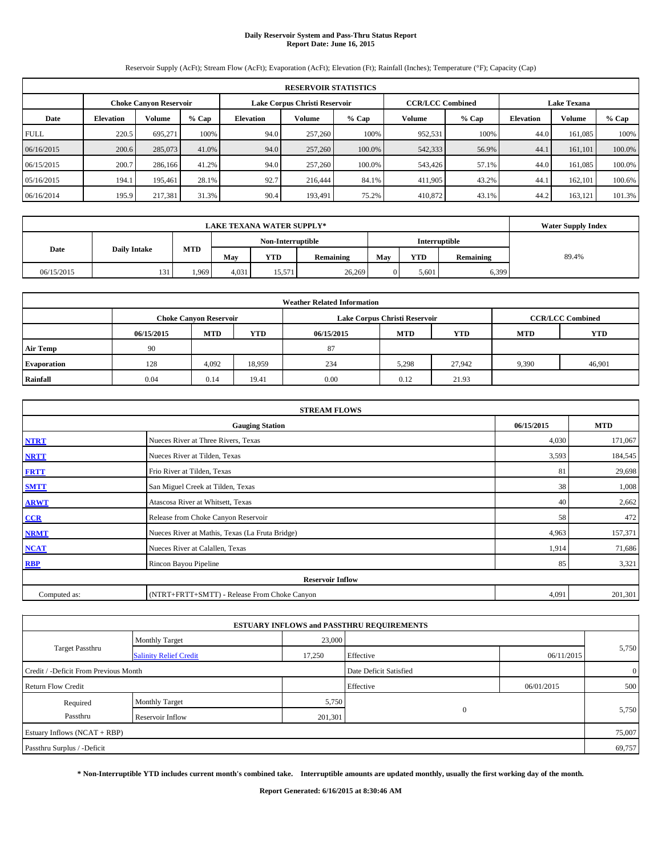# **Daily Reservoir System and Pass-Thru Status Report Report Date: June 16, 2015**

Reservoir Supply (AcFt); Stream Flow (AcFt); Evaporation (AcFt); Elevation (Ft); Rainfall (Inches); Temperature (°F); Capacity (Cap)

| <b>RESERVOIR STATISTICS</b> |                  |                               |         |                               |               |                                               |         |         |                  |               |         |
|-----------------------------|------------------|-------------------------------|---------|-------------------------------|---------------|-----------------------------------------------|---------|---------|------------------|---------------|---------|
|                             |                  | <b>Choke Canvon Reservoir</b> |         | Lake Corpus Christi Reservoir |               | <b>CCR/LCC Combined</b><br><b>Lake Texana</b> |         |         |                  |               |         |
| Date                        | <b>Elevation</b> | <b>Volume</b>                 | $%$ Cap | <b>Elevation</b>              | <b>Volume</b> | $%$ Cap                                       | Volume  | $%$ Cap | <b>Elevation</b> | <b>Volume</b> | $%$ Cap |
| <b>FULL</b>                 | 220.5            | 695.271                       | 100%    | 94.0                          | 257,260       | 100%                                          | 952,531 | 100%    | 44.0             | 161.085       | 100%    |
| 06/16/2015                  | 200.6            | 285,073                       | 41.0%   | 94.0                          | 257,260       | 100.0%                                        | 542,333 | 56.9%   | 44.1             | 161.101       | 100.0%  |
| 06/15/2015                  | 200.7            | 286,166                       | 41.2%   | 94.0                          | 257,260       | 100.0%                                        | 543,426 | 57.1%   | 44.0             | 161.085       | 100.0%  |
| 05/16/2015                  | 194.1            | 195.461                       | 28.1%   | 92.7                          | 216,444       | 84.1%                                         | 411.905 | 43.2%   | 44.1             | 162,101       | 100.6%  |
| 06/16/2014                  | 195.9            | 217,381                       | 31.3%   | 90.4                          | 193,491       | 75.2%                                         | 410,872 | 43.1%   | 44.2             | 163,121       | 101.3%  |

|            | <b>Water Supply Index</b> |            |       |                   |           |     |            |                      |       |
|------------|---------------------------|------------|-------|-------------------|-----------|-----|------------|----------------------|-------|
|            |                           |            |       | Non-Interruptible |           |     |            | <b>Interruptible</b> |       |
| Date       | <b>Daily Intake</b>       | <b>MTD</b> | May   | <b>YTD</b>        | Remaining | May | <b>YTD</b> | Remaining            | 89.4% |
| 06/15/2015 | 131                       | 1.969      | 4,031 | 15.571            | 26,269    |     | 5,601      | 6,399                |       |

| <b>Weather Related Information</b> |            |                               |            |            |                               |                         |            |            |  |  |
|------------------------------------|------------|-------------------------------|------------|------------|-------------------------------|-------------------------|------------|------------|--|--|
|                                    |            | <b>Choke Canyon Reservoir</b> |            |            | Lake Corpus Christi Reservoir | <b>CCR/LCC Combined</b> |            |            |  |  |
|                                    | 06/15/2015 | <b>MTD</b>                    | <b>YTD</b> | 06/15/2015 | <b>MTD</b>                    | <b>YTD</b>              | <b>MTD</b> | <b>YTD</b> |  |  |
| <b>Air Temp</b>                    | 90         |                               |            | 87         |                               |                         |            |            |  |  |
| <b>Evaporation</b>                 | 128        | 4,092                         | 18,959     | 234        | 5,298                         | 27,942                  | 9,390      | 46,901     |  |  |
| Rainfall                           | 0.04       | 0.14                          | 19.41      | 0.00       | 0.12                          | 21.93                   |            |            |  |  |

| <b>STREAM FLOWS</b> |                                                 |            |         |  |  |  |  |  |  |
|---------------------|-------------------------------------------------|------------|---------|--|--|--|--|--|--|
|                     | 06/15/2015                                      | <b>MTD</b> |         |  |  |  |  |  |  |
| <b>NTRT</b>         | Nueces River at Three Rivers, Texas             |            |         |  |  |  |  |  |  |
| <b>NRTT</b>         | Nueces River at Tilden, Texas                   | 3,593      | 184,545 |  |  |  |  |  |  |
| <b>FRTT</b>         | Frio River at Tilden, Texas                     | 81         | 29,698  |  |  |  |  |  |  |
| <b>SMTT</b>         | San Miguel Creek at Tilden, Texas               | 38         | 1,008   |  |  |  |  |  |  |
| <b>ARWT</b>         | Atascosa River at Whitsett, Texas               | 40         | 2,662   |  |  |  |  |  |  |
| CCR                 | Release from Choke Canyon Reservoir             | 58         | 472     |  |  |  |  |  |  |
| <b>NRMT</b>         | Nueces River at Mathis, Texas (La Fruta Bridge) | 4,963      | 157,371 |  |  |  |  |  |  |
| <b>NCAT</b>         | Nueces River at Calallen, Texas                 | 1,914      | 71,686  |  |  |  |  |  |  |
| RBP                 | Rincon Bayou Pipeline                           | 85         | 3,321   |  |  |  |  |  |  |
|                     | <b>Reservoir Inflow</b>                         |            |         |  |  |  |  |  |  |
| Computed as:        | (NTRT+FRTT+SMTT) - Release From Choke Canyon    | 4,091      | 201,301 |  |  |  |  |  |  |

|                                       |                               |         | <b>ESTUARY INFLOWS and PASSTHRU REQUIREMENTS</b> |            |                |  |
|---------------------------------------|-------------------------------|---------|--------------------------------------------------|------------|----------------|--|
|                                       | <b>Monthly Target</b>         | 23,000  |                                                  |            |                |  |
| Target Passthru                       | <b>Salinity Relief Credit</b> | 17,250  | Effective                                        | 06/11/2015 | 5,750          |  |
| Credit / -Deficit From Previous Month |                               |         | Date Deficit Satisfied                           |            | $\overline{0}$ |  |
| <b>Return Flow Credit</b>             |                               |         | Effective                                        | 06/01/2015 | 500            |  |
| Required                              | <b>Monthly Target</b>         | 5,750   |                                                  |            |                |  |
| Passthru                              | Reservoir Inflow              | 201,301 | $\Omega$                                         |            | 5,750          |  |
| Estuary Inflows (NCAT + RBP)          |                               |         |                                                  |            | 75,007         |  |
| Passthru Surplus / -Deficit           |                               |         |                                                  |            | 69,757         |  |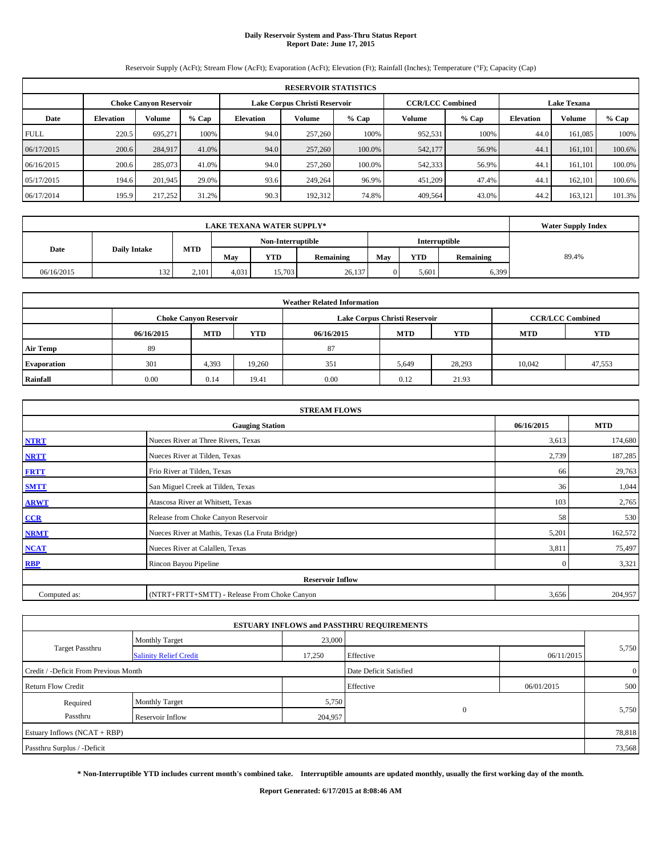# **Daily Reservoir System and Pass-Thru Status Report Report Date: June 17, 2015**

Reservoir Supply (AcFt); Stream Flow (AcFt); Evaporation (AcFt); Elevation (Ft); Rainfall (Inches); Temperature (°F); Capacity (Cap)

| <b>RESERVOIR STATISTICS</b> |                  |                               |         |                               |                                               |         |         |         |                  |         |         |
|-----------------------------|------------------|-------------------------------|---------|-------------------------------|-----------------------------------------------|---------|---------|---------|------------------|---------|---------|
|                             |                  | <b>Choke Canvon Reservoir</b> |         | Lake Corpus Christi Reservoir | <b>CCR/LCC Combined</b><br><b>Lake Texana</b> |         |         |         |                  |         |         |
| Date                        | <b>Elevation</b> | <b>Volume</b>                 | $%$ Cap | Elevation                     | <b>Volume</b>                                 | $%$ Cap | Volume  | $%$ Cap | <b>Elevation</b> | Volume  | $%$ Cap |
| <b>FULL</b>                 | 220.5            | 695.271                       | 100%    | 94.0                          | 257,260                                       | 100%    | 952,531 | 100%    | 44.0             | 161.085 | 100%    |
| 06/17/2015                  | 200.6            | 284,917                       | 41.0%   | 94.0                          | 257,260                                       | 100.0%  | 542,177 | 56.9%   | 44.1             | 161,101 | 100.6%  |
| 06/16/2015                  | 200.6            | 285,073                       | 41.0%   | 94.0                          | 257,260                                       | 100.0%  | 542,333 | 56.9%   | 44.1             | 161.101 | 100.0%  |
| 05/17/2015                  | 194.6            | 201,945                       | 29.0%   | 93.6                          | 249.264                                       | 96.9%   | 451,209 | 47.4%   | 44.1             | 162,101 | 100.6%  |
| 06/17/2014                  | 195.9            | 217,252                       | 31.2%   | 90.3                          | 192,312                                       | 74.8%   | 409,564 | 43.0%   | 44.2             | 163,121 | 101.3%  |

|            | <b>Water Supply Index</b> |            |                   |            |           |     |            |                  |       |
|------------|---------------------------|------------|-------------------|------------|-----------|-----|------------|------------------|-------|
|            |                           |            | Non-Interruptible |            |           |     |            |                  |       |
| Date       | <b>Daily Intake</b>       | <b>MTD</b> | May               | <b>YTD</b> | Remaining | May | <b>YTD</b> | <b>Remaining</b> | 89.4% |
| 06/16/2015 | 132                       | 2.101      | 4,031             | 15.703     | 26.137    |     | 5,601      | 6,399            |       |

| <b>Weather Related Information</b> |            |                               |            |            |                               |                         |            |            |  |  |
|------------------------------------|------------|-------------------------------|------------|------------|-------------------------------|-------------------------|------------|------------|--|--|
|                                    |            | <b>Choke Canyon Reservoir</b> |            |            | Lake Corpus Christi Reservoir | <b>CCR/LCC Combined</b> |            |            |  |  |
|                                    | 06/16/2015 | <b>MTD</b>                    | <b>YTD</b> | 06/16/2015 | <b>MTD</b>                    | <b>YTD</b>              | <b>MTD</b> | <b>YTD</b> |  |  |
| <b>Air Temp</b>                    | 89         |                               |            | 87         |                               |                         |            |            |  |  |
| <b>Evaporation</b>                 | 301        | 4,393                         | 19.260     | 351        | 5,649                         | 28,293                  | 10.042     | 47,553     |  |  |
| Rainfall                           | 0.00       | 0.14                          | 19.41      | 0.00       | 0.12                          | 21.93                   |            |            |  |  |

| <b>STREAM FLOWS</b> |                                                 |              |         |  |  |  |  |  |  |
|---------------------|-------------------------------------------------|--------------|---------|--|--|--|--|--|--|
|                     | <b>Gauging Station</b>                          |              |         |  |  |  |  |  |  |
| <b>NTRT</b>         | 3,613                                           | 174,680      |         |  |  |  |  |  |  |
| <b>NRTT</b>         | Nueces River at Tilden, Texas                   | 2,739        | 187,285 |  |  |  |  |  |  |
| <b>FRTT</b>         | Frio River at Tilden, Texas                     | 66           | 29,763  |  |  |  |  |  |  |
| <b>SMTT</b>         | San Miguel Creek at Tilden, Texas               | 36           | 1,044   |  |  |  |  |  |  |
| <b>ARWT</b>         | Atascosa River at Whitsett, Texas               | 103          | 2,765   |  |  |  |  |  |  |
| CCR                 | Release from Choke Canyon Reservoir             | 58           | 530     |  |  |  |  |  |  |
| <b>NRMT</b>         | Nueces River at Mathis, Texas (La Fruta Bridge) | 5,201        | 162,572 |  |  |  |  |  |  |
| <b>NCAT</b>         | Nueces River at Calallen, Texas                 | 3,811        | 75,497  |  |  |  |  |  |  |
| <b>RBP</b>          | Rincon Bayou Pipeline                           | $\mathbf{0}$ | 3,321   |  |  |  |  |  |  |
|                     | <b>Reservoir Inflow</b>                         |              |         |  |  |  |  |  |  |
| Computed as:        | (NTRT+FRTT+SMTT) - Release From Choke Canyon    | 3,656        | 204,957 |  |  |  |  |  |  |

|                                       |                               |         | <b>ESTUARY INFLOWS and PASSTHRU REQUIREMENTS</b> |            |                |  |
|---------------------------------------|-------------------------------|---------|--------------------------------------------------|------------|----------------|--|
|                                       | <b>Monthly Target</b>         | 23,000  |                                                  |            |                |  |
| Target Passthru                       | <b>Salinity Relief Credit</b> | 17,250  | Effective                                        | 06/11/2015 | 5,750          |  |
| Credit / -Deficit From Previous Month |                               |         | Date Deficit Satisfied                           |            | $\overline{0}$ |  |
| <b>Return Flow Credit</b>             |                               |         | Effective                                        | 06/01/2015 | 500            |  |
| Required                              | <b>Monthly Target</b>         | 5,750   |                                                  |            |                |  |
| Passthru                              | Reservoir Inflow              | 204,957 | $\Omega$                                         |            | 5,750          |  |
| Estuary Inflows (NCAT + RBP)          |                               |         |                                                  |            | 78,818         |  |
| Passthru Surplus / -Deficit           |                               |         |                                                  |            | 73,568         |  |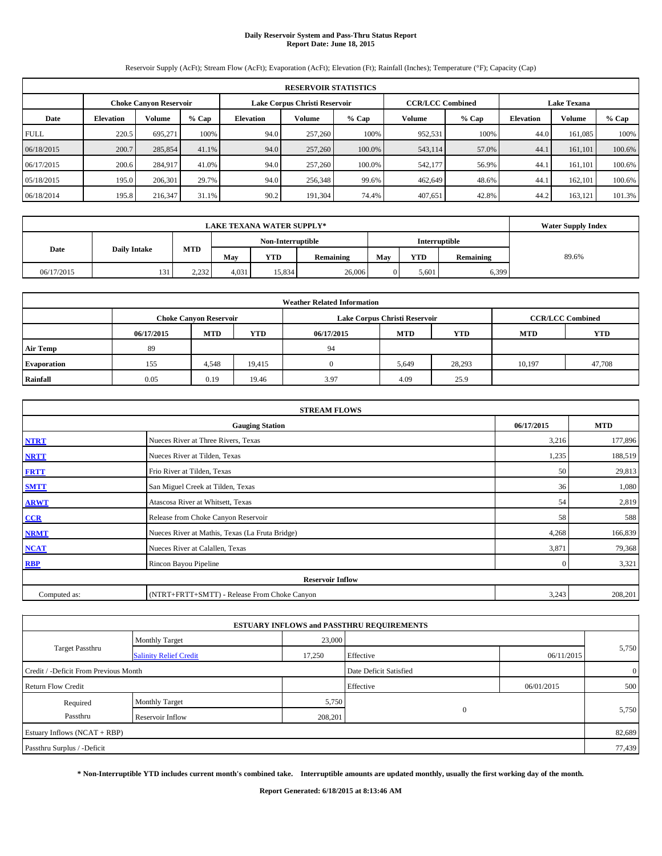# **Daily Reservoir System and Pass-Thru Status Report Report Date: June 18, 2015**

Reservoir Supply (AcFt); Stream Flow (AcFt); Evaporation (AcFt); Elevation (Ft); Rainfall (Inches); Temperature (°F); Capacity (Cap)

|             | <b>RESERVOIR STATISTICS</b> |                               |         |                  |                               |        |                         |       |                  |                    |        |  |
|-------------|-----------------------------|-------------------------------|---------|------------------|-------------------------------|--------|-------------------------|-------|------------------|--------------------|--------|--|
|             |                             | <b>Choke Canvon Reservoir</b> |         |                  | Lake Corpus Christi Reservoir |        | <b>CCR/LCC Combined</b> |       |                  | <b>Lake Texana</b> |        |  |
| Date        | <b>Elevation</b>            | Volume                        | $%$ Cap | <b>Elevation</b> | Volume<br>$%$ Cap             |        |                         | % Cap | <b>Elevation</b> | Volume             | % Cap  |  |
| <b>FULL</b> | 220.5                       | 695.271                       | 100%    | 94.0             | 257,260                       | 100%   | 952,531                 | 100%  | 44.0             | 161.085            | 100%   |  |
| 06/18/2015  | 200.7                       | 285,854                       | 41.1%   | 94.0             | 257,260                       | 100.0% | 543,114                 | 57.0% | 44.1             | 161.101            | 100.6% |  |
| 06/17/2015  | 200.6                       | 284,917                       | 41.0%   | 94.0             | 257,260                       | 100.0% | 542,177                 | 56.9% | 44.1             | 161.101            | 100.6% |  |
| 05/18/2015  | 195.0                       | 206,301                       | 29.7%   | 94.0             | 256,348                       | 99.6%  | 462,649                 | 48.6% | 44.1             | 162,101            | 100.6% |  |
| 06/18/2014  | 195.8                       | 216,347                       | 31.1%   | 90.2             | 191,304                       | 74.4%  | 407,651                 | 42.8% | 44.2             | 163,121            | 101.3% |  |

|            | <b>Water Supply Index</b> |                   |       |            |           |                      |            |           |       |
|------------|---------------------------|-------------------|-------|------------|-----------|----------------------|------------|-----------|-------|
|            |                           | Non-Interruptible |       |            |           | <b>Interruptible</b> |            |           |       |
| Date       | <b>Daily Intake</b>       | <b>MTD</b>        | May   | <b>YTD</b> | Remaining | May                  | <b>YTD</b> | Remaining | 89.6% |
| 06/17/2015 | 131                       | 2.232             | 4,031 | 15.834     | 26,006    |                      | 5,601      | 6,399     |       |

| <b>Weather Related Information</b> |            |                               |            |            |                                        |                         |        |        |  |  |  |  |
|------------------------------------|------------|-------------------------------|------------|------------|----------------------------------------|-------------------------|--------|--------|--|--|--|--|
|                                    |            | <b>Choke Canyon Reservoir</b> |            |            | Lake Corpus Christi Reservoir          | <b>CCR/LCC Combined</b> |        |        |  |  |  |  |
|                                    | 06/17/2015 | <b>MTD</b>                    | <b>YTD</b> | 06/17/2015 | <b>MTD</b><br><b>YTD</b><br><b>MTD</b> |                         |        |        |  |  |  |  |
| <b>Air Temp</b>                    | 89         |                               |            | 94         |                                        |                         |        |        |  |  |  |  |
| <b>Evaporation</b>                 | 155        | 4,548                         | 19,415     |            | 5,649                                  | 28,293                  | 10,197 | 47,708 |  |  |  |  |
| Rainfall                           | 0.05       | 0.19                          | 19.46      | 3.97       | 4.09                                   | 25.9                    |        |        |  |  |  |  |

|              | <b>STREAM FLOWS</b>                             |              |         |  |  |  |  |
|--------------|-------------------------------------------------|--------------|---------|--|--|--|--|
|              | 06/17/2015                                      | <b>MTD</b>   |         |  |  |  |  |
| <b>NTRT</b>  | Nueces River at Three Rivers, Texas             |              |         |  |  |  |  |
| <b>NRTT</b>  | Nueces River at Tilden, Texas                   | 1,235        | 188,519 |  |  |  |  |
| <b>FRTT</b>  | Frio River at Tilden, Texas                     | 50           | 29,813  |  |  |  |  |
| <b>SMTT</b>  | San Miguel Creek at Tilden, Texas               | 36           | 1,080   |  |  |  |  |
| <b>ARWT</b>  | Atascosa River at Whitsett, Texas               | 54           | 2,819   |  |  |  |  |
| CCR          | Release from Choke Canyon Reservoir             | 58           | 588     |  |  |  |  |
| <b>NRMT</b>  | Nueces River at Mathis, Texas (La Fruta Bridge) | 4,268        | 166,839 |  |  |  |  |
| <b>NCAT</b>  | Nueces River at Calallen, Texas                 | 3,871        | 79,368  |  |  |  |  |
| <b>RBP</b>   | Rincon Bayou Pipeline                           | $\mathbf{0}$ | 3,321   |  |  |  |  |
|              | <b>Reservoir Inflow</b>                         |              |         |  |  |  |  |
| Computed as: | (NTRT+FRTT+SMTT) - Release From Choke Canyon    | 3,243        | 208,201 |  |  |  |  |

|                                       |                               |         | <b>ESTUARY INFLOWS and PASSTHRU REQUIREMENTS</b> |            |                |  |
|---------------------------------------|-------------------------------|---------|--------------------------------------------------|------------|----------------|--|
|                                       | <b>Monthly Target</b>         | 23,000  |                                                  |            |                |  |
| Target Passthru                       | <b>Salinity Relief Credit</b> | 17,250  | Effective                                        | 06/11/2015 | 5,750          |  |
| Credit / -Deficit From Previous Month |                               |         | Date Deficit Satisfied                           |            | $\overline{0}$ |  |
| <b>Return Flow Credit</b>             |                               |         | Effective                                        | 06/01/2015 | 500            |  |
| Required                              | <b>Monthly Target</b>         | 5,750   |                                                  |            |                |  |
| Passthru                              | Reservoir Inflow              | 208,201 | $\Omega$                                         |            | 5,750          |  |
| Estuary Inflows (NCAT + RBP)          |                               |         |                                                  |            | 82,689         |  |
| Passthru Surplus / -Deficit           |                               |         |                                                  |            | 77,439         |  |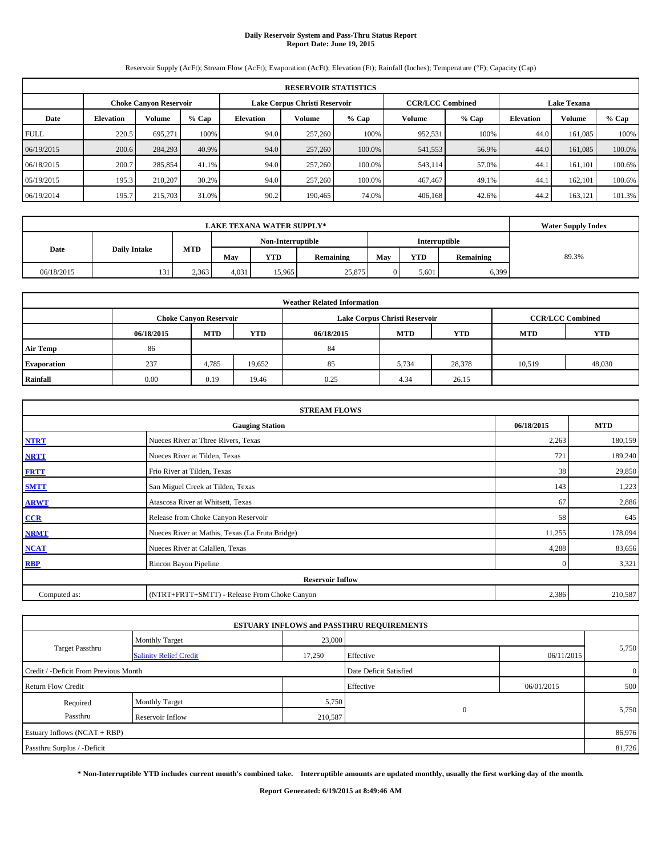# **Daily Reservoir System and Pass-Thru Status Report Report Date: June 19, 2015**

Reservoir Supply (AcFt); Stream Flow (AcFt); Evaporation (AcFt); Elevation (Ft); Rainfall (Inches); Temperature (°F); Capacity (Cap)

|             | <b>RESERVOIR STATISTICS</b> |                               |         |           |                               |        |                                               |         |                  |         |         |  |
|-------------|-----------------------------|-------------------------------|---------|-----------|-------------------------------|--------|-----------------------------------------------|---------|------------------|---------|---------|--|
|             |                             | <b>Choke Canvon Reservoir</b> |         |           | Lake Corpus Christi Reservoir |        | <b>CCR/LCC Combined</b><br><b>Lake Texana</b> |         |                  |         |         |  |
| Date        | <b>Elevation</b>            | <b>Volume</b>                 | $%$ Cap | Elevation | <b>Volume</b><br>$%$ Cap      |        |                                               | $%$ Cap | <b>Elevation</b> | Volume  | $%$ Cap |  |
| <b>FULL</b> | 220.5                       | 695.271                       | 100%    | 94.0      | 257,260                       | 100%   | 952,531                                       | 100%    | 44.0             | 161.085 | 100%    |  |
| 06/19/2015  | 200.6                       | 284,293                       | 40.9%   | 94.0      | 257,260                       | 100.0% | 541,553                                       | 56.9%   | 44.0             | 161,085 | 100.0%  |  |
| 06/18/2015  | 200.7                       | 285,854                       | 41.1%   | 94.0      | 257,260                       | 100.0% | 543,114                                       | 57.0%   | 44.1             | 161.101 | 100.6%  |  |
| 05/19/2015  | 195.3                       | 210,207                       | 30.2%   | 94.0      | 257,260                       | 100.0% | 467,467                                       | 49.1%   | 44.1             | 162,101 | 100.6%  |  |
| 06/19/2014  | 195.7                       | 215,703                       | 31.0%   | 90.2      | 190,465                       | 74.0%  | 406,168                                       | 42.6%   | 44.2             | 163,121 | 101.3%  |  |

|            | <b>Water Supply Index</b> |            |       |                   |           |     |            |                  |       |
|------------|---------------------------|------------|-------|-------------------|-----------|-----|------------|------------------|-------|
|            |                           |            |       | Non-Interruptible |           |     |            | Interruptible    |       |
| Date       | <b>Daily Intake</b>       | <b>MTD</b> | May   | <b>YTD</b>        | Remaining | May | <b>YTD</b> | <b>Remaining</b> | 89.3% |
| 06/18/2015 | 131                       | 2.363      | 4,031 | 15.965            | 25,875    |     | 5,601      | 6,399            |       |

|                    |            |                               |            | <b>Weather Related Information</b> |                               |                         |        |        |
|--------------------|------------|-------------------------------|------------|------------------------------------|-------------------------------|-------------------------|--------|--------|
|                    |            | <b>Choke Canyon Reservoir</b> |            |                                    | Lake Corpus Christi Reservoir | <b>CCR/LCC Combined</b> |        |        |
|                    | 06/18/2015 | <b>MTD</b>                    | <b>MTD</b> | <b>YTD</b>                         |                               |                         |        |        |
| <b>Air Temp</b>    | 86         |                               |            | 84                                 |                               |                         |        |        |
| <b>Evaporation</b> | 237        | 4.785                         | 19,652     | 85                                 | 5,734                         | 28,378                  | 10.519 | 48,030 |
| Rainfall           | 0.00       | 0.19                          | 19.46      | 0.25                               | 4.34                          | 26.15                   |        |        |

|              | <b>STREAM FLOWS</b>                             |              |         |  |  |  |  |
|--------------|-------------------------------------------------|--------------|---------|--|--|--|--|
|              | <b>Gauging Station</b>                          |              |         |  |  |  |  |
| <b>NTRT</b>  | Nueces River at Three Rivers, Texas             |              |         |  |  |  |  |
| <b>NRTT</b>  | Nueces River at Tilden, Texas                   | 721          | 189,240 |  |  |  |  |
| <b>FRTT</b>  | Frio River at Tilden, Texas                     | 38           | 29,850  |  |  |  |  |
| <b>SMTT</b>  | San Miguel Creek at Tilden, Texas               | 143          | 1,223   |  |  |  |  |
| <b>ARWT</b>  | Atascosa River at Whitsett, Texas               | 67           | 2,886   |  |  |  |  |
| CCR          | Release from Choke Canyon Reservoir             | 58           | 645     |  |  |  |  |
| <b>NRMT</b>  | Nueces River at Mathis, Texas (La Fruta Bridge) | 11,255       | 178,094 |  |  |  |  |
| <b>NCAT</b>  | Nueces River at Calallen, Texas                 | 4,288        | 83,656  |  |  |  |  |
| <b>RBP</b>   | Rincon Bayou Pipeline                           | $\mathbf{0}$ | 3,321   |  |  |  |  |
|              | <b>Reservoir Inflow</b>                         |              |         |  |  |  |  |
| Computed as: | (NTRT+FRTT+SMTT) - Release From Choke Canyon    | 2,386        | 210,587 |  |  |  |  |

|                                       |                               |         | <b>ESTUARY INFLOWS and PASSTHRU REQUIREMENTS</b> |            |                |  |
|---------------------------------------|-------------------------------|---------|--------------------------------------------------|------------|----------------|--|
|                                       | <b>Monthly Target</b>         | 23,000  |                                                  |            |                |  |
| Target Passthru                       | <b>Salinity Relief Credit</b> | 17,250  | Effective                                        | 06/11/2015 | 5,750          |  |
| Credit / -Deficit From Previous Month |                               |         | Date Deficit Satisfied                           |            | $\overline{0}$ |  |
| <b>Return Flow Credit</b>             |                               |         | Effective                                        | 06/01/2015 | 500            |  |
| Required                              | <b>Monthly Target</b>         | 5,750   |                                                  |            |                |  |
| Passthru                              | Reservoir Inflow              | 210,587 | $\overline{0}$                                   |            | 5,750          |  |
| Estuary Inflows $(NCAT + RBP)$        |                               |         |                                                  |            | 86,976         |  |
| Passthru Surplus / -Deficit           |                               |         |                                                  |            | 81,726         |  |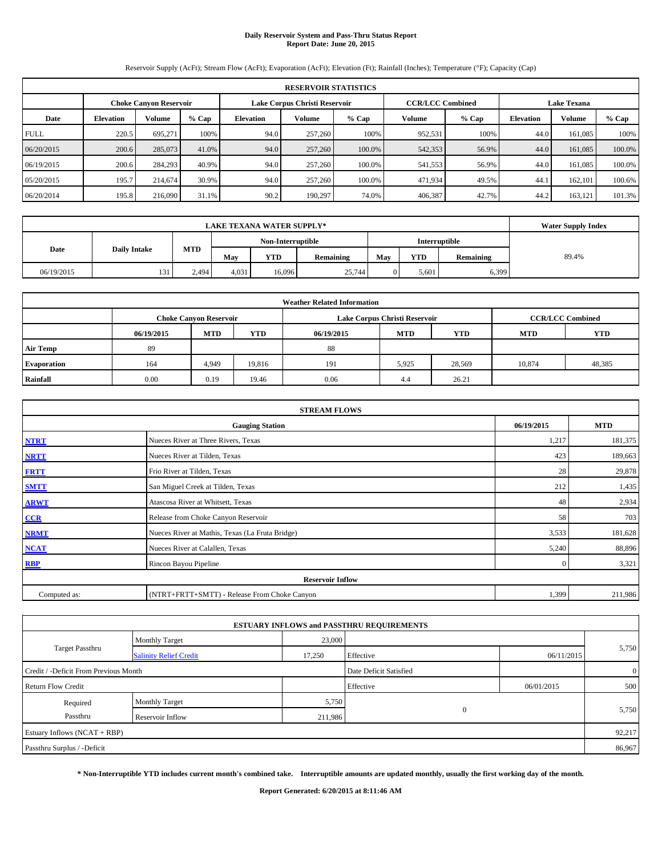# **Daily Reservoir System and Pass-Thru Status Report Report Date: June 20, 2015**

Reservoir Supply (AcFt); Stream Flow (AcFt); Evaporation (AcFt); Elevation (Ft); Rainfall (Inches); Temperature (°F); Capacity (Cap)

|             | <b>RESERVOIR STATISTICS</b> |                               |         |                  |                               |         |                                               |         |                  |         |         |  |
|-------------|-----------------------------|-------------------------------|---------|------------------|-------------------------------|---------|-----------------------------------------------|---------|------------------|---------|---------|--|
|             |                             | <b>Choke Canvon Reservoir</b> |         |                  | Lake Corpus Christi Reservoir |         | <b>CCR/LCC Combined</b><br><b>Lake Texana</b> |         |                  |         |         |  |
| Date        | <b>Elevation</b>            | <b>Volume</b>                 | $%$ Cap | <b>Elevation</b> | <b>Volume</b>                 | $%$ Cap | <b>Volume</b>                                 | $%$ Cap | <b>Elevation</b> | Volume  | $%$ Cap |  |
| <b>FULL</b> | 220.5                       | 695.271                       | 100%    | 94.0             | 257,260                       | 100%    | 952,531                                       | 100%    | 44.0             | 161.085 | 100%    |  |
| 06/20/2015  | 200.6                       | 285,073                       | 41.0%   | 94.0             | 257,260                       | 100.0%  | 542,353                                       | 56.9%   | 44.0             | 161,085 | 100.0%  |  |
| 06/19/2015  | 200.6                       | 284.293                       | 40.9%   | 94.0             | 257,260                       | 100.0%  | 541,553                                       | 56.9%   | 44.0             | 161.085 | 100.0%  |  |
| 05/20/2015  | 195.7                       | 214,674                       | 30.9%   | 94.0             | 257,260                       | 100.0%  | 471,934                                       | 49.5%   | 44.1             | 162,101 | 100.6%  |  |
| 06/20/2014  | 195.8                       | 216,090                       | 31.1%   | 90.2             | 190.297                       | 74.0%   | 406,387                                       | 42.7%   | 44.2             | 163.121 | 101.3%  |  |

|                             | <b>LAKE TEXANA WATER SUPPLY*</b> |            |       |                                    |           |     |            |                  |       |  |  |
|-----------------------------|----------------------------------|------------|-------|------------------------------------|-----------|-----|------------|------------------|-------|--|--|
|                             |                                  |            |       | Non-Interruptible<br>Interruptible |           |     |            |                  |       |  |  |
| <b>Daily Intake</b><br>Date |                                  | <b>MTD</b> | May   | <b>YTD</b>                         | Remaining | May | <b>YTD</b> | <b>Remaining</b> | 89.4% |  |  |
| 06/19/2015                  | 131                              | 2.494      | 4,031 | 16.096                             | 25.744    |     | 5,601      | 6,399            |       |  |  |

|                    | <b>Weather Related Information</b> |                                                                                           |            |            |            |            |            |            |  |  |  |  |  |  |
|--------------------|------------------------------------|-------------------------------------------------------------------------------------------|------------|------------|------------|------------|------------|------------|--|--|--|--|--|--|
|                    |                                    | <b>CCR/LCC Combined</b><br>Lake Corpus Christi Reservoir<br><b>Choke Canyon Reservoir</b> |            |            |            |            |            |            |  |  |  |  |  |  |
|                    | 06/19/2015                         | <b>MTD</b>                                                                                | <b>YTD</b> | 06/19/2015 | <b>MTD</b> | <b>YTD</b> | <b>MTD</b> | <b>YTD</b> |  |  |  |  |  |  |
| <b>Air Temp</b>    | 89                                 |                                                                                           |            | 88         |            |            |            |            |  |  |  |  |  |  |
| <b>Evaporation</b> | 164                                | 4,949                                                                                     | 19,816     | 191        | 5,925      | 28,569     | 10,874     | 48,385     |  |  |  |  |  |  |
| Rainfall           | 0.00                               | 0.19                                                                                      | 19.46      | 0.06       | 4.4        | 26.21      |            |            |  |  |  |  |  |  |

|              | <b>STREAM FLOWS</b>                                |              |         |  |  |  |  |  |  |  |
|--------------|----------------------------------------------------|--------------|---------|--|--|--|--|--|--|--|
|              | 06/19/2015<br><b>MTD</b><br><b>Gauging Station</b> |              |         |  |  |  |  |  |  |  |
| <b>NTRT</b>  | Nueces River at Three Rivers, Texas                | 1,217        | 181,375 |  |  |  |  |  |  |  |
| <b>NRTT</b>  | Nueces River at Tilden, Texas                      | 423          | 189,663 |  |  |  |  |  |  |  |
| <b>FRTT</b>  | 28                                                 | 29,878       |         |  |  |  |  |  |  |  |
| <b>SMTT</b>  | San Miguel Creek at Tilden, Texas                  | 212          | 1,435   |  |  |  |  |  |  |  |
| <b>ARWT</b>  | Atascosa River at Whitsett, Texas                  | 48           | 2,934   |  |  |  |  |  |  |  |
| CCR          | Release from Choke Canyon Reservoir                | 58           | 703     |  |  |  |  |  |  |  |
| <b>NRMT</b>  | Nueces River at Mathis, Texas (La Fruta Bridge)    | 3,533        | 181,628 |  |  |  |  |  |  |  |
| <b>NCAT</b>  | Nueces River at Calallen, Texas                    | 5,240        | 88,896  |  |  |  |  |  |  |  |
| <b>RBP</b>   | Rincon Bayou Pipeline                              | $\mathbf{0}$ | 3,321   |  |  |  |  |  |  |  |
|              | <b>Reservoir Inflow</b>                            |              |         |  |  |  |  |  |  |  |
| Computed as: | (NTRT+FRTT+SMTT) - Release From Choke Canyon       | 1,399        | 211,986 |  |  |  |  |  |  |  |

|                                       |                               |         | <b>ESTUARY INFLOWS and PASSTHRU REQUIREMENTS</b> |            |                |
|---------------------------------------|-------------------------------|---------|--------------------------------------------------|------------|----------------|
|                                       | <b>Monthly Target</b>         | 23,000  |                                                  |            |                |
| Target Passthru                       | <b>Salinity Relief Credit</b> | 17,250  | Effective                                        | 06/11/2015 | 5,750          |
| Credit / -Deficit From Previous Month |                               |         | Date Deficit Satisfied                           |            | $\overline{0}$ |
| <b>Return Flow Credit</b>             |                               |         | Effective                                        | 06/01/2015 | 500            |
| Required                              | <b>Monthly Target</b>         | 5,750   |                                                  |            |                |
| Passthru                              | Reservoir Inflow              | 211,986 | $\Omega$                                         |            | 5,750          |
| Estuary Inflows (NCAT + RBP)          |                               |         |                                                  |            | 92,217         |
| Passthru Surplus / -Deficit           |                               |         |                                                  |            | 86,967         |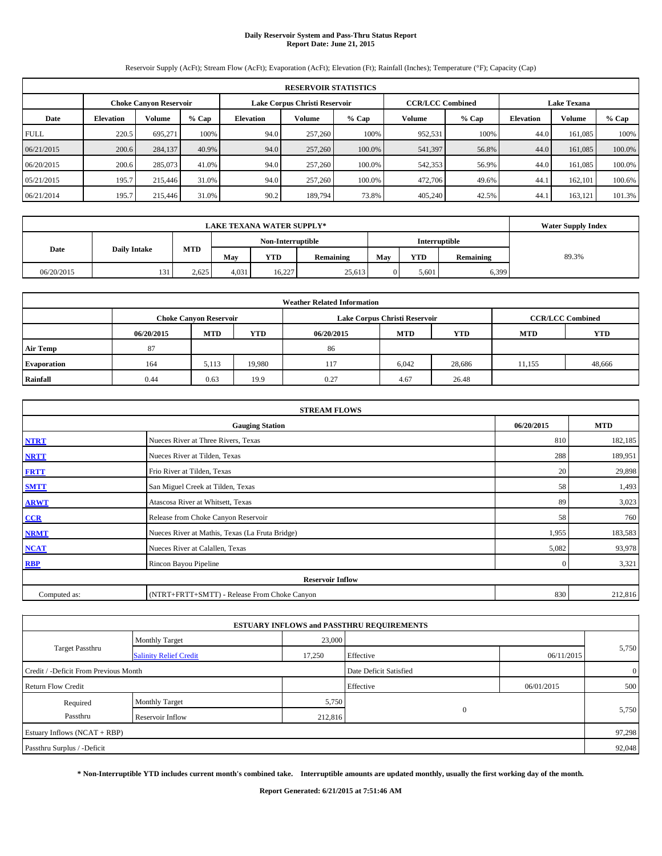# **Daily Reservoir System and Pass-Thru Status Report Report Date: June 21, 2015**

Reservoir Supply (AcFt); Stream Flow (AcFt); Evaporation (AcFt); Elevation (Ft); Rainfall (Inches); Temperature (°F); Capacity (Cap)

|             | <b>RESERVOIR STATISTICS</b>                                                                                     |               |         |           |               |         |         |         |                  |         |         |  |  |  |  |
|-------------|-----------------------------------------------------------------------------------------------------------------|---------------|---------|-----------|---------------|---------|---------|---------|------------------|---------|---------|--|--|--|--|
|             | <b>CCR/LCC Combined</b><br><b>Lake Texana</b><br>Lake Corpus Christi Reservoir<br><b>Choke Canvon Reservoir</b> |               |         |           |               |         |         |         |                  |         |         |  |  |  |  |
| Date        | <b>Elevation</b>                                                                                                | <b>Volume</b> | $%$ Cap | Elevation | <b>Volume</b> | $%$ Cap | Volume  | $%$ Cap | <b>Elevation</b> | Volume  | $%$ Cap |  |  |  |  |
| <b>FULL</b> | 220.5                                                                                                           | 695.271       | 100%    | 94.0      | 257,260       | 100%    | 952,531 | 100%    | 44.0             | 161.085 | 100%    |  |  |  |  |
| 06/21/2015  | 200.6                                                                                                           | 284,137       | 40.9%   | 94.0      | 257,260       | 100.0%  | 541,397 | 56.8%   | 44.0             | 161,085 | 100.0%  |  |  |  |  |
| 06/20/2015  | 200.6                                                                                                           | 285,073       | 41.0%   | 94.0      | 257,260       | 100.0%  | 542,353 | 56.9%   | 44.0             | 161.085 | 100.0%  |  |  |  |  |
| 05/21/2015  | 195.7                                                                                                           | 215,446       | 31.0%   | 94.0      | 257,260       | 100.0%  | 472,706 | 49.6%   | 44.1             | 162,101 | 100.6%  |  |  |  |  |
| 06/21/2014  | 195.7                                                                                                           | 215,446       | 31.0%   | 90.2      | 189,794       | 73.8%   | 405,240 | 42.5%   | 44.              | 163,121 | 101.3%  |  |  |  |  |

|                             | <b>LAKE TEXANA WATER SUPPLY*</b> |            |       |            |           |               |            |                  |       |  |  |
|-----------------------------|----------------------------------|------------|-------|------------|-----------|---------------|------------|------------------|-------|--|--|
|                             |                                  |            |       |            |           | Interruptible |            |                  |       |  |  |
| <b>Daily Intake</b><br>Date |                                  | <b>MTD</b> | May   | <b>YTD</b> | Remaining | May           | <b>YTD</b> | <b>Remaining</b> | 89.3% |  |  |
| 06/20/2015                  | 131                              | 2.625      | 4,031 | 16.227     | 25.613    |               | 5,601      | 6,399            |       |  |  |

|                    | <b>Weather Related Information</b> |                                                                                           |            |            |            |            |            |            |  |  |  |  |  |  |
|--------------------|------------------------------------|-------------------------------------------------------------------------------------------|------------|------------|------------|------------|------------|------------|--|--|--|--|--|--|
|                    |                                    | <b>CCR/LCC Combined</b><br>Lake Corpus Christi Reservoir<br><b>Choke Canyon Reservoir</b> |            |            |            |            |            |            |  |  |  |  |  |  |
|                    | 06/20/2015                         | <b>MTD</b>                                                                                | <b>YTD</b> | 06/20/2015 | <b>MTD</b> | <b>YTD</b> | <b>MTD</b> | <b>YTD</b> |  |  |  |  |  |  |
| <b>Air Temp</b>    | 87                                 |                                                                                           |            | 86         |            |            |            |            |  |  |  |  |  |  |
| <b>Evaporation</b> | 164                                | 5,113                                                                                     | 19,980     | 117        | 6,042      | 28,686     | 11,155     | 48,666     |  |  |  |  |  |  |
| Rainfall           | 0.44                               | 0.63                                                                                      | 19.9       | 0.27       | 4.67       | 26.48      |            |            |  |  |  |  |  |  |

|              | <b>STREAM FLOWS</b>                                |              |         |  |  |  |  |  |  |  |
|--------------|----------------------------------------------------|--------------|---------|--|--|--|--|--|--|--|
|              | 06/20/2015<br><b>MTD</b><br><b>Gauging Station</b> |              |         |  |  |  |  |  |  |  |
| <b>NTRT</b>  | Nueces River at Three Rivers, Texas                | 810          | 182,185 |  |  |  |  |  |  |  |
| <b>NRTT</b>  | Nueces River at Tilden, Texas                      | 288          | 189,951 |  |  |  |  |  |  |  |
| <b>FRTT</b>  | Frio River at Tilden, Texas                        | 20           | 29,898  |  |  |  |  |  |  |  |
| <b>SMTT</b>  | San Miguel Creek at Tilden, Texas                  | 58           | 1,493   |  |  |  |  |  |  |  |
| <b>ARWT</b>  | Atascosa River at Whitsett, Texas                  | 89           | 3,023   |  |  |  |  |  |  |  |
| CCR          | Release from Choke Canyon Reservoir                | 58           | 760     |  |  |  |  |  |  |  |
| <b>NRMT</b>  | Nueces River at Mathis, Texas (La Fruta Bridge)    | 1,955        | 183,583 |  |  |  |  |  |  |  |
| <b>NCAT</b>  | Nueces River at Calallen, Texas                    | 5,082        | 93,978  |  |  |  |  |  |  |  |
| <b>RBP</b>   | Rincon Bayou Pipeline                              | $\mathbf{0}$ | 3,321   |  |  |  |  |  |  |  |
|              | <b>Reservoir Inflow</b>                            |              |         |  |  |  |  |  |  |  |
| Computed as: | (NTRT+FRTT+SMTT) - Release From Choke Canyon       | 830          | 212,816 |  |  |  |  |  |  |  |

|                                       |                               |         | <b>ESTUARY INFLOWS and PASSTHRU REQUIREMENTS</b> |            |                |
|---------------------------------------|-------------------------------|---------|--------------------------------------------------|------------|----------------|
|                                       | <b>Monthly Target</b>         | 23,000  |                                                  |            |                |
| Target Passthru                       | <b>Salinity Relief Credit</b> | 17,250  | Effective                                        | 06/11/2015 | 5,750          |
| Credit / -Deficit From Previous Month |                               |         | Date Deficit Satisfied                           |            | $\overline{0}$ |
| <b>Return Flow Credit</b>             |                               |         | Effective                                        | 06/01/2015 | 500            |
| Required                              | <b>Monthly Target</b>         | 5,750   |                                                  |            |                |
| Passthru                              | Reservoir Inflow              | 212,816 | $\Omega$                                         |            | 5,750          |
| Estuary Inflows (NCAT + RBP)          |                               |         |                                                  |            | 97,298         |
| Passthru Surplus / -Deficit           |                               |         |                                                  |            | 92,048         |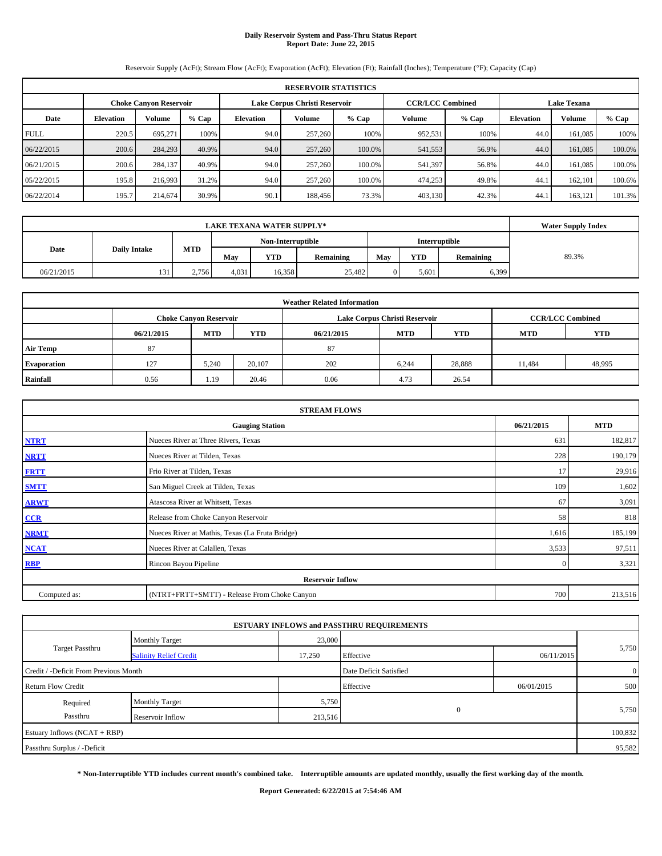# **Daily Reservoir System and Pass-Thru Status Report Report Date: June 22, 2015**

Reservoir Supply (AcFt); Stream Flow (AcFt); Evaporation (AcFt); Elevation (Ft); Rainfall (Inches); Temperature (°F); Capacity (Cap)

|             | <b>RESERVOIR STATISTICS</b>                                                                                     |               |         |           |               |         |         |         |                  |         |         |  |  |  |  |
|-------------|-----------------------------------------------------------------------------------------------------------------|---------------|---------|-----------|---------------|---------|---------|---------|------------------|---------|---------|--|--|--|--|
|             | <b>CCR/LCC Combined</b><br><b>Lake Texana</b><br>Lake Corpus Christi Reservoir<br><b>Choke Canvon Reservoir</b> |               |         |           |               |         |         |         |                  |         |         |  |  |  |  |
| Date        | <b>Elevation</b>                                                                                                | <b>Volume</b> | $%$ Cap | Elevation | <b>Volume</b> | $%$ Cap | Volume  | $%$ Cap | <b>Elevation</b> | Volume  | $%$ Cap |  |  |  |  |
| <b>FULL</b> | 220.5                                                                                                           | 695.271       | 100%    | 94.0      | 257,260       | 100%    | 952,531 | 100%    | 44.0             | 161.085 | 100%    |  |  |  |  |
| 06/22/2015  | 200.6                                                                                                           | 284,293       | 40.9%   | 94.0      | 257,260       | 100.0%  | 541,553 | 56.9%   | 44.0             | 161,085 | 100.0%  |  |  |  |  |
| 06/21/2015  | 200.6                                                                                                           | 284,137       | 40.9%   | 94.0      | 257,260       | 100.0%  | 541,397 | 56.8%   | 44.0             | 161.085 | 100.0%  |  |  |  |  |
| 05/22/2015  | 195.8                                                                                                           | 216,993       | 31.2%   | 94.0      | 257,260       | 100.0%  | 474,253 | 49.8%   | 44.1             | 162,101 | 100.6%  |  |  |  |  |
| 06/22/2014  | 195.7                                                                                                           | 214,674       | 30.9%   | 90.1      | 188,456       | 73.3%   | 403,130 | 42.3%   | 44.              | 163,121 | 101.3%  |  |  |  |  |

|                                           | <b>LAKE TEXANA WATER SUPPLY*</b>          |       |       |            |           |     |            |           |       |  |  |
|-------------------------------------------|-------------------------------------------|-------|-------|------------|-----------|-----|------------|-----------|-------|--|--|
| <b>Interruptible</b><br>Non-Interruptible |                                           |       |       |            |           |     |            |           |       |  |  |
|                                           | <b>MTD</b><br><b>Daily Intake</b><br>Date |       | May   | <b>YTD</b> | Remaining | May | <b>YTD</b> | Remaining | 89.3% |  |  |
| 06/21/2015                                | 131                                       | 2,756 | 4,031 | 16.358     | 25,482    |     | 5,601      | 6,399     |       |  |  |

|                    |            |                                                                                           |            | <b>Weather Related Information</b> |            |            |            |            |  |  |  |  |  |  |
|--------------------|------------|-------------------------------------------------------------------------------------------|------------|------------------------------------|------------|------------|------------|------------|--|--|--|--|--|--|
|                    |            | Lake Corpus Christi Reservoir<br><b>CCR/LCC Combined</b><br><b>Choke Canyon Reservoir</b> |            |                                    |            |            |            |            |  |  |  |  |  |  |
|                    | 06/21/2015 | <b>MTD</b>                                                                                | <b>YTD</b> | 06/21/2015                         | <b>MTD</b> | <b>YTD</b> | <b>MTD</b> | <b>YTD</b> |  |  |  |  |  |  |
| <b>Air Temp</b>    | 87         |                                                                                           |            | 87                                 |            |            |            |            |  |  |  |  |  |  |
| <b>Evaporation</b> | 127        | 5.240                                                                                     | 20.107     | 202                                | 6.244      | 28,888     | 11.484     | 48,995     |  |  |  |  |  |  |
| Rainfall           | 0.56       | 1.19                                                                                      | 20.46      | 0.06                               | 4.73       | 26.54      |            |            |  |  |  |  |  |  |

|              | <b>STREAM FLOWS</b>                             |              |            |
|--------------|-------------------------------------------------|--------------|------------|
|              | <b>Gauging Station</b>                          | 06/21/2015   | <b>MTD</b> |
| <b>NTRT</b>  | Nueces River at Three Rivers, Texas             | 631          | 182,817    |
| <b>NRTT</b>  | Nueces River at Tilden, Texas                   | 228          | 190,179    |
| <b>FRTT</b>  | Frio River at Tilden, Texas                     | 17           | 29,916     |
| <b>SMTT</b>  | San Miguel Creek at Tilden, Texas               | 109          | 1,602      |
| <b>ARWT</b>  | Atascosa River at Whitsett, Texas               | 67           | 3,091      |
| CCR          | Release from Choke Canyon Reservoir             | 58           | 818        |
| <b>NRMT</b>  | Nueces River at Mathis, Texas (La Fruta Bridge) | 1,616        | 185,199    |
| <b>NCAT</b>  | Nueces River at Calallen, Texas                 | 3,533        | 97,511     |
| RBP          | Rincon Bayou Pipeline                           | $\mathbf{0}$ | 3,321      |
|              | <b>Reservoir Inflow</b>                         |              |            |
| Computed as: | (NTRT+FRTT+SMTT) - Release From Choke Canyon    | 700          | 213,516    |

|                                       |                               |         | <b>ESTUARY INFLOWS and PASSTHRU REQUIREMENTS</b> |            |                |
|---------------------------------------|-------------------------------|---------|--------------------------------------------------|------------|----------------|
|                                       | <b>Monthly Target</b>         | 23,000  |                                                  |            | 5,750          |
| <b>Target Passthru</b>                | <b>Salinity Relief Credit</b> | 17,250  | Effective                                        | 06/11/2015 |                |
| Credit / -Deficit From Previous Month |                               |         | Date Deficit Satisfied                           |            | $\overline{0}$ |
| <b>Return Flow Credit</b>             |                               |         | Effective                                        | 06/01/2015 | 500            |
| Required                              | Monthly Target                | 5,750   |                                                  |            |                |
| Passthru                              | Reservoir Inflow              | 213,516 | $\Omega$                                         |            | 5,750          |
| Estuary Inflows $(NCAT + RBP)$        |                               |         |                                                  |            | 100,832        |
| Passthru Surplus / -Deficit           |                               |         |                                                  |            | 95,582         |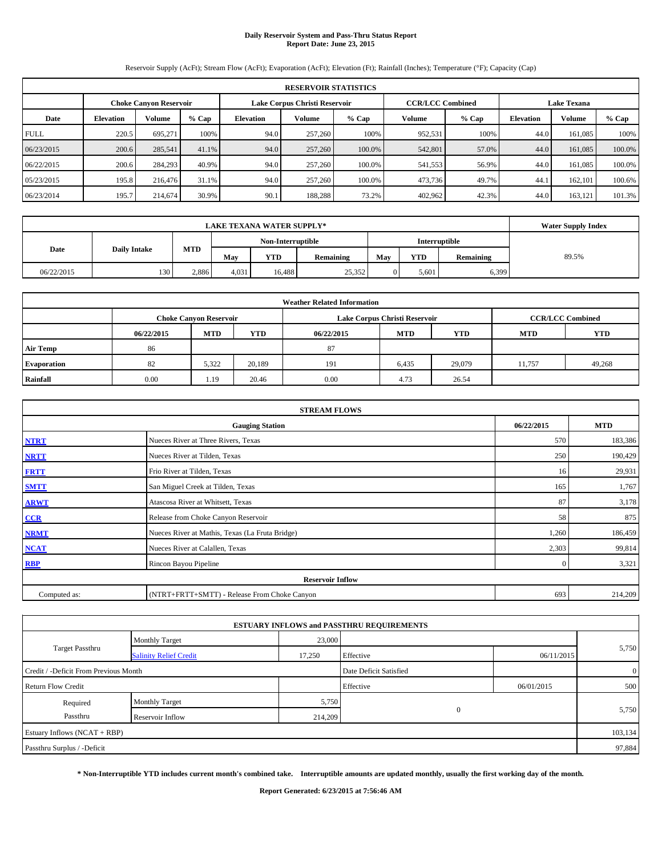# **Daily Reservoir System and Pass-Thru Status Report Report Date: June 23, 2015**

Reservoir Supply (AcFt); Stream Flow (AcFt); Evaporation (AcFt); Elevation (Ft); Rainfall (Inches); Temperature (°F); Capacity (Cap)

|             | <b>RESERVOIR STATISTICS</b> |                               |         |                  |                               |         |                         |         |                    |         |         |  |  |
|-------------|-----------------------------|-------------------------------|---------|------------------|-------------------------------|---------|-------------------------|---------|--------------------|---------|---------|--|--|
|             |                             | <b>Choke Canvon Reservoir</b> |         |                  | Lake Corpus Christi Reservoir |         | <b>CCR/LCC Combined</b> |         | <b>Lake Texana</b> |         |         |  |  |
| Date        | <b>Elevation</b>            | <b>Volume</b>                 | $%$ Cap | <b>Elevation</b> | <b>Volume</b>                 | $%$ Cap | Volume                  | $%$ Cap | <b>Elevation</b>   | Volume  | $%$ Cap |  |  |
| <b>FULL</b> | 220.5                       | 695.271                       | 100%    | 94.0             | 257,260                       | 100%    | 952,531                 | 100%    | 44.0               | 161.085 | 100%    |  |  |
| 06/23/2015  | 200.6                       | 285,541                       | 41.1%   | 94.0             | 257,260                       | 100.0%  | 542,801                 | 57.0%   | 44.0               | 161,085 | 100.0%  |  |  |
| 06/22/2015  | 200.6                       | 284,293                       | 40.9%   | 94.0             | 257,260                       | 100.0%  | 541,553                 | 56.9%   | 44.0               | 161.085 | 100.0%  |  |  |
| 05/23/2015  | 195.8                       | 216,476                       | 31.1%   | 94.0             | 257,260                       | 100.0%  | 473,736                 | 49.7%   | 44.1               | 162,101 | 100.6%  |  |  |
| 06/23/2014  | 195.7                       | 214,674                       | 30.9%   | 90.1             | 188,288                       | 73.2%   | 402,962                 | 42.3%   | 44.0               | 163,121 | 101.3%  |  |  |

| <b>LAKE TEXANA WATER SUPPLY*</b> |                     |            |                                    |            |           |     |            |           | <b>Water Supply Index</b> |
|----------------------------------|---------------------|------------|------------------------------------|------------|-----------|-----|------------|-----------|---------------------------|
|                                  |                     |            | Non-Interruptible<br>Interruptible |            |           |     |            |           |                           |
| Date                             | <b>Daily Intake</b> | <b>MTD</b> | May                                | <b>YTD</b> | Remaining | May | <b>YTD</b> | Remaining | 89.5%                     |
| 06/22/2015                       | 130                 | 2.886      | 4,031                              | 16.488     | 25,352    |     | 5,601      | 6,399     |                           |

|                    | <b>Weather Related Information</b> |                               |            |            |                               |                         |            |            |  |  |  |  |
|--------------------|------------------------------------|-------------------------------|------------|------------|-------------------------------|-------------------------|------------|------------|--|--|--|--|
|                    |                                    | <b>Choke Canyon Reservoir</b> |            |            | Lake Corpus Christi Reservoir | <b>CCR/LCC Combined</b> |            |            |  |  |  |  |
|                    | 06/22/2015                         | <b>MTD</b>                    | <b>YTD</b> | 06/22/2015 | <b>MTD</b>                    | <b>YTD</b>              | <b>MTD</b> | <b>YTD</b> |  |  |  |  |
| <b>Air Temp</b>    | 86                                 |                               |            | 87         |                               |                         |            |            |  |  |  |  |
| <b>Evaporation</b> | 82                                 | 5.322                         | 20.189     | 191        | 6,435                         | 29,079                  | 11.757     | 49,268     |  |  |  |  |
| Rainfall           | 0.00                               | 1.19                          | 20.46      | 0.00       | 4.73                          | 26.54                   |            |            |  |  |  |  |

|              | <b>STREAM FLOWS</b>                             |              |            |
|--------------|-------------------------------------------------|--------------|------------|
|              | <b>Gauging Station</b>                          | 06/22/2015   | <b>MTD</b> |
| <b>NTRT</b>  | Nueces River at Three Rivers, Texas             | 570          | 183,386    |
| <b>NRTT</b>  | Nueces River at Tilden, Texas                   | 250          | 190,429    |
| <b>FRTT</b>  | Frio River at Tilden, Texas                     | 16           | 29,931     |
| <b>SMTT</b>  | San Miguel Creek at Tilden, Texas               | 165          | 1,767      |
| <b>ARWT</b>  | Atascosa River at Whitsett, Texas               | 87           | 3,178      |
| CCR          | Release from Choke Canyon Reservoir             | 58           | 875        |
| <b>NRMT</b>  | Nueces River at Mathis, Texas (La Fruta Bridge) | 1,260        | 186,459    |
| <b>NCAT</b>  | Nueces River at Calallen, Texas                 | 2,303        | 99,814     |
| <b>RBP</b>   | Rincon Bayou Pipeline                           | $\mathbf{0}$ | 3,321      |
|              | <b>Reservoir Inflow</b>                         |              |            |
| Computed as: | (NTRT+FRTT+SMTT) - Release From Choke Canyon    | 693          | 214,209    |

|                                       |                               |         | <b>ESTUARY INFLOWS and PASSTHRU REQUIREMENTS</b> |            |                |
|---------------------------------------|-------------------------------|---------|--------------------------------------------------|------------|----------------|
|                                       | <b>Monthly Target</b>         | 23,000  |                                                  |            |                |
| <b>Target Passthru</b>                | <b>Salinity Relief Credit</b> | 17,250  | Effective                                        | 06/11/2015 | 5,750          |
| Credit / -Deficit From Previous Month |                               |         | Date Deficit Satisfied                           |            | $\overline{0}$ |
| <b>Return Flow Credit</b>             |                               |         | Effective                                        | 06/01/2015 | 500            |
| Required                              | <b>Monthly Target</b>         | 5,750   |                                                  |            |                |
| Passthru                              | Reservoir Inflow              | 214,209 | $\mathbf{0}$                                     |            | 5,750          |
| Estuary Inflows (NCAT + RBP)          |                               |         |                                                  |            | 103,134        |
| Passthru Surplus / -Deficit           |                               |         |                                                  |            | 97,884         |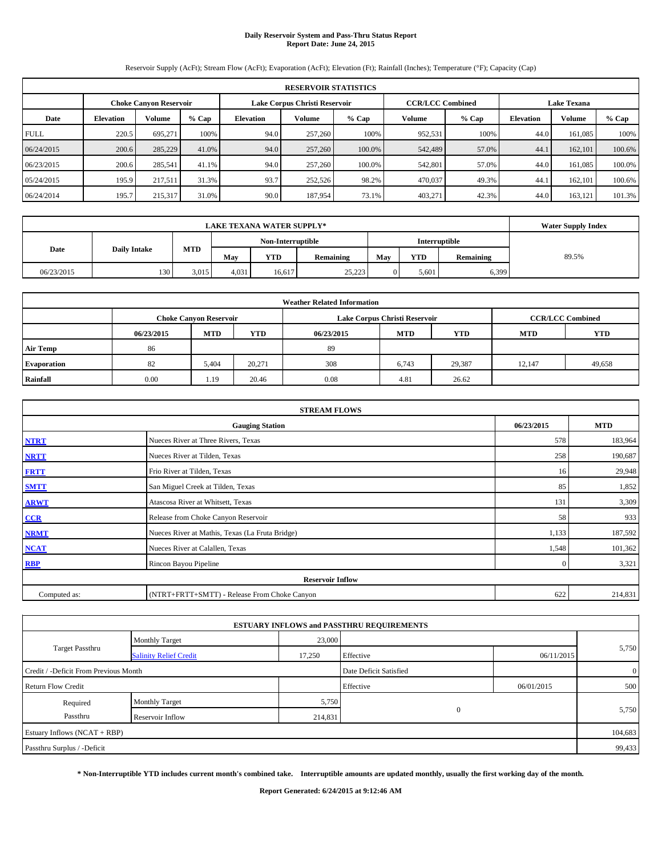# **Daily Reservoir System and Pass-Thru Status Report Report Date: June 24, 2015**

Reservoir Supply (AcFt); Stream Flow (AcFt); Evaporation (AcFt); Elevation (Ft); Rainfall (Inches); Temperature (°F); Capacity (Cap)

|             | <b>RESERVOIR STATISTICS</b>                                    |         |         |                  |                         |         |                    |         |                  |               |        |  |  |
|-------------|----------------------------------------------------------------|---------|---------|------------------|-------------------------|---------|--------------------|---------|------------------|---------------|--------|--|--|
|             | Lake Corpus Christi Reservoir<br><b>Choke Canvon Reservoir</b> |         |         |                  | <b>CCR/LCC Combined</b> |         | <b>Lake Texana</b> |         |                  |               |        |  |  |
| Date        | <b>Elevation</b>                                               | Volume  | $%$ Cap | <b>Elevation</b> | <b>Volume</b>           | $%$ Cap | Volume             | $%$ Cap | <b>Elevation</b> | <b>Volume</b> | % Cap  |  |  |
| <b>FULL</b> | 220.5                                                          | 695.271 | 100%    | 94.0             | 257,260                 | 100%    | 952,531            | 100%    | 44.0             | 161.085       | 100%   |  |  |
| 06/24/2015  | 200.6                                                          | 285,229 | 41.0%   | 94.0             | 257,260                 | 100.0%  | 542,489            | 57.0%   | 44.1             | 162,101       | 100.6% |  |  |
| 06/23/2015  | 200.6                                                          | 285.541 | 41.1%   | 94.0             | 257,260                 | 100.0%  | 542,801            | 57.0%   | 44.0             | 161.085       | 100.0% |  |  |
| 05/24/2015  | 195.9                                                          | 217.511 | 31.3%   | 93.7             | 252,526                 | 98.2%   | 470,037            | 49.3%   | 44.1             | 162,101       | 100.6% |  |  |
| 06/24/2014  | 195.7                                                          | 215,317 | 31.0%   | 90.0             | 187,954                 | 73.1%   | 403,271            | 42.3%   | 44.0             | 163.121       | 101.3% |  |  |

| <b>LAKE TEXANA WATER SUPPLY*</b> |                     |                                    |       |        |           |     |       |           | <b>Water Supply Index</b> |
|----------------------------------|---------------------|------------------------------------|-------|--------|-----------|-----|-------|-----------|---------------------------|
|                                  |                     | Non-Interruptible<br>Interruptible |       |        |           |     |       |           |                           |
| Date                             | <b>Daily Intake</b> | <b>MTD</b>                         | May   | YTD    | Remaining | May | YTD   | Remaining | 89.5%                     |
| 06/23/2015                       | 130                 | 3.015                              | 4,031 | 16.617 | 25,223    |     | 5,601 | 6,399     |                           |

| <b>Weather Related Information</b> |            |                               |            |            |                               |                         |            |            |  |  |  |
|------------------------------------|------------|-------------------------------|------------|------------|-------------------------------|-------------------------|------------|------------|--|--|--|
|                                    |            | <b>Choke Canyon Reservoir</b> |            |            | Lake Corpus Christi Reservoir | <b>CCR/LCC Combined</b> |            |            |  |  |  |
|                                    | 06/23/2015 | <b>MTD</b>                    | <b>YTD</b> | 06/23/2015 | <b>MTD</b>                    | <b>YTD</b>              | <b>MTD</b> | <b>YTD</b> |  |  |  |
| <b>Air Temp</b>                    | 86         |                               |            | 89         |                               |                         |            |            |  |  |  |
| <b>Evaporation</b>                 | 82         | 5.404                         | 20,271     | 308        | 6,743                         | 29,387                  | 12,147     | 49,658     |  |  |  |
| Rainfall                           | 0.00       | 1.19                          | 20.46      | 0.08       | 4.81                          | 26.62                   |            |            |  |  |  |

|              | <b>STREAM FLOWS</b>                             |              |            |
|--------------|-------------------------------------------------|--------------|------------|
|              | <b>Gauging Station</b>                          | 06/23/2015   | <b>MTD</b> |
| <b>NTRT</b>  | Nueces River at Three Rivers, Texas             | 578          | 183,964    |
| <b>NRTT</b>  | Nueces River at Tilden, Texas                   | 258          | 190,687    |
| <b>FRTT</b>  | Frio River at Tilden, Texas                     | 16           | 29,948     |
| <b>SMTT</b>  | San Miguel Creek at Tilden, Texas               | 85           | 1,852      |
| <b>ARWT</b>  | Atascosa River at Whitsett, Texas               | 131          | 3,309      |
| CCR          | Release from Choke Canyon Reservoir             | 58           | 933        |
| <b>NRMT</b>  | Nueces River at Mathis, Texas (La Fruta Bridge) | 1,133        | 187,592    |
| <b>NCAT</b>  | Nueces River at Calallen, Texas                 | 1,548        | 101,362    |
| <b>RBP</b>   | Rincon Bayou Pipeline                           | $\mathbf{0}$ | 3,321      |
|              | <b>Reservoir Inflow</b>                         |              |            |
| Computed as: | (NTRT+FRTT+SMTT) - Release From Choke Canyon    | 622          | 214,831    |

|                                       |                               |         | <b>ESTUARY INFLOWS and PASSTHRU REQUIREMENTS</b> |            |                |
|---------------------------------------|-------------------------------|---------|--------------------------------------------------|------------|----------------|
|                                       | <b>Monthly Target</b>         | 23,000  |                                                  |            | 5,750          |
| <b>Target Passthru</b>                | <b>Salinity Relief Credit</b> | 17,250  | Effective                                        | 06/11/2015 |                |
| Credit / -Deficit From Previous Month |                               |         | Date Deficit Satisfied                           |            | $\overline{0}$ |
| <b>Return Flow Credit</b>             |                               |         | Effective                                        | 06/01/2015 | 500            |
| Required                              | Monthly Target                | 5,750   |                                                  |            | 5,750          |
| Passthru                              | Reservoir Inflow              | 214,831 |                                                  | $\Omega$   |                |
| Estuary Inflows $(NCAT + RBP)$        |                               |         |                                                  |            | 104,683        |
| Passthru Surplus / -Deficit           |                               |         |                                                  |            | 99,433         |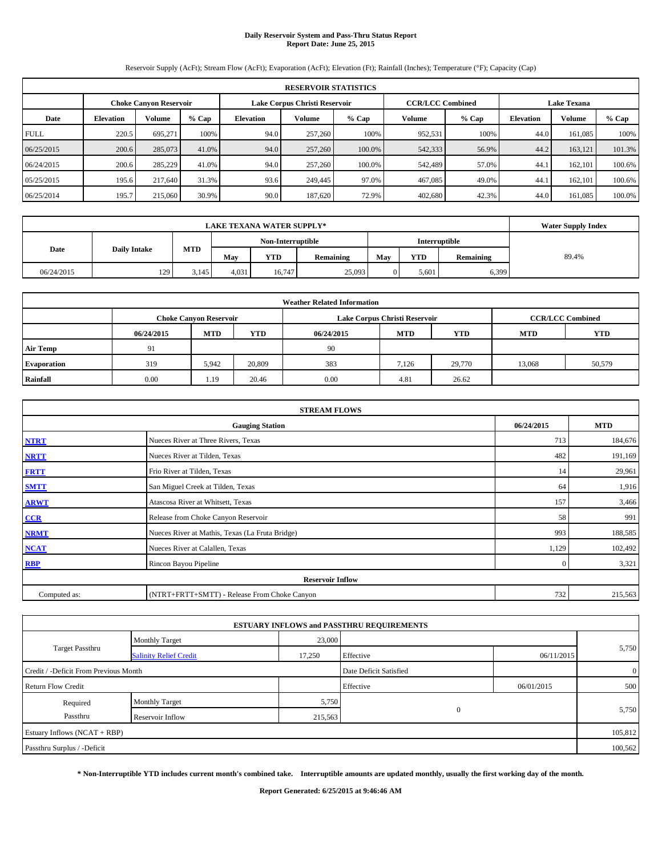# **Daily Reservoir System and Pass-Thru Status Report Report Date: June 25, 2015**

Reservoir Supply (AcFt); Stream Flow (AcFt); Evaporation (AcFt); Elevation (Ft); Rainfall (Inches); Temperature (°F); Capacity (Cap)

|             | <b>RESERVOIR STATISTICS</b>                                                                                     |               |         |                  |               |         |               |         |                  |         |         |  |
|-------------|-----------------------------------------------------------------------------------------------------------------|---------------|---------|------------------|---------------|---------|---------------|---------|------------------|---------|---------|--|
|             | <b>CCR/LCC Combined</b><br><b>Lake Texana</b><br>Lake Corpus Christi Reservoir<br><b>Choke Canvon Reservoir</b> |               |         |                  |               |         |               |         |                  |         |         |  |
| Date        | <b>Elevation</b>                                                                                                | <b>Volume</b> | $%$ Cap | <b>Elevation</b> | <b>Volume</b> | $%$ Cap | <b>Volume</b> | $%$ Cap | <b>Elevation</b> | Volume  | $%$ Cap |  |
| <b>FULL</b> | 220.5                                                                                                           | 695.271       | 100%    | 94.0             | 257,260       | 100%    | 952,531       | 100%    | 44.0             | 161.085 | 100%    |  |
| 06/25/2015  | 200.6                                                                                                           | 285,073       | 41.0%   | 94.0             | 257,260       | 100.0%  | 542,333       | 56.9%   | 44.2             | 163,121 | 101.3%  |  |
| 06/24/2015  | 200.6                                                                                                           | 285,229       | 41.0%   | 94.0             | 257,260       | 100.0%  | 542,489       | 57.0%   | 44.1             | 162,101 | 100.6%  |  |
| 05/25/2015  | 195.6                                                                                                           | 217,640       | 31.3%   | 93.6             | 249,445       | 97.0%   | 467,085       | 49.0%   | 44.1             | 162,101 | 100.6%  |  |
| 06/25/2014  | 195.7                                                                                                           | 215,060       | 30.9%   | 90.0             | 187,620       | 72.9%   | 402,680       | 42.3%   | 44.0             | 161.085 | 100.0%  |  |

|            |                     | <b>Water Supply Index</b> |                   |            |           |     |            |           |       |
|------------|---------------------|---------------------------|-------------------|------------|-----------|-----|------------|-----------|-------|
|            |                     |                           | Non-Interruptible |            |           |     |            |           |       |
| Date       | <b>Daily Intake</b> | <b>MTD</b>                | May               | <b>YTD</b> | Remaining | May | <b>YTD</b> | Remaining | 89.4% |
| 06/24/2015 | 129                 | 3,145                     | 4,031             | 16.747     | 25,093    |     | 5,601      | 6,399     |       |

| <b>Weather Related Information</b> |            |                               |            |            |                               |                         |        |        |  |  |  |
|------------------------------------|------------|-------------------------------|------------|------------|-------------------------------|-------------------------|--------|--------|--|--|--|
|                                    |            | <b>Choke Canyon Reservoir</b> |            |            | Lake Corpus Christi Reservoir | <b>CCR/LCC Combined</b> |        |        |  |  |  |
|                                    | 06/24/2015 | <b>MTD</b>                    | <b>YTD</b> | 06/24/2015 | <b>MTD</b>                    | <b>YTD</b>              |        |        |  |  |  |
| <b>Air Temp</b>                    | 91         |                               |            | 90         |                               |                         |        |        |  |  |  |
| <b>Evaporation</b>                 | 319        | 5.942                         | 20,809     | 383        | 7,126                         | 29,770                  | 13,068 | 50,579 |  |  |  |
| Rainfall                           | 0.00       | 1.19                          | 20.46      | 0.00       | 4.81                          | 26.62                   |        |        |  |  |  |

| <b>STREAM FLOWS</b> |                                                 |              |            |  |  |  |  |  |  |
|---------------------|-------------------------------------------------|--------------|------------|--|--|--|--|--|--|
|                     | <b>Gauging Station</b>                          | 06/24/2015   | <b>MTD</b> |  |  |  |  |  |  |
| <b>NTRT</b>         | Nueces River at Three Rivers, Texas             | 713          | 184,676    |  |  |  |  |  |  |
| <b>NRTT</b>         | Nueces River at Tilden, Texas                   | 482          | 191,169    |  |  |  |  |  |  |
| <b>FRTT</b>         | Frio River at Tilden, Texas                     | 14           | 29,961     |  |  |  |  |  |  |
| <b>SMTT</b>         | San Miguel Creek at Tilden, Texas               | 64           | 1,916      |  |  |  |  |  |  |
| <b>ARWT</b>         | Atascosa River at Whitsett, Texas               | 157          | 3,466      |  |  |  |  |  |  |
| CCR                 | Release from Choke Canyon Reservoir             | 58           | 991        |  |  |  |  |  |  |
| <b>NRMT</b>         | Nueces River at Mathis, Texas (La Fruta Bridge) | 993          | 188,585    |  |  |  |  |  |  |
| <b>NCAT</b>         | Nueces River at Calallen, Texas                 | 1,129        | 102,492    |  |  |  |  |  |  |
| <b>RBP</b>          | Rincon Bayou Pipeline                           | $\mathbf{0}$ | 3,321      |  |  |  |  |  |  |
|                     | <b>Reservoir Inflow</b>                         |              |            |  |  |  |  |  |  |
| Computed as:        | (NTRT+FRTT+SMTT) - Release From Choke Canyon    |              |            |  |  |  |  |  |  |

|                                       |                               |         | <b>ESTUARY INFLOWS and PASSTHRU REQUIREMENTS</b> |            |                |  |
|---------------------------------------|-------------------------------|---------|--------------------------------------------------|------------|----------------|--|
|                                       | <b>Monthly Target</b>         | 23,000  |                                                  |            |                |  |
| <b>Target Passthru</b>                | <b>Salinity Relief Credit</b> | 17,250  | Effective                                        | 06/11/2015 | 5,750          |  |
| Credit / -Deficit From Previous Month |                               |         | Date Deficit Satisfied                           |            | $\overline{0}$ |  |
| <b>Return Flow Credit</b>             |                               |         | Effective                                        | 06/01/2015 | 500            |  |
| Required                              | <b>Monthly Target</b>         | 5,750   |                                                  |            |                |  |
| Passthru                              | Reservoir Inflow              | 215,563 | $\Omega$                                         |            | 5,750          |  |
| Estuary Inflows $(NCAT + RBP)$        |                               |         |                                                  |            | 105,812        |  |
| Passthru Surplus / -Deficit           |                               |         |                                                  |            | 100,562        |  |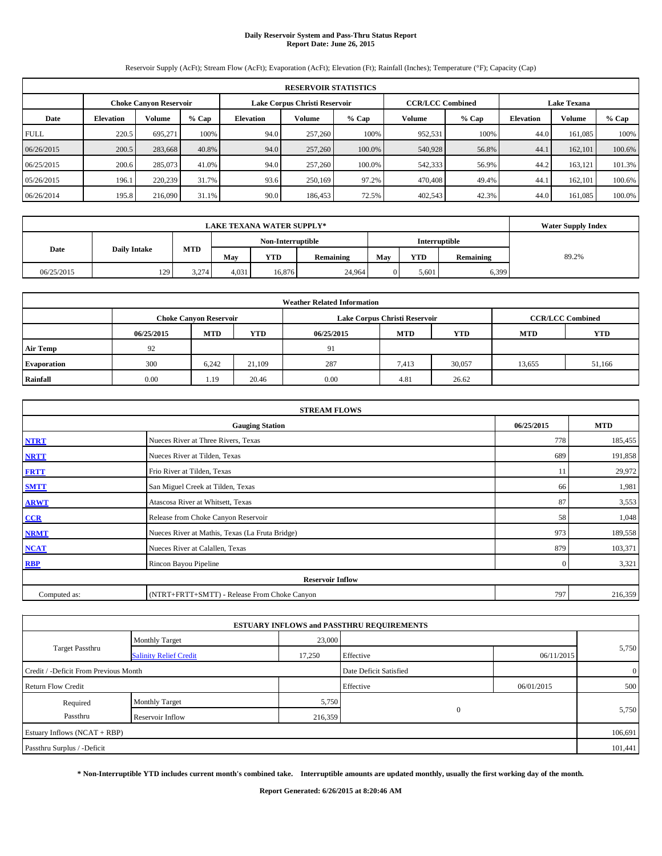# **Daily Reservoir System and Pass-Thru Status Report Report Date: June 26, 2015**

Reservoir Supply (AcFt); Stream Flow (AcFt); Evaporation (AcFt); Elevation (Ft); Rainfall (Inches); Temperature (°F); Capacity (Cap)

|             | <b>RESERVOIR STATISTICS</b>                                                                                     |               |         |           |               |         |         |         |                  |         |         |  |
|-------------|-----------------------------------------------------------------------------------------------------------------|---------------|---------|-----------|---------------|---------|---------|---------|------------------|---------|---------|--|
|             | <b>CCR/LCC Combined</b><br><b>Lake Texana</b><br>Lake Corpus Christi Reservoir<br><b>Choke Canvon Reservoir</b> |               |         |           |               |         |         |         |                  |         |         |  |
| Date        | <b>Elevation</b>                                                                                                | <b>Volume</b> | $%$ Cap | Elevation | <b>Volume</b> | $%$ Cap | Volume  | $%$ Cap | <b>Elevation</b> | Volume  | $%$ Cap |  |
| <b>FULL</b> | 220.5                                                                                                           | 695.271       | 100%    | 94.0      | 257,260       | 100%    | 952,531 | 100%    | 44.0             | 161.085 | 100%    |  |
| 06/26/2015  | 200.5                                                                                                           | 283,668       | 40.8%   | 94.0      | 257,260       | 100.0%  | 540,928 | 56.8%   | 44.1             | 162,101 | 100.6%  |  |
| 06/25/2015  | 200.6                                                                                                           | 285,073       | 41.0%   | 94.0      | 257,260       | 100.0%  | 542,333 | 56.9%   | 44.2             | 163.121 | 101.3%  |  |
| 05/26/2015  | 196.1                                                                                                           | 220,239       | 31.7%   | 93.6      | 250,169       | 97.2%   | 470,408 | 49.4%   | 44.1             | 162,101 | 100.6%  |  |
| 06/26/2014  | 195.8                                                                                                           | 216,090       | 31.1%   | 90.0      | 186,453       | 72.5%   | 402,543 | 42.3%   | 44.0             | 161.085 | 100.0%  |  |

|            |                     | <b>Water Supply Index</b> |                   |            |           |     |            |           |       |
|------------|---------------------|---------------------------|-------------------|------------|-----------|-----|------------|-----------|-------|
|            |                     |                           | Non-Interruptible |            |           |     |            |           |       |
| Date       | <b>Daily Intake</b> | <b>MTD</b>                | May               | <b>YTD</b> | Remaining | May | <b>YTD</b> | Remaining | 89.2% |
| 06/25/2015 | 129                 | 3.274                     | 4,031             | 16.876     | 24.964    |     | 5,601      | 6,399     |       |

| <b>Weather Related Information</b> |            |                                                                                  |        |      |                               |                         |        |        |  |  |  |
|------------------------------------|------------|----------------------------------------------------------------------------------|--------|------|-------------------------------|-------------------------|--------|--------|--|--|--|
|                                    |            | <b>Choke Canyon Reservoir</b>                                                    |        |      | Lake Corpus Christi Reservoir | <b>CCR/LCC Combined</b> |        |        |  |  |  |
|                                    | 06/25/2015 | <b>MTD</b><br><b>YTD</b><br><b>MTD</b><br><b>YTD</b><br><b>MTD</b><br>06/25/2015 |        |      |                               |                         |        |        |  |  |  |
| <b>Air Temp</b>                    | 92         |                                                                                  |        | 91   |                               |                         |        |        |  |  |  |
| <b>Evaporation</b>                 | 300        | 6.242                                                                            | 21.109 | 287  | 7,413                         | 30,057                  | 13,655 | 51,166 |  |  |  |
| Rainfall                           | 0.00       | 1.19                                                                             | 20.46  | 0.00 | 4.81                          | 26.62                   |        |        |  |  |  |

| <b>STREAM FLOWS</b> |                                                 |              |         |  |  |  |  |  |  |
|---------------------|-------------------------------------------------|--------------|---------|--|--|--|--|--|--|
|                     | <b>Gauging Station</b>                          |              |         |  |  |  |  |  |  |
| <b>NTRT</b>         | Nueces River at Three Rivers, Texas             | 778          | 185,455 |  |  |  |  |  |  |
| <b>NRTT</b>         | Nueces River at Tilden, Texas                   | 689          | 191,858 |  |  |  |  |  |  |
| <b>FRTT</b>         | Frio River at Tilden, Texas                     | 11           | 29,972  |  |  |  |  |  |  |
| <b>SMTT</b>         | San Miguel Creek at Tilden, Texas               | 66           | 1,981   |  |  |  |  |  |  |
| <b>ARWT</b>         | Atascosa River at Whitsett, Texas               | 87           | 3,553   |  |  |  |  |  |  |
| CCR                 | Release from Choke Canyon Reservoir             | 58           | 1,048   |  |  |  |  |  |  |
| <b>NRMT</b>         | Nueces River at Mathis, Texas (La Fruta Bridge) | 973          | 189,558 |  |  |  |  |  |  |
| <b>NCAT</b>         | Nueces River at Calallen, Texas                 | 879          | 103,371 |  |  |  |  |  |  |
| <b>RBP</b>          | Rincon Bayou Pipeline                           | $\mathbf{0}$ | 3,321   |  |  |  |  |  |  |
|                     | <b>Reservoir Inflow</b>                         |              |         |  |  |  |  |  |  |
| Computed as:        | (NTRT+FRTT+SMTT) - Release From Choke Canyon    |              |         |  |  |  |  |  |  |

|                                       |                               |         | <b>ESTUARY INFLOWS and PASSTHRU REQUIREMENTS</b> |            |                |  |  |
|---------------------------------------|-------------------------------|---------|--------------------------------------------------|------------|----------------|--|--|
|                                       | <b>Monthly Target</b>         | 23,000  |                                                  |            |                |  |  |
| <b>Target Passthru</b>                | <b>Salinity Relief Credit</b> | 17,250  | Effective                                        | 06/11/2015 | 5,750          |  |  |
| Credit / -Deficit From Previous Month |                               |         | Date Deficit Satisfied                           |            | $\overline{0}$ |  |  |
| <b>Return Flow Credit</b>             |                               |         | Effective                                        | 06/01/2015 | 500            |  |  |
| Required                              | <b>Monthly Target</b>         | 5,750   |                                                  |            |                |  |  |
| Passthru                              | Reservoir Inflow              | 216,359 | $\Omega$                                         |            | 5,750          |  |  |
| Estuary Inflows $(NCAT + RBP)$        |                               |         |                                                  |            | 106,691        |  |  |
| Passthru Surplus / -Deficit           |                               |         |                                                  |            |                |  |  |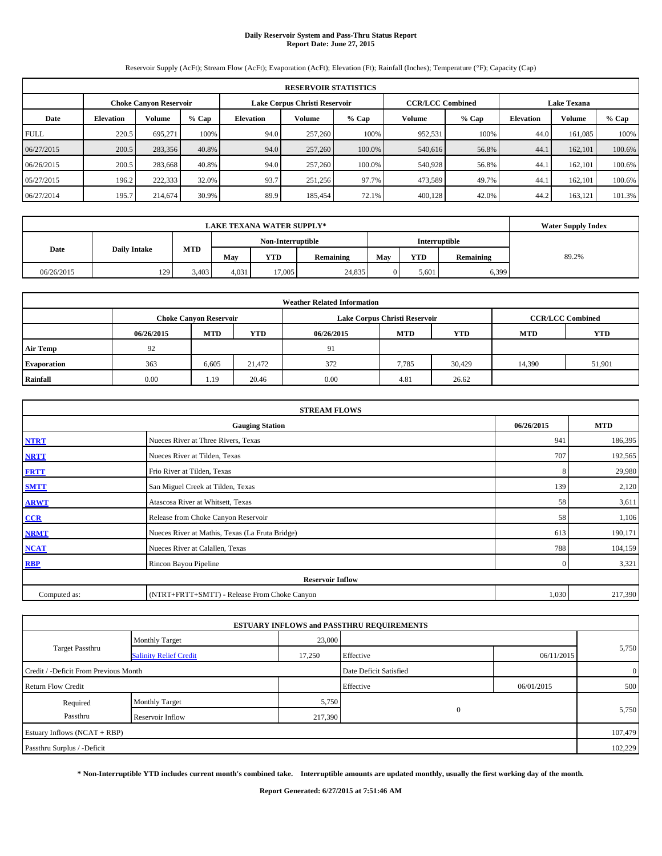# **Daily Reservoir System and Pass-Thru Status Report Report Date: June 27, 2015**

Reservoir Supply (AcFt); Stream Flow (AcFt); Evaporation (AcFt); Elevation (Ft); Rainfall (Inches); Temperature (°F); Capacity (Cap)

|             | <b>RESERVOIR STATISTICS</b>                                                                                     |               |         |                  |               |         |         |         |                  |         |         |  |
|-------------|-----------------------------------------------------------------------------------------------------------------|---------------|---------|------------------|---------------|---------|---------|---------|------------------|---------|---------|--|
|             | <b>CCR/LCC Combined</b><br><b>Lake Texana</b><br>Lake Corpus Christi Reservoir<br><b>Choke Canvon Reservoir</b> |               |         |                  |               |         |         |         |                  |         |         |  |
| Date        | <b>Elevation</b>                                                                                                | <b>Volume</b> | $%$ Cap | <b>Elevation</b> | <b>Volume</b> | $%$ Cap | Volume  | $%$ Cap | <b>Elevation</b> | Volume  | $%$ Cap |  |
| <b>FULL</b> | 220.5                                                                                                           | 695.271       | 100%    | 94.0             | 257,260       | 100%    | 952,531 | 100%    | 44.0             | 161.085 | 100%    |  |
| 06/27/2015  | 200.5                                                                                                           | 283,356       | 40.8%   | 94.0             | 257,260       | 100.0%  | 540,616 | 56.8%   | 44.1             | 162,101 | 100.6%  |  |
| 06/26/2015  | 200.5                                                                                                           | 283,668       | 40.8%   | 94.0             | 257,260       | 100.0%  | 540,928 | 56.8%   | 44.1             | 162,101 | 100.6%  |  |
| 05/27/2015  | 196.2                                                                                                           | 222,333       | 32.0%   | 93.7             | 251,256       | 97.7%   | 473,589 | 49.7%   | 44.1             | 162,101 | 100.6%  |  |
| 06/27/2014  | 195.7                                                                                                           | 214,674       | 30.9%   | 89.9             | 185,454       | 72.1%   | 400,128 | 42.0%   | 44.2             | 163,121 | 101.3%  |  |

|            |                     | <b>Water Supply Index</b> |                   |            |           |     |            |           |       |
|------------|---------------------|---------------------------|-------------------|------------|-----------|-----|------------|-----------|-------|
|            |                     |                           | Non-Interruptible |            |           |     |            |           |       |
| Date       | <b>Daily Intake</b> | <b>MTD</b>                | May               | <b>YTD</b> | Remaining | May | <b>YTD</b> | Remaining | 89.2% |
| 06/26/2015 | 129                 | 3.403                     | 4,031             | 17.005     | 24,835    |     | 5,601      | 6,399     |       |

| <b>Weather Related Information</b> |            |                               |            |            |                               |                         |            |            |  |  |
|------------------------------------|------------|-------------------------------|------------|------------|-------------------------------|-------------------------|------------|------------|--|--|
|                                    |            | <b>Choke Canyon Reservoir</b> |            |            | Lake Corpus Christi Reservoir | <b>CCR/LCC Combined</b> |            |            |  |  |
|                                    | 06/26/2015 | <b>MTD</b>                    | <b>YTD</b> | 06/26/2015 | <b>MTD</b>                    | <b>YTD</b>              | <b>MTD</b> | <b>YTD</b> |  |  |
| <b>Air Temp</b>                    | 92         |                               |            | 91         |                               |                         |            |            |  |  |
| <b>Evaporation</b>                 | 363        | 6.605                         | 21.472     | 372        | 7,785                         | 30,429                  | 14,390     | 51,901     |  |  |
| Rainfall                           | 0.00       | 1.19                          | 20.46      | 0.00       | 4.81                          | 26.62                   |            |            |  |  |

| <b>STREAM FLOWS</b> |                                                 |              |         |  |  |  |  |  |  |
|---------------------|-------------------------------------------------|--------------|---------|--|--|--|--|--|--|
|                     | <b>Gauging Station</b>                          |              |         |  |  |  |  |  |  |
| <b>NTRT</b>         | Nueces River at Three Rivers, Texas             | 941          | 186,395 |  |  |  |  |  |  |
| <b>NRTT</b>         | Nueces River at Tilden, Texas                   | 707          | 192,565 |  |  |  |  |  |  |
| <b>FRTT</b>         | Frio River at Tilden, Texas                     | 8            | 29,980  |  |  |  |  |  |  |
| <b>SMTT</b>         | San Miguel Creek at Tilden, Texas               | 139          | 2,120   |  |  |  |  |  |  |
| <b>ARWT</b>         | Atascosa River at Whitsett, Texas               | 58           | 3,611   |  |  |  |  |  |  |
| CCR                 | Release from Choke Canyon Reservoir             | 58           | 1,106   |  |  |  |  |  |  |
| <b>NRMT</b>         | Nueces River at Mathis, Texas (La Fruta Bridge) | 613          | 190,171 |  |  |  |  |  |  |
| <b>NCAT</b>         | Nueces River at Calallen, Texas                 | 788          | 104,159 |  |  |  |  |  |  |
| <b>RBP</b>          | Rincon Bayou Pipeline                           | $\mathbf{0}$ | 3,321   |  |  |  |  |  |  |
|                     | <b>Reservoir Inflow</b>                         |              |         |  |  |  |  |  |  |
| Computed as:        | (NTRT+FRTT+SMTT) - Release From Choke Canyon    | 1,030        | 217,390 |  |  |  |  |  |  |

|                                       |                               |         | <b>ESTUARY INFLOWS and PASSTHRU REQUIREMENTS</b> |            |                |
|---------------------------------------|-------------------------------|---------|--------------------------------------------------|------------|----------------|
|                                       | <b>Monthly Target</b>         | 23,000  |                                                  |            |                |
| <b>Target Passthru</b>                | <b>Salinity Relief Credit</b> | 17,250  | Effective                                        | 06/11/2015 | 5,750          |
| Credit / -Deficit From Previous Month |                               |         | Date Deficit Satisfied                           |            | $\overline{0}$ |
| <b>Return Flow Credit</b>             |                               |         | Effective                                        | 06/01/2015 | 500            |
| Required                              | <b>Monthly Target</b>         | 5,750   |                                                  |            |                |
| Passthru                              | Reservoir Inflow              | 217,390 | $\mathbf{0}$                                     |            | 5,750          |
| Estuary Inflows (NCAT + RBP)          |                               |         |                                                  |            | 107,479        |
| Passthru Surplus / -Deficit           |                               |         |                                                  |            | 102,229        |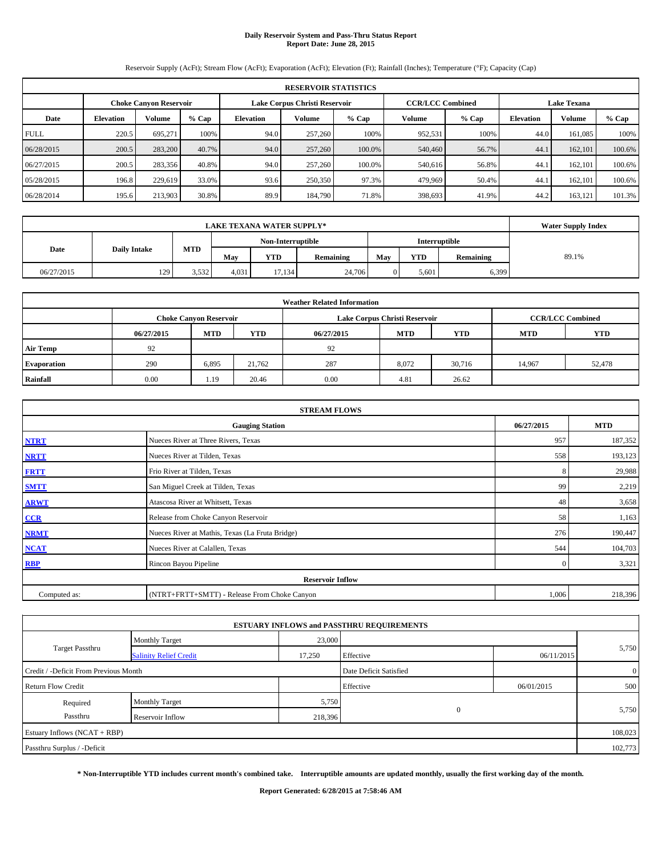# **Daily Reservoir System and Pass-Thru Status Report Report Date: June 28, 2015**

Reservoir Supply (AcFt); Stream Flow (AcFt); Evaporation (AcFt); Elevation (Ft); Rainfall (Inches); Temperature (°F); Capacity (Cap)

|             | <b>RESERVOIR STATISTICS</b> |                               |         |                               |         |                         |         |       |                    |         |        |  |
|-------------|-----------------------------|-------------------------------|---------|-------------------------------|---------|-------------------------|---------|-------|--------------------|---------|--------|--|
|             |                             | <b>Choke Canvon Reservoir</b> |         | Lake Corpus Christi Reservoir |         | <b>CCR/LCC Combined</b> |         |       | <b>Lake Texana</b> |         |        |  |
| Date        | <b>Elevation</b>            | Volume                        | $%$ Cap | <b>Elevation</b>              | Volume  | $%$ Cap                 | Volume  | % Cap | <b>Elevation</b>   | Volume  | % Cap  |  |
| <b>FULL</b> | 220.5                       | 695.271                       | 100%    | 94.0                          | 257,260 | 100%                    | 952,531 | 100%  | 44.0               | 161.085 | 100%   |  |
| 06/28/2015  | 200.5                       | 283,200                       | 40.7%   | 94.0                          | 257,260 | 100.0%                  | 540,460 | 56.7% | 44.1               | 162,101 | 100.6% |  |
| 06/27/2015  | 200.5                       | 283,356                       | 40.8%   | 94.0                          | 257,260 | 100.0%                  | 540,616 | 56.8% | 44.1               | 162.101 | 100.6% |  |
| 05/28/2015  | 196.8                       | 229,619                       | 33.0%   | 93.6                          | 250,350 | 97.3%                   | 479,969 | 50.4% | 44.1               | 162,101 | 100.6% |  |
| 06/28/2014  | 195.6                       | 213,903                       | 30.8%   | 89.9                          | 184,790 | 71.8%                   | 398,693 | 41.9% | 44.2               | 163,121 | 101.3% |  |

|            |                     | <b>Water Supply Index</b> |       |                   |           |     |            |           |       |
|------------|---------------------|---------------------------|-------|-------------------|-----------|-----|------------|-----------|-------|
|            |                     |                           |       | Non-Interruptible |           |     |            |           |       |
| Date       | <b>Daily Intake</b> | <b>MTD</b>                | May   | <b>YTD</b>        | Remaining | May | <b>YTD</b> | Remaining | 89.1% |
| 06/27/2015 | 129                 | 3.532                     | 4,031 | 17.134            | 24,706    |     | 5,601      | 6,399     |       |

| <b>Weather Related Information</b> |            |                               |            |            |                               |                         |            |            |  |  |
|------------------------------------|------------|-------------------------------|------------|------------|-------------------------------|-------------------------|------------|------------|--|--|
|                                    |            | <b>Choke Canyon Reservoir</b> |            |            | Lake Corpus Christi Reservoir | <b>CCR/LCC Combined</b> |            |            |  |  |
|                                    | 06/27/2015 | <b>MTD</b>                    | <b>YTD</b> | 06/27/2015 | <b>MTD</b>                    | <b>YTD</b>              | <b>MTD</b> | <b>YTD</b> |  |  |
| <b>Air Temp</b>                    | 92         |                               |            | 92         |                               |                         |            |            |  |  |
| <b>Evaporation</b>                 | 290        | 6,895                         | 21.762     | 287        | 8,072                         | 30,716                  | 14,967     | 52,478     |  |  |
| Rainfall                           | 0.00       | 1.19                          | 20.46      | 0.00       | 4.81                          | 26.62                   |            |            |  |  |

| <b>STREAM FLOWS</b> |                                                 |              |         |  |  |  |  |  |  |
|---------------------|-------------------------------------------------|--------------|---------|--|--|--|--|--|--|
|                     | <b>Gauging Station</b>                          |              |         |  |  |  |  |  |  |
| <b>NTRT</b>         | Nueces River at Three Rivers, Texas             | 957          | 187,352 |  |  |  |  |  |  |
| <b>NRTT</b>         | Nueces River at Tilden, Texas                   | 558          | 193,123 |  |  |  |  |  |  |
| <b>FRTT</b>         | Frio River at Tilden, Texas                     | 8            | 29,988  |  |  |  |  |  |  |
| <b>SMTT</b>         | San Miguel Creek at Tilden, Texas               | 99           | 2,219   |  |  |  |  |  |  |
| <b>ARWT</b>         | Atascosa River at Whitsett, Texas               | 48           | 3,658   |  |  |  |  |  |  |
| CCR                 | Release from Choke Canyon Reservoir             | 58           | 1,163   |  |  |  |  |  |  |
| <b>NRMT</b>         | Nueces River at Mathis, Texas (La Fruta Bridge) | 276          | 190,447 |  |  |  |  |  |  |
| <b>NCAT</b>         | Nueces River at Calallen, Texas                 | 544          | 104,703 |  |  |  |  |  |  |
| <b>RBP</b>          | Rincon Bayou Pipeline                           | $\mathbf{0}$ | 3,321   |  |  |  |  |  |  |
|                     | <b>Reservoir Inflow</b>                         |              |         |  |  |  |  |  |  |
| Computed as:        | (NTRT+FRTT+SMTT) - Release From Choke Canyon    | 1,006        | 218,396 |  |  |  |  |  |  |

|                                       |                               |         | <b>ESTUARY INFLOWS and PASSTHRU REQUIREMENTS</b> |            |                |
|---------------------------------------|-------------------------------|---------|--------------------------------------------------|------------|----------------|
|                                       | <b>Monthly Target</b>         | 23,000  |                                                  |            |                |
| <b>Target Passthru</b>                | <b>Salinity Relief Credit</b> | 17,250  | Effective                                        | 06/11/2015 | 5,750          |
| Credit / -Deficit From Previous Month |                               |         | Date Deficit Satisfied                           |            | $\overline{0}$ |
| <b>Return Flow Credit</b>             |                               |         | Effective                                        | 06/01/2015 | 500            |
| Required                              | <b>Monthly Target</b>         | 5,750   |                                                  |            |                |
| Passthru                              | Reservoir Inflow              | 218,396 | $\mathbf{0}$                                     |            | 5,750          |
| Estuary Inflows (NCAT + RBP)          |                               |         |                                                  |            | 108,023        |
| Passthru Surplus / -Deficit           |                               |         |                                                  |            | 102,773        |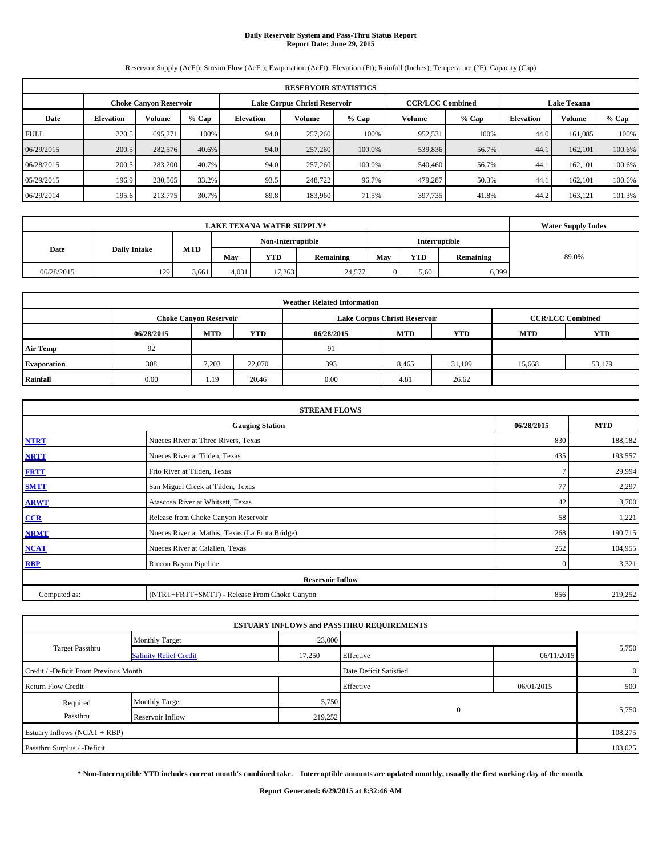# **Daily Reservoir System and Pass-Thru Status Report Report Date: June 29, 2015**

Reservoir Supply (AcFt); Stream Flow (AcFt); Evaporation (AcFt); Elevation (Ft); Rainfall (Inches); Temperature (°F); Capacity (Cap)

| <b>RESERVOIR STATISTICS</b> |                                                                |               |         |           |               |         |         |         |                    |         |         |
|-----------------------------|----------------------------------------------------------------|---------------|---------|-----------|---------------|---------|---------|---------|--------------------|---------|---------|
|                             | Lake Corpus Christi Reservoir<br><b>Choke Canvon Reservoir</b> |               |         |           |               |         |         |         | <b>Lake Texana</b> |         |         |
| Date                        | <b>Elevation</b>                                               | <b>Volume</b> | $%$ Cap | Elevation | <b>Volume</b> | $%$ Cap | Volume  | $%$ Cap | <b>Elevation</b>   | Volume  | $%$ Cap |
| <b>FULL</b>                 | 220.5                                                          | 695.271       | 100%    | 94.0      | 257,260       | 100%    | 952,531 | 100%    | 44.0               | 161.085 | 100%    |
| 06/29/2015                  | 200.5                                                          | 282,576       | 40.6%   | 94.0      | 257,260       | 100.0%  | 539,836 | 56.7%   | 44.1               | 162,101 | 100.6%  |
| 06/28/2015                  | 200.5                                                          | 283,200       | 40.7%   | 94.0      | 257,260       | 100.0%  | 540,460 | 56.7%   | 44.1               | 162,101 | 100.6%  |
| 05/29/2015                  | 196.9                                                          | 230,565       | 33.2%   | 93.5      | 248,722       | 96.7%   | 479,287 | 50.3%   | 44.1               | 162,101 | 100.6%  |
| 06/29/2014                  | 195.6                                                          | 213,775       | 30.7%   | 89.8      | 183,960       | 71.5%   | 397,735 | 41.8%   | 44.2               | 163,121 | 101.3%  |

|            | <b>Water Supply Index</b> |            |       |                   |           |     |            |                      |       |
|------------|---------------------------|------------|-------|-------------------|-----------|-----|------------|----------------------|-------|
|            |                           |            |       | Non-Interruptible |           |     |            | <b>Interruptible</b> |       |
| Date       | <b>Daily Intake</b>       | <b>MTD</b> | May   | <b>YTD</b>        | Remaining | May | <b>YTD</b> | Remaining            | 89.0% |
| 06/28/2015 | 129                       | 3.661      | 4,031 | 17,263            | 24,577    |     | 5,601      | 6,399                |       |

| <b>Weather Related Information</b> |            |                               |            |            |                               |                         |            |            |  |  |
|------------------------------------|------------|-------------------------------|------------|------------|-------------------------------|-------------------------|------------|------------|--|--|
|                                    |            | <b>Choke Canyon Reservoir</b> |            |            | Lake Corpus Christi Reservoir | <b>CCR/LCC Combined</b> |            |            |  |  |
|                                    | 06/28/2015 | <b>MTD</b>                    | <b>YTD</b> | 06/28/2015 | <b>MTD</b>                    | <b>YTD</b>              | <b>MTD</b> | <b>YTD</b> |  |  |
| <b>Air Temp</b>                    | 92         |                               |            | 91         |                               |                         |            |            |  |  |
| <b>Evaporation</b>                 | 308        | 7.203                         | 22,070     | 393        | 8,465                         | 31,109                  | 15,668     | 53,179     |  |  |
| Rainfall                           | 0.00       | 1.19                          | 20.46      | 0.00       | 4.81                          | 26.62                   |            |            |  |  |

| <b>STREAM FLOWS</b> |                                                 |              |         |  |  |  |  |  |  |
|---------------------|-------------------------------------------------|--------------|---------|--|--|--|--|--|--|
|                     | <b>Gauging Station</b>                          |              |         |  |  |  |  |  |  |
| <b>NTRT</b>         | Nueces River at Three Rivers, Texas             | 830          | 188,182 |  |  |  |  |  |  |
| <b>NRTT</b>         | Nueces River at Tilden, Texas                   | 435          | 193,557 |  |  |  |  |  |  |
| <b>FRTT</b>         | Frio River at Tilden, Texas                     |              | 29,994  |  |  |  |  |  |  |
| <b>SMTT</b>         | San Miguel Creek at Tilden, Texas               | 77           | 2,297   |  |  |  |  |  |  |
| <b>ARWT</b>         | Atascosa River at Whitsett, Texas               | 42           | 3,700   |  |  |  |  |  |  |
| CCR                 | Release from Choke Canyon Reservoir             | 58           | 1,221   |  |  |  |  |  |  |
| <b>NRMT</b>         | Nueces River at Mathis, Texas (La Fruta Bridge) | 268          | 190,715 |  |  |  |  |  |  |
| <b>NCAT</b>         | Nueces River at Calallen, Texas                 | 252          | 104,955 |  |  |  |  |  |  |
| <b>RBP</b>          | Rincon Bayou Pipeline                           | $\mathbf{0}$ | 3,321   |  |  |  |  |  |  |
|                     | <b>Reservoir Inflow</b>                         |              |         |  |  |  |  |  |  |
| Computed as:        | (NTRT+FRTT+SMTT) - Release From Choke Canyon    | 856          | 219,252 |  |  |  |  |  |  |

|                                       |                               |         | <b>ESTUARY INFLOWS and PASSTHRU REQUIREMENTS</b> |            |                |
|---------------------------------------|-------------------------------|---------|--------------------------------------------------|------------|----------------|
| <b>Target Passthru</b>                | <b>Monthly Target</b>         | 23,000  |                                                  |            |                |
|                                       | <b>Salinity Relief Credit</b> | 17,250  | Effective                                        | 06/11/2015 | 5,750          |
| Credit / -Deficit From Previous Month |                               |         | Date Deficit Satisfied                           |            | $\overline{0}$ |
| <b>Return Flow Credit</b>             |                               |         | Effective                                        | 06/01/2015 | 500            |
| Required                              | <b>Monthly Target</b>         | 5,750   |                                                  |            |                |
| Passthru                              | Reservoir Inflow              | 219,252 | $\mathbf{0}$                                     | 5,750      |                |
| Estuary Inflows (NCAT + RBP)          |                               |         |                                                  |            | 108,275        |
| Passthru Surplus / -Deficit           |                               |         |                                                  |            | 103,025        |